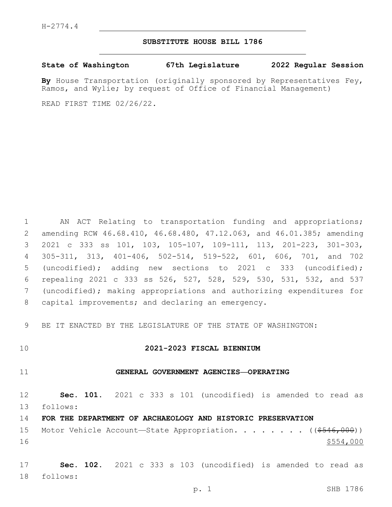## **SUBSTITUTE HOUSE BILL 1786**

**State of Washington 67th Legislature 2022 Regular Session**

**By** House Transportation (originally sponsored by Representatives Fey, Ramos, and Wylie; by request of Office of Financial Management)

READ FIRST TIME 02/26/22.

 AN ACT Relating to transportation funding and appropriations; amending RCW 46.68.410, 46.68.480, 47.12.063, and 46.01.385; amending 2021 c 333 ss 101, 103, 105-107, 109-111, 113, 201-223, 301-303, 305-311, 313, 401-406, 502-514, 519-522, 601, 606, 701, and 702 (uncodified); adding new sections to 2021 c 333 (uncodified); repealing 2021 c 333 ss 526, 527, 528, 529, 530, 531, 532, and 537 (uncodified); making appropriations and authorizing expenditures for 8 capital improvements; and declaring an emergency.

9 BE IT ENACTED BY THE LEGISLATURE OF THE STATE OF WASHINGTON:

# 10 **2021-2023 FISCAL BIENNIUM**

# 11 **GENERAL GOVERNMENT AGENCIES—OPERATING**

12 **Sec. 101.** 2021 c 333 s 101 (uncodified) is amended to read as follows: 13

14 **FOR THE DEPARTMENT OF ARCHAEOLOGY AND HISTORIC PRESERVATION**

15 Motor Vehicle Account—State Appropriation. . . . . . . ((\$546,000))  $16$  \$554,000

17 **Sec. 102.** 2021 c 333 s 103 (uncodified) is amended to read as follows: 18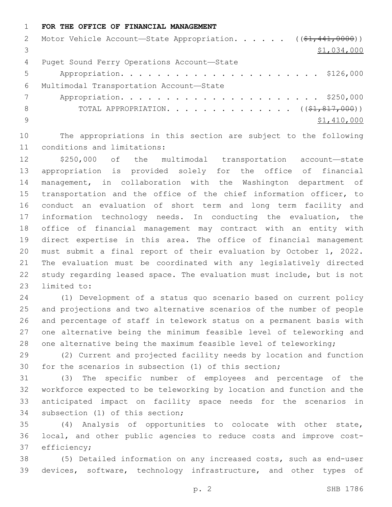#### **FOR THE OFFICE OF FINANCIAL MANAGEMENT**

|     | 2 Motor Vehicle Account-State Appropriation. ((\$1,441,0000)) |
|-----|---------------------------------------------------------------|
|     | \$1,034,000                                                   |
| 4   | Puget Sound Ferry Operations Account-State                    |
| 5   |                                                               |
| 6   | Multimodal Transportation Account-State                       |
|     |                                                               |
| 8   | TOTAL APPROPRIATION. $($ $(*1, 817, 000))$                    |
| - 9 | \$1,410,000                                                   |
|     |                                                               |

 The appropriations in this section are subject to the following 11 conditions and limitations:

 \$250,000 of the multimodal transportation account—state appropriation is provided solely for the office of financial management, in collaboration with the Washington department of transportation and the office of the chief information officer, to conduct an evaluation of short term and long term facility and information technology needs. In conducting the evaluation, the office of financial management may contract with an entity with direct expertise in this area. The office of financial management must submit a final report of their evaluation by October 1, 2022. The evaluation must be coordinated with any legislatively directed study regarding leased space. The evaluation must include, but is not 23 limited to:

 (1) Development of a status quo scenario based on current policy and projections and two alternative scenarios of the number of people and percentage of staff in telework status on a permanent basis with one alternative being the minimum feasible level of teleworking and one alternative being the maximum feasible level of teleworking;

 (2) Current and projected facility needs by location and function for the scenarios in subsection (1) of this section;

 (3) The specific number of employees and percentage of the workforce expected to be teleworking by location and function and the anticipated impact on facility space needs for the scenarios in 34 subsection (1) of this section;

 (4) Analysis of opportunities to colocate with other state, local, and other public agencies to reduce costs and improve cost-37 efficiency;

 (5) Detailed information on any increased costs, such as end-user devices, software, technology infrastructure, and other types of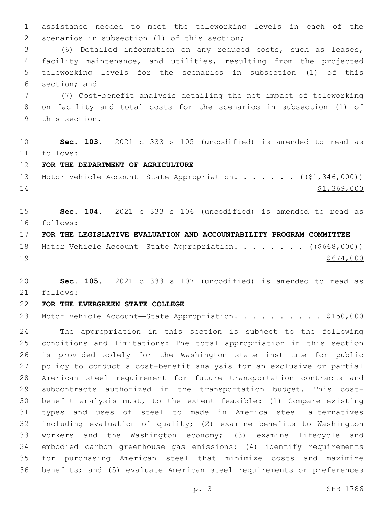assistance needed to meet the teleworking levels in each of the 2 scenarios in subsection (1) of this section;

 (6) Detailed information on any reduced costs, such as leases, facility maintenance, and utilities, resulting from the projected teleworking levels for the scenarios in subsection (1) of this 6 section; and

 (7) Cost-benefit analysis detailing the net impact of teleworking on facility and total costs for the scenarios in subsection (1) of 9 this section.

 **Sec. 103.** 2021 c 333 s 105 (uncodified) is amended to read as follows: 11

**FOR THE DEPARTMENT OF AGRICULTURE**

13 Motor Vehicle Account—State Appropriation. . . . . . ((\$1,346,000)) \$1,369,000

 **Sec. 104.** 2021 c 333 s 106 (uncodified) is amended to read as follows: 16

**FOR THE LEGISLATIVE EVALUATION AND ACCOUNTABILITY PROGRAM COMMITTEE**

18 Motor Vehicle Account—State Appropriation. . . . . . . ((\$668,000)) \$674,000

 **Sec. 105.** 2021 c 333 s 107 (uncodified) is amended to read as follows: 21

## **FOR THE EVERGREEN STATE COLLEGE**

23 Motor Vehicle Account-State Appropriation. . . . . . . . . \$150,000

 The appropriation in this section is subject to the following conditions and limitations: The total appropriation in this section is provided solely for the Washington state institute for public policy to conduct a cost-benefit analysis for an exclusive or partial American steel requirement for future transportation contracts and subcontracts authorized in the transportation budget. This cost- benefit analysis must, to the extent feasible: (1) Compare existing types and uses of steel to made in America steel alternatives including evaluation of quality; (2) examine benefits to Washington workers and the Washington economy; (3) examine lifecycle and embodied carbon greenhouse gas emissions; (4) identify requirements for purchasing American steel that minimize costs and maximize benefits; and (5) evaluate American steel requirements or preferences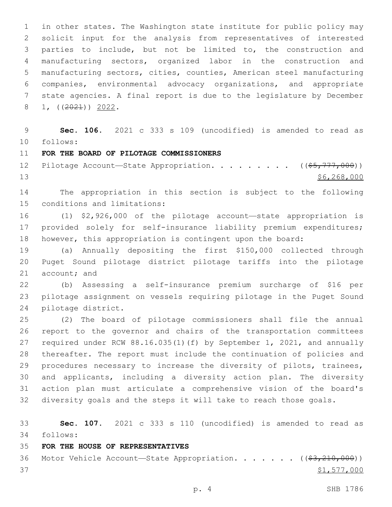in other states. The Washington state institute for public policy may solicit input for the analysis from representatives of interested parties to include, but not be limited to, the construction and manufacturing sectors, organized labor in the construction and manufacturing sectors, cities, counties, American steel manufacturing companies, environmental advocacy organizations, and appropriate state agencies. A final report is due to the legislature by December  $8 \quad 1, \quad \left( \frac{2021}{2} \right) \quad \frac{2022}{2}.$ 

 **Sec. 106.** 2021 c 333 s 109 (uncodified) is amended to read as follows: 10

## **FOR THE BOARD OF PILOTAGE COMMISSIONERS**

12 Pilotage Account—State Appropriation. . . . . . . . ((\$5,777,000)) \$6,268,000

 The appropriation in this section is subject to the following 15 conditions and limitations:

 (1) \$2,926,000 of the pilotage account—state appropriation is provided solely for self-insurance liability premium expenditures; however, this appropriation is contingent upon the board:

 (a) Annually depositing the first \$150,000 collected through Puget Sound pilotage district pilotage tariffs into the pilotage 21 account; and

 (b) Assessing a self-insurance premium surcharge of \$16 per pilotage assignment on vessels requiring pilotage in the Puget Sound 24 pilotage district.

 (2) The board of pilotage commissioners shall file the annual report to the governor and chairs of the transportation committees required under RCW 88.16.035(1)(f) by September 1, 2021, and annually thereafter. The report must include the continuation of policies and procedures necessary to increase the diversity of pilots, trainees, and applicants, including a diversity action plan. The diversity action plan must articulate a comprehensive vision of the board's diversity goals and the steps it will take to reach those goals.

 **Sec. 107.** 2021 c 333 s 110 (uncodified) is amended to read as follows: 34

#### **FOR THE HOUSE OF REPRESENTATIVES**

36 Motor Vehicle Account—State Appropriation. . . . . . ((\$3,210,000)) \$1,577,000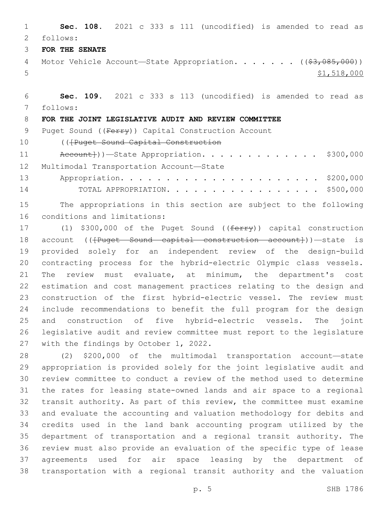**Sec. 108.** 2021 c 333 s 111 (uncodified) is amended to read as follows: 2

**FOR THE SENATE**

4 Motor Vehicle Account—State Appropriation. . . . . . ((\$3,085,000)) \$1,518,000

 **Sec. 109.** 2021 c 333 s 113 (uncodified) is amended to read as follows: 7

# **FOR THE JOINT LEGISLATIVE AUDIT AND REVIEW COMMITTEE**

9 Puget Sound ((Ferry)) Capital Construction Account

10 ((Feuget Sound Capital Construction

11 Account}))—State Appropriation. . . . . . . . . . . . \$300,000 12 Multimodal Transportation Account-State

 Appropriation. . . . . . . . . . . . . . . . . . . . . . \$200,000 TOTAL APPROPRIATION. . . . . . . . . . . . . . . . . \$500,000

 The appropriations in this section are subject to the following 16 conditions and limitations:

17 (1) \$300,000 of the Puget Sound ((ferry)) capital construction 18 account ((<del>[Puget Sound capital construction account]</del>))—state is provided solely for an independent review of the design-build contracting process for the hybrid-electric Olympic class vessels. The review must evaluate, at minimum, the department's cost estimation and cost management practices relating to the design and construction of the first hybrid-electric vessel. The review must include recommendations to benefit the full program for the design and construction of five hybrid-electric vessels. The joint legislative audit and review committee must report to the legislature 27 with the findings by October 1, 2022.

 (2) \$200,000 of the multimodal transportation account—state appropriation is provided solely for the joint legislative audit and review committee to conduct a review of the method used to determine the rates for leasing state-owned lands and air space to a regional transit authority. As part of this review, the committee must examine and evaluate the accounting and valuation methodology for debits and credits used in the land bank accounting program utilized by the department of transportation and a regional transit authority. The review must also provide an evaluation of the specific type of lease agreements used for air space leasing by the department of transportation with a regional transit authority and the valuation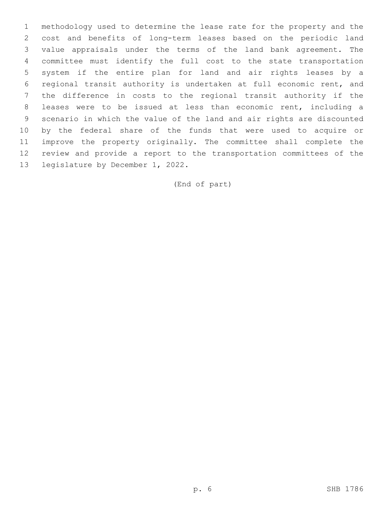methodology used to determine the lease rate for the property and the cost and benefits of long-term leases based on the periodic land value appraisals under the terms of the land bank agreement. The committee must identify the full cost to the state transportation system if the entire plan for land and air rights leases by a regional transit authority is undertaken at full economic rent, and the difference in costs to the regional transit authority if the leases were to be issued at less than economic rent, including a scenario in which the value of the land and air rights are discounted by the federal share of the funds that were used to acquire or improve the property originally. The committee shall complete the review and provide a report to the transportation committees of the 13 legislature by December 1, 2022.

(End of part)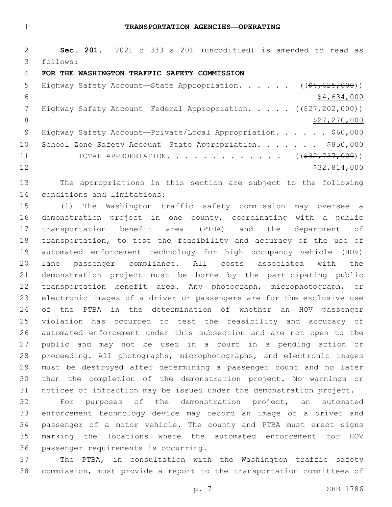**Sec. 201.** 2021 c 333 s 201 (uncodified) is amended to read as follows: 3

#### **FOR THE WASHINGTON TRAFFIC SAFETY COMMISSION**

| .5              | Highway Safety Account-State Appropriation. $($ $($ $\frac{64}{625}$ , 000)) |
|-----------------|------------------------------------------------------------------------------|
| 6               | \$4,634,000                                                                  |
|                 | Highway Safety Account—Federal Appropriation. $($ $($ $27, 202, 000)$ $)$    |
| 8               | \$27,270,000                                                                 |
| -9              | Highway Safety Account-Private/Local Appropriation. \$60,000                 |
| 10 <sub>o</sub> | School Zone Safety Account-State Appropriation. \$850,000                    |
| 11              | TOTAL APPROPRIATION. ( $(\frac{232}{737}, 000)$ )                            |
| 12              | \$32,814,000                                                                 |

 The appropriations in this section are subject to the following 14 conditions and limitations:

 (1) The Washington traffic safety commission may oversee a demonstration project in one county, coordinating with a public transportation benefit area (PTBA) and the department of transportation, to test the feasibility and accuracy of the use of automated enforcement technology for high occupancy vehicle (HOV) lane passenger compliance. All costs associated with the demonstration project must be borne by the participating public transportation benefit area. Any photograph, microphotograph, or electronic images of a driver or passengers are for the exclusive use of the PTBA in the determination of whether an HOV passenger violation has occurred to test the feasibility and accuracy of automated enforcement under this subsection and are not open to the public and may not be used in a court in a pending action or proceeding. All photographs, microphotographs, and electronic images must be destroyed after determining a passenger count and no later than the completion of the demonstration project. No warnings or notices of infraction may be issued under the demonstration project.

 For purposes of the demonstration project, an automated enforcement technology device may record an image of a driver and passenger of a motor vehicle. The county and PTBA must erect signs marking the locations where the automated enforcement for HOV 36 passenger requirements is occurring.

 The PTBA, in consultation with the Washington traffic safety commission, must provide a report to the transportation committees of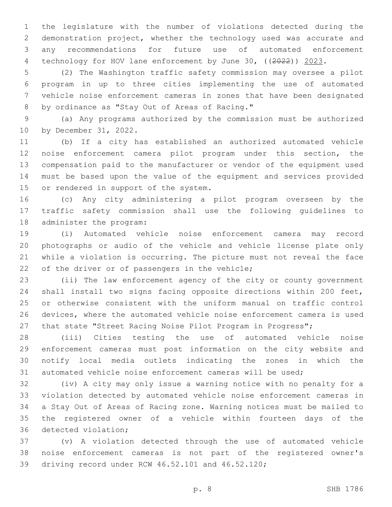the legislature with the number of violations detected during the demonstration project, whether the technology used was accurate and any recommendations for future use of automated enforcement 4 technology for HOV lane enforcement by June 30, ((2022)) 2023.

 (2) The Washington traffic safety commission may oversee a pilot program in up to three cities implementing the use of automated vehicle noise enforcement cameras in zones that have been designated 8 by ordinance as "Stay Out of Areas of Racing."

 (a) Any programs authorized by the commission must be authorized 10 by December 31, 2022.

 (b) If a city has established an authorized automated vehicle noise enforcement camera pilot program under this section, the compensation paid to the manufacturer or vendor of the equipment used must be based upon the value of the equipment and services provided 15 or rendered in support of the system.

 (c) Any city administering a pilot program overseen by the traffic safety commission shall use the following guidelines to 18 administer the program:

 (i) Automated vehicle noise enforcement camera may record photographs or audio of the vehicle and vehicle license plate only while a violation is occurring. The picture must not reveal the face 22 of the driver or of passengers in the vehicle;

 (ii) The law enforcement agency of the city or county government shall install two signs facing opposite directions within 200 feet, or otherwise consistent with the uniform manual on traffic control devices, where the automated vehicle noise enforcement camera is used 27 that state "Street Racing Noise Pilot Program in Progress";

 (iii) Cities testing the use of automated vehicle noise enforcement cameras must post information on the city website and notify local media outlets indicating the zones in which the automated vehicle noise enforcement cameras will be used;

 (iv) A city may only issue a warning notice with no penalty for a violation detected by automated vehicle noise enforcement cameras in a Stay Out of Areas of Racing zone. Warning notices must be mailed to the registered owner of a vehicle within fourteen days of the 36 detected violation;

 (v) A violation detected through the use of automated vehicle noise enforcement cameras is not part of the registered owner's 39 driving record under RCW 46.52.101 and 46.52.120;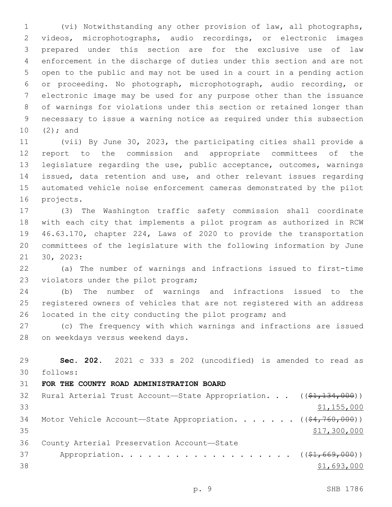(vi) Notwithstanding any other provision of law, all photographs, videos, microphotographs, audio recordings, or electronic images prepared under this section are for the exclusive use of law enforcement in the discharge of duties under this section and are not open to the public and may not be used in a court in a pending action or proceeding. No photograph, microphotograph, audio recording, or electronic image may be used for any purpose other than the issuance of warnings for violations under this section or retained longer than necessary to issue a warning notice as required under this subsection 10  $(2)$ ; and

 (vii) By June 30, 2023, the participating cities shall provide a report to the commission and appropriate committees of the legislature regarding the use, public acceptance, outcomes, warnings issued, data retention and use, and other relevant issues regarding automated vehicle noise enforcement cameras demonstrated by the pilot 16 projects.

 (3) The Washington traffic safety commission shall coordinate with each city that implements a pilot program as authorized in RCW 46.63.170, chapter 224, Laws of 2020 to provide the transportation committees of the legislature with the following information by June 21 30, 2023:

 (a) The number of warnings and infractions issued to first-time 23 violators under the pilot program;

 (b) The number of warnings and infractions issued to the registered owners of vehicles that are not registered with an address located in the city conducting the pilot program; and

 (c) The frequency with which warnings and infractions are issued 28 on weekdays versus weekend days.

 **Sec. 202.** 2021 c 333 s 202 (uncodified) is amended to read as follows: 30 **FOR THE COUNTY ROAD ADMINISTRATION BOARD** 32 Rural Arterial Trust Account—State Appropriation. . . ((\$1,134,000)) \$1,155,000 34 Motor Vehicle Account—State Appropriation. . . . . . ((\$4,760,000)) \$17,300,000 36 County Arterial Preservation Account-State 37 Appropriation. . . . . . . . . . . . . . . . . . (  $(\frac{21}{669}, 000)$  ) \$1,693,000

p. 9 SHB 1786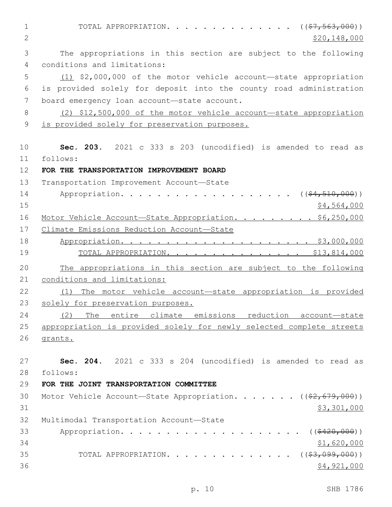1 TOTAL APPROPRIATION. . . . . . . . . . . . . ((<del>\$7,563,000</del>))  $2 \times 520,148,000$ 3 The appropriations in this section are subject to the following 4 conditions and limitations: 5 (1) \$2,000,000 of the motor vehicle account—state appropriation 6 is provided solely for deposit into the county road administration 7 board emergency loan account-state account. 8 (2) \$12,500,000 of the motor vehicle account—state appropriation 9 is provided solely for preservation purposes. 10 **Sec. 203.** 2021 c 333 s 203 (uncodified) is amended to read as follows: 11 12 **FOR THE TRANSPORTATION IMPROVEMENT BOARD** 13 Transportation Improvement Account-State 14 Appropriation. . . . . . . . . . . . . . . . . (  $(\frac{64,510,000}{51,000})$  $15$  \$4,564,000 16 Motor Vehicle Account—State Appropriation. . . . . . . . \$6,250,000 17 Climate Emissions Reduction Account—State 18 Appropriation. . . . . . . . . . . . . . . . . . . . . \$3,000,000 19 TOTAL APPROPRIATION. . . . . . . . . . . . . . . \$13,814,000 20 The appropriations in this section are subject to the following 21 conditions and limitations: 22 (1) The motor vehicle account—state appropriation is provided 23 solely for preservation purposes. 24 (2) The entire climate emissions reduction account—state 25 appropriation is provided solely for newly selected complete streets 26 grants. 27 **Sec. 204.** 2021 c 333 s 204 (uncodified) is amended to read as follows: 28 29 **FOR THE JOINT TRANSPORTATION COMMITTEE** 30 Motor Vehicle Account—State Appropriation. . . . . . ((\$2,679,000))  $31$  \$3,301,000 32 Multimodal Transportation Account-State 33 Appropriation. . . . . . . . . . . . . . . . . . ((<del>\$420,000</del>))  $34$  \$1,620,000 35 TOTAL APPROPRIATION. . . . . . . . . . . . . ((<del>\$3,099,000</del>))  $36$   $$4,921,000$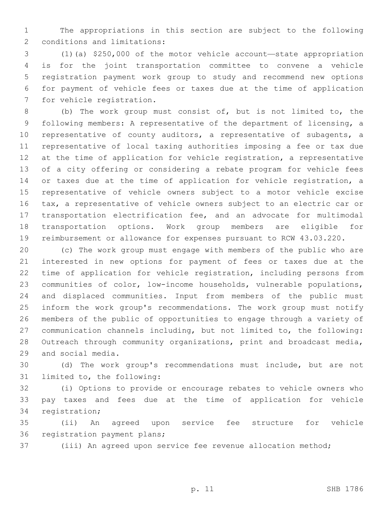The appropriations in this section are subject to the following 2 conditions and limitations:

 (1)(a) \$250,000 of the motor vehicle account—state appropriation is for the joint transportation committee to convene a vehicle registration payment work group to study and recommend new options for payment of vehicle fees or taxes due at the time of application 7 for vehicle registration.

 (b) The work group must consist of, but is not limited to, the following members: A representative of the department of licensing, a representative of county auditors, a representative of subagents, a representative of local taxing authorities imposing a fee or tax due at the time of application for vehicle registration, a representative of a city offering or considering a rebate program for vehicle fees or taxes due at the time of application for vehicle registration, a representative of vehicle owners subject to a motor vehicle excise tax, a representative of vehicle owners subject to an electric car or transportation electrification fee, and an advocate for multimodal transportation options. Work group members are eligible for reimbursement or allowance for expenses pursuant to RCW 43.03.220.

 (c) The work group must engage with members of the public who are interested in new options for payment of fees or taxes due at the time of application for vehicle registration, including persons from communities of color, low-income households, vulnerable populations, and displaced communities. Input from members of the public must inform the work group's recommendations. The work group must notify members of the public of opportunities to engage through a variety of communication channels including, but not limited to, the following: Outreach through community organizations, print and broadcast media, 29 and social media.

 (d) The work group's recommendations must include, but are not 31 limited to, the following:

 (i) Options to provide or encourage rebates to vehicle owners who pay taxes and fees due at the time of application for vehicle 34 registration;

 (ii) An agreed upon service fee structure for vehicle 36 registration payment plans;

(iii) An agreed upon service fee revenue allocation method;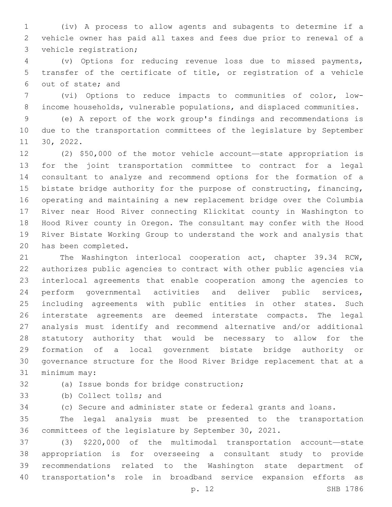(iv) A process to allow agents and subagents to determine if a vehicle owner has paid all taxes and fees due prior to renewal of a 3 vehicle registration;

 (v) Options for reducing revenue loss due to missed payments, transfer of the certificate of title, or registration of a vehicle 6 out of state; and

 (vi) Options to reduce impacts to communities of color, low-income households, vulnerable populations, and displaced communities.

 (e) A report of the work group's findings and recommendations is due to the transportation committees of the legislature by September 11 30, 2022.

 (2) \$50,000 of the motor vehicle account—state appropriation is for the joint transportation committee to contract for a legal consultant to analyze and recommend options for the formation of a bistate bridge authority for the purpose of constructing, financing, operating and maintaining a new replacement bridge over the Columbia River near Hood River connecting Klickitat county in Washington to Hood River county in Oregon. The consultant may confer with the Hood River Bistate Working Group to understand the work and analysis that 20 has been completed.

 The Washington interlocal cooperation act, chapter 39.34 RCW, authorizes public agencies to contract with other public agencies via interlocal agreements that enable cooperation among the agencies to perform governmental activities and deliver public services, including agreements with public entities in other states. Such interstate agreements are deemed interstate compacts. The legal analysis must identify and recommend alternative and/or additional statutory authority that would be necessary to allow for the formation of a local government bistate bridge authority or governance structure for the Hood River Bridge replacement that at a 31 minimum may:

32 (a) Issue bonds for bridge construction;

33 (b) Collect tolls; and

(c) Secure and administer state or federal grants and loans.

 The legal analysis must be presented to the transportation committees of the legislature by September 30, 2021.

 (3) \$220,000 of the multimodal transportation account—state appropriation is for overseeing a consultant study to provide recommendations related to the Washington state department of transportation's role in broadband service expansion efforts as

p. 12 SHB 1786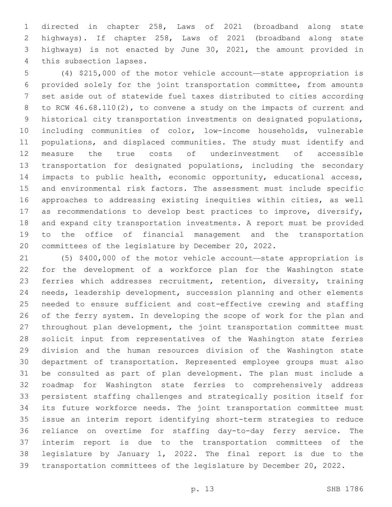directed in chapter 258, Laws of 2021 (broadband along state highways). If chapter 258, Laws of 2021 (broadband along state highways) is not enacted by June 30, 2021, the amount provided in 4 this subsection lapses.

 (4) \$215,000 of the motor vehicle account—state appropriation is provided solely for the joint transportation committee, from amounts set aside out of statewide fuel taxes distributed to cities according to RCW 46.68.110(2), to convene a study on the impacts of current and historical city transportation investments on designated populations, including communities of color, low-income households, vulnerable populations, and displaced communities. The study must identify and measure the true costs of underinvestment of accessible transportation for designated populations, including the secondary impacts to public health, economic opportunity, educational access, and environmental risk factors. The assessment must include specific approaches to addressing existing inequities within cities, as well as recommendations to develop best practices to improve, diversify, and expand city transportation investments. A report must be provided to the office of financial management and the transportation committees of the legislature by December 20, 2022.

 (5) \$400,000 of the motor vehicle account—state appropriation is for the development of a workforce plan for the Washington state ferries which addresses recruitment, retention, diversity, training needs, leadership development, succession planning and other elements needed to ensure sufficient and cost-effective crewing and staffing of the ferry system. In developing the scope of work for the plan and throughout plan development, the joint transportation committee must solicit input from representatives of the Washington state ferries division and the human resources division of the Washington state department of transportation. Represented employee groups must also be consulted as part of plan development. The plan must include a roadmap for Washington state ferries to comprehensively address persistent staffing challenges and strategically position itself for its future workforce needs. The joint transportation committee must issue an interim report identifying short-term strategies to reduce reliance on overtime for staffing day-to-day ferry service. The interim report is due to the transportation committees of the legislature by January 1, 2022. The final report is due to the transportation committees of the legislature by December 20, 2022.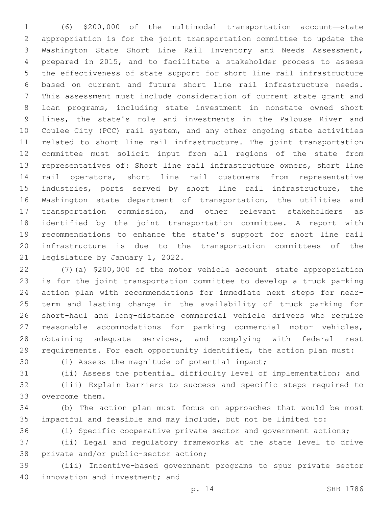(6) \$200,000 of the multimodal transportation account—state appropriation is for the joint transportation committee to update the Washington State Short Line Rail Inventory and Needs Assessment, prepared in 2015, and to facilitate a stakeholder process to assess the effectiveness of state support for short line rail infrastructure based on current and future short line rail infrastructure needs. This assessment must include consideration of current state grant and loan programs, including state investment in nonstate owned short lines, the state's role and investments in the Palouse River and Coulee City (PCC) rail system, and any other ongoing state activities related to short line rail infrastructure. The joint transportation committee must solicit input from all regions of the state from representatives of: Short line rail infrastructure owners, short line rail operators, short line rail customers from representative industries, ports served by short line rail infrastructure, the Washington state department of transportation, the utilities and transportation commission, and other relevant stakeholders as identified by the joint transportation committee. A report with recommendations to enhance the state's support for short line rail infrastructure is due to the transportation committees of the 21 legislature by January 1, 2022.

 (7)(a) \$200,000 of the motor vehicle account—state appropriation is for the joint transportation committee to develop a truck parking action plan with recommendations for immediate next steps for near- term and lasting change in the availability of truck parking for short-haul and long-distance commercial vehicle drivers who require reasonable accommodations for parking commercial motor vehicles, 28 obtaining adequate services, and complying with federal rest requirements. For each opportunity identified, the action plan must:

30 (i) Assess the magnitude of potential impact;

(ii) Assess the potential difficulty level of implementation; and

 (iii) Explain barriers to success and specific steps required to 33 overcome them.

 (b) The action plan must focus on approaches that would be most impactful and feasible and may include, but not be limited to:

(i) Specific cooperative private sector and government actions;

 (ii) Legal and regulatory frameworks at the state level to drive 38 private and/or public-sector action;

 (iii) Incentive-based government programs to spur private sector 40 innovation and investment; and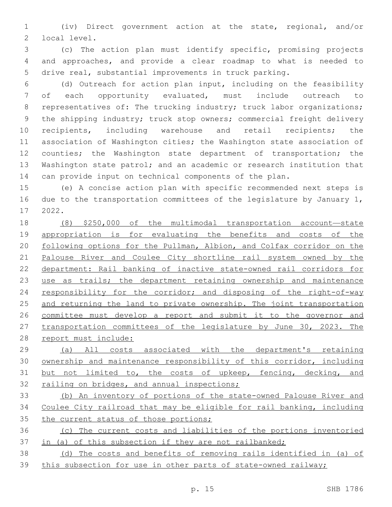(iv) Direct government action at the state, regional, and/or 2 local level.

 (c) The action plan must identify specific, promising projects and approaches, and provide a clear roadmap to what is needed to drive real, substantial improvements in truck parking.

- (d) Outreach for action plan input, including on the feasibility of each opportunity evaluated, must include outreach to 8 representatives of: The trucking industry; truck labor organizations; the shipping industry; truck stop owners; commercial freight delivery recipients, including warehouse and retail recipients; the association of Washington cities; the Washington state association of 12 counties; the Washington state department of transportation; the Washington state patrol; and an academic or research institution that can provide input on technical components of the plan.
- (e) A concise action plan with specific recommended next steps is 16 due to the transportation committees of the legislature by January 1, 2022.17
- (8) \$250,000 of the multimodal transportation account—state 19 appropriation is for evaluating the benefits and costs of the 20 following options for the Pullman, Albion, and Colfax corridor on the Palouse River and Coulee City shortline rail system owned by the department: Rail banking of inactive state-owned rail corridors for use as trails; the department retaining ownership and maintenance 24 responsibility for the corridor; and disposing of the right-of-way and returning the land to private ownership. The joint transportation committee must develop a report and submit it to the governor and 27 transportation committees of the legislature by June 30, 2023. The report must include:
- (a) All costs associated with the department's retaining ownership and maintenance responsibility of this corridor, including but not limited to, the costs of upkeep, fencing, decking, and 32 railing on bridges, and annual inspections;
- (b) An inventory of portions of the state-owned Palouse River and Coulee City railroad that may be eligible for rail banking, including 35 the current status of those portions;
- (c) The current costs and liabilities of the portions inventoried in (a) of this subsection if they are not railbanked;
- (d) The costs and benefits of removing rails identified in (a) of this subsection for use in other parts of state-owned railway;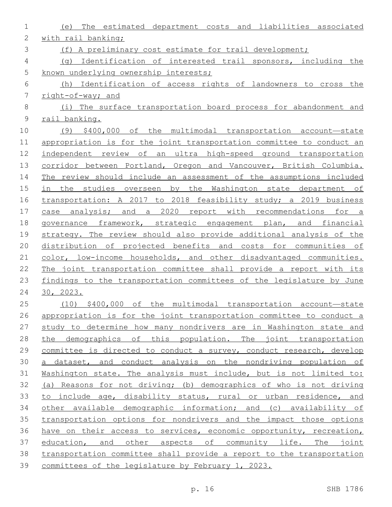| $\mathbf 1$    | The estimated department costs and liabilities associated<br>(e)      |
|----------------|-----------------------------------------------------------------------|
| $\mathbf{2}$   | with rail banking;                                                    |
| 3              | (f) A preliminary cost estimate for trail development;                |
| 4              | (q) Identification of interested trail sponsors, including the        |
| 5              | known underlying ownership interests;                                 |
| 6              | (h) Identification of access rights of landowners to cross the        |
| $\overline{7}$ | right-of-way; and                                                     |
| $\,8\,$        | (i) The surface transportation board process for abandonment and      |
| $\mathsf 9$    | rail banking.                                                         |
| 10             | (9) \$400,000 of the multimodal transportation account-state          |
| 11             | appropriation is for the joint transportation committee to conduct an |
| 12             | independent review of an ultra high-speed ground transportation       |
| 13             | corridor between Portland, Oregon and Vancouver, British Columbia.    |
| 14             | The review should include an assessment of the assumptions included   |
| 15             | in the studies overseen by the Washington state department of         |
| 16             | transportation: A 2017 to 2018 feasibility study; a 2019 business     |
| 17             | case analysis; and a 2020 report with recommendations for a           |
| 18             | governance framework, strategic engagement plan, and financial        |
| 19             | strategy. The review should also provide additional analysis of the   |
| 20             | distribution of projected benefits and costs for communities of       |
| 21             | color, low-income households, and other disadvantaged communities.    |
| 22             | The joint transportation committee shall provide a report with its    |
| 23             | findings to the transportation committees of the legislature by June  |
| 24             | 30, 2023.                                                             |
| 25             | $(10)$ \$400,000 of the multimodal transportation account-state       |
| 26             | appropriation is for the joint transportation committee to conduct a  |
| 27             | study to determine how many nondrivers are in Washington state and    |
| 28             | the demographics of this population. The joint transportation         |
| 29             | committee is directed to conduct a survey, conduct research, develop  |
| 30             | a dataset, and conduct analysis on the nondriving population of       |
| 31             | Washington state. The analysis must include, but is not limited to:   |
| 32             | (a) Reasons for not driving; (b) demographics of who is not driving   |
| 33             | to include age, disability status, rural or urban residence, and      |
| 34             | other available demographic information; and (c) availability of      |
| 35             | transportation options for nondrivers and the impact those options    |
| 36             | have on their access to services, economic opportunity, recreation,   |
| 37             | education, and other aspects of community life. The joint             |
| 38             | transportation committee shall provide a report to the transportation |
| 39             | committees of the legislature by February 1, 2023.                    |
|                |                                                                       |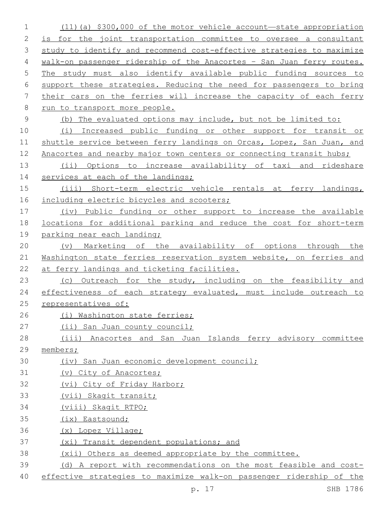(11)(a) \$300,000 of the motor vehicle account—state appropriation is for the joint transportation committee to oversee a consultant study to identify and recommend cost-effective strategies to maximize walk-on passenger ridership of the Anacortes – San Juan ferry routes. The study must also identify available public funding sources to support these strategies. Reducing the need for passengers to bring their cars on the ferries will increase the capacity of each ferry run to transport more people. (b) The evaluated options may include, but not be limited to: (i) Increased public funding or other support for transit or 11 shuttle service between ferry landings on Orcas, Lopez, San Juan, and 12 Anacortes and nearby major town centers or connecting transit hubs; (ii) Options to increase availability of taxi and rideshare 14 services at each of the landings; (iii) Short-term electric vehicle rentals at ferry landings, 16 including electric bicycles and scooters; (iv) Public funding or other support to increase the available locations for additional parking and reduce the cost for short-term 19 parking near each landing; (v) Marketing of the availability of options through the Washington state ferries reservation system website, on ferries and at ferry landings and ticketing facilities. 23 (c) Outreach for the study, including on the feasibility and effectiveness of each strategy evaluated, must include outreach to representatives of: (i) Washington state ferries; 27 (ii) San Juan county council; (iii) Anacortes and San Juan Islands ferry advisory committee members; (iv) San Juan economic development council; (v) City of Anacortes; (vi) City of Friday Harbor; (vii) Skagit transit; (viii) Skagit RTPO; (ix) Eastsound; (x) Lopez Village; (xi) Transit dependent populations; and (xii) Others as deemed appropriate by the committee. (d) A report with recommendations on the most feasible and cost-effective strategies to maximize walk-on passenger ridership of the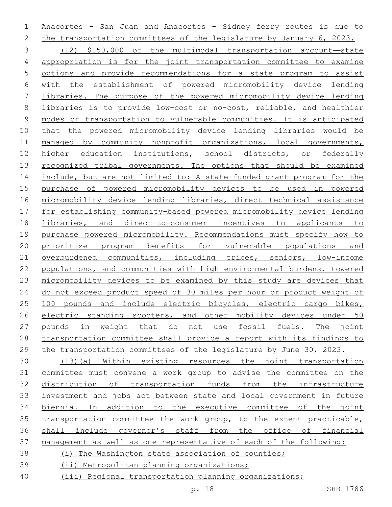Anacortes – San Juan and Anacortes - Sidney ferry routes is due to 2 the transportation committees of the legislature by January 6, 2023. (12) \$150,000 of the multimodal transportation account—state appropriation is for the joint transportation committee to examine options and provide recommendations for a state program to assist with the establishment of powered micromobility device lending libraries. The purpose of the powered micromobility device lending libraries is to provide low-cost or no-cost, reliable, and healthier modes of transportation to vulnerable communities. It is anticipated that the powered micromobility device lending libraries would be managed by community nonprofit organizations, local governments, 12 higher education institutions, school districts, or federally 13 recognized tribal governments. The options that should be examined include, but are not limited to: A state-funded grant program for the purchase of powered micromobility devices to be used in powered micromobility device lending libraries, direct technical assistance for establishing community-based powered micromobility device lending libraries, and direct-to-consumer incentives to applicants to purchase powered micromobility. Recommendations must specify how to 20 prioritize program benefits for vulnerable populations and overburdened communities, including tribes, seniors, low-income populations, and communities with high environmental burdens. Powered micromobility devices to be examined by this study are devices that do not exceed product speed of 30 miles per hour or product weight of 100 pounds and include electric bicycles, electric cargo bikes, electric standing scooters, and other mobility devices under 50 pounds in weight that do not use fossil fuels. The joint transportation committee shall provide a report with its findings to the transportation committees of the legislature by June 30, 2023. (13)(a) Within existing resources the joint transportation committee must convene a work group to advise the committee on the

 distribution of transportation funds from the infrastructure investment and jobs act between state and local government in future biennia. In addition to the executive committee of the joint transportation committee the work group, to the extent practicable, shall include governor's staff from the office of financial management as well as one representative of each of the following:

- (i) The Washington state association of counties;
- (ii) Metropolitan planning organizations;
- (iii) Regional transportation planning organizations;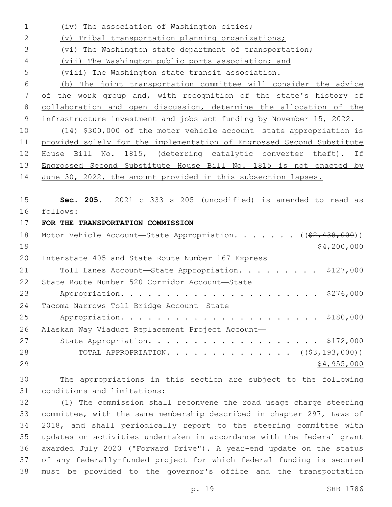| $\mathbf 1$    | (iv) The association of Washington cities;                               |
|----------------|--------------------------------------------------------------------------|
| $\mathbf{2}$   | (v) Tribal transportation planning organizations;                        |
| 3              | (vi) The Washington state department of transportation;                  |
| 4              | (vii) The Washington public ports association; and                       |
| 5              | (viii) The Washington state transit association.                         |
| 6              | (b) The joint transportation committee will consider the advice          |
| $\overline{7}$ | of the work group and, with recognition of the state's history of        |
| $\,8\,$        | collaboration and open discussion, determine the allocation of the       |
| $\mathsf 9$    | infrastructure investment and jobs act funding by November 15, 2022.     |
| 10             | $(14)$ \$300,000 of the motor vehicle account—state appropriation is     |
| 11             | provided solely for the implementation of Engrossed Second Substitute    |
| 12             | House Bill No. 1815, (deterring catalytic converter theft). If           |
| 13             | Engrossed Second Substitute House Bill No. 1815 is not enacted by        |
| 14             | June 30, 2022, the amount provided in this subsection lapses.            |
|                |                                                                          |
| 15             | Sec. 205. 2021 c 333 s 205 (uncodified) is amended to read as            |
| 16             | follows:                                                                 |
| 17             | FOR THE TRANSPORTATION COMMISSION                                        |
| 18             | Motor Vehicle Account-State Appropriation. ((\$2,438,000))               |
| 19             | \$4,200,000                                                              |
| 20             | Interstate 405 and State Route Number 167 Express                        |
| 21             | Toll Lanes Account-State Appropriation. \$127,000                        |
| 22             | State Route Number 520 Corridor Account-State                            |
| 23             |                                                                          |
|                | \$276,000                                                                |
| 24             | Tacoma Narrows Toll Bridge Account-State                                 |
| 25             |                                                                          |
| 26             | Alaskan Way Viaduct Replacement Project Account-                         |
| 27             | State Appropriation. \$172,000                                           |
| 28             | TOTAL APPROPRIATION. ( $(\frac{2}{7}, \frac{193}{193}, \frac{000}{193})$ |
| 29             | \$4,955,000                                                              |
| 30             | The appropriations in this section are subject to the following          |
| 31             | conditions and limitations:                                              |
| 32             | (1) The commission shall reconvene the road usage charge steering        |
| 33             | committee, with the same membership described in chapter 297, Laws of    |
| 34             | 2018, and shall periodically report to the steering committee with       |

 awarded July 2020 ("Forward Drive"). A year-end update on the status of any federally-funded project for which federal funding is secured must be provided to the governor's office and the transportation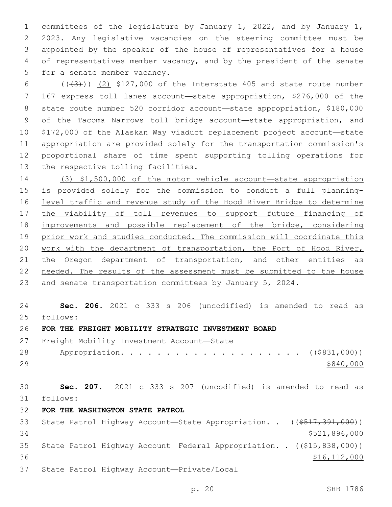1 committees of the legislature by January 1, 2022, and by January 1, 2 2023. Any legislative vacancies on the steering committee must be 3 appointed by the speaker of the house of representatives for a house 4 of representatives member vacancy, and by the president of the senate 5 for a senate member vacancy.

 $(1+3)$   $(2)$  \$127,000 of the Interstate 405 and state route number 167 express toll lanes account—state appropriation, \$276,000 of the state route number 520 corridor account—state appropriation, \$180,000 of the Tacoma Narrows toll bridge account—state appropriation, and \$172,000 of the Alaskan Way viaduct replacement project account—state appropriation are provided solely for the transportation commission's proportional share of time spent supporting tolling operations for 13 the respective tolling facilities.

14 (3) \$1,500,000 of the motor vehicle account—state appropriation 15 is provided solely for the commission to conduct a full planning-16 level traffic and revenue study of the Hood River Bridge to determine 17 the viability of toll revenues to support future financing of 18 improvements and possible replacement of the bridge, considering 19 prior work and studies conducted. The commission will coordinate this 20 work with the department of transportation, the Port of Hood River, 21 the Oregon department of transportation, and other entities as 22 needed. The results of the assessment must be submitted to the house 23 and senate transportation committees by January 5, 2024.

24 **Sec. 206.** 2021 c 333 s 206 (uncodified) is amended to read as follows: 25

# 26 **FOR THE FREIGHT MOBILITY STRATEGIC INVESTMENT BOARD**

27 Freight Mobility Investment Account-State

28 Appropriation. . . . . . . . . . . . . . . . . . (  $(\frac{2831,000}{1,000})$  $29$   $$840,000$ 

30 **Sec. 207.** 2021 c 333 s 207 (uncodified) is amended to read as follows: 31

32 **FOR THE WASHINGTON STATE PATROL**

| 33  |  | State Patrol Highway Account-State Appropriation. . ((\$517,391,000))  |                |
|-----|--|------------------------------------------------------------------------|----------------|
| 34  |  |                                                                        | \$521,896,000  |
| 35  |  | State Patrol Highway Account—Federal Appropriation. . ((\$15,838,000)) |                |
| 36. |  |                                                                        | \$16, 112, 000 |
| 37  |  | State Patrol Highway Account-Private/Local                             |                |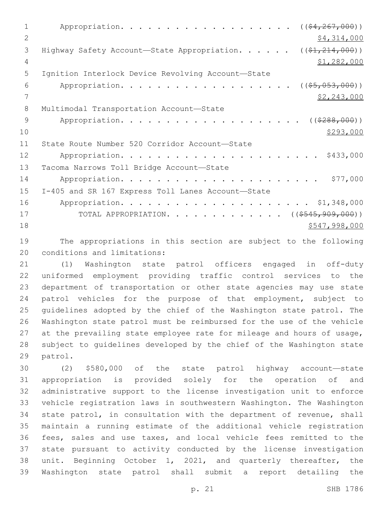1 Appropriation. . . . . . . . . . . . . . . . . (  $(\frac{64,267,000}{5})$ 2  $\frac{1}{2}$   $\frac{1}{2}$   $\frac{1}{2}$   $\frac{1}{2}$   $\frac{1}{2}$   $\frac{1}{2}$   $\frac{1}{2}$   $\frac{1}{2}$   $\frac{1}{2}$   $\frac{1}{2}$   $\frac{1}{2}$   $\frac{1}{2}$   $\frac{1}{2}$   $\frac{1}{2}$   $\frac{1}{2}$   $\frac{1}{2}$   $\frac{1}{2}$   $\frac{1}{2}$   $\frac{1}{2}$   $\frac{1}{2}$   $\frac{1}{2}$   $\frac{1}{2}$ 3 Highway Safety Account—State Appropriation. . . . . . ((\$1,214,000)) 4 \$1,282,000 5 Ignition Interlock Device Revolving Account-State 6 Appropriation. . . . . . . . . . . . . . . . . (  $(\frac{25}{1000})$  )  $7 \frac{\text{S2,243,000}}{9}$ 8 Multimodal Transportation Account-State 9 Appropriation. . . . . . . . . . . . . . . . . . (  $(\frac{2888,000}{1})$  $\frac{$293,000}{ }$ 11 State Route Number 520 Corridor Account-State 12 Appropriation. . . . . . . . . . . . . . . . . . . . . . \$433,000 13 Tacoma Narrows Toll Bridge Account-State 14 Appropriation. . . . . . . . . . . . . . . . . . . . . . \$77,000 15 I-405 and SR 167 Express Toll Lanes Account-State 16 Appropriation. . . . . . . . . . . . . . . . . . . . . \$1,348,000 17 TOTAL APPROPRIATION. . . . . . . . . . . . ((<del>\$545,909,000</del>)) 18 \$547,998,000

19 The appropriations in this section are subject to the following 20 conditions and limitations:

 (1) Washington state patrol officers engaged in off-duty uniformed employment providing traffic control services to the department of transportation or other state agencies may use state patrol vehicles for the purpose of that employment, subject to guidelines adopted by the chief of the Washington state patrol. The Washington state patrol must be reimbursed for the use of the vehicle at the prevailing state employee rate for mileage and hours of usage, subject to guidelines developed by the chief of the Washington state 29 patrol.

 (2) \$580,000 of the state patrol highway account—state appropriation is provided solely for the operation of and administrative support to the license investigation unit to enforce vehicle registration laws in southwestern Washington. The Washington state patrol, in consultation with the department of revenue, shall maintain a running estimate of the additional vehicle registration fees, sales and use taxes, and local vehicle fees remitted to the state pursuant to activity conducted by the license investigation unit. Beginning October 1, 2021, and quarterly thereafter, the Washington state patrol shall submit a report detailing the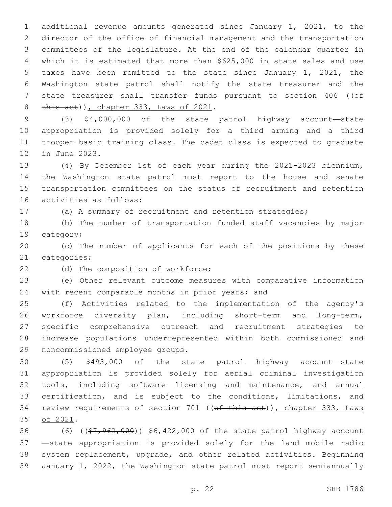additional revenue amounts generated since January 1, 2021, to the director of the office of financial management and the transportation committees of the legislature. At the end of the calendar quarter in which it is estimated that more than \$625,000 in state sales and use taxes have been remitted to the state since January 1, 2021, the Washington state patrol shall notify the state treasurer and the 7 state treasurer shall transfer funds pursuant to section 406 (( $\Theta$ f) this act)), chapter 333, Laws of 2021.

 (3) \$4,000,000 of the state patrol highway account—state appropriation is provided solely for a third arming and a third trooper basic training class. The cadet class is expected to graduate 12 in June 2023.

 (4) By December 1st of each year during the 2021-2023 biennium**,**  the Washington state patrol must report to the house and senate transportation committees on the status of recruitment and retention 16 activities as follows:

(a) A summary of recruitment and retention strategies;

 (b) The number of transportation funded staff vacancies by major 19 category;

 (c) The number of applicants for each of the positions by these 21 categories;

22 (d) The composition of workforce;

 (e) Other relevant outcome measures with comparative information 24 with recent comparable months in prior years; and

 (f) Activities related to the implementation of the agency's workforce diversity plan, including short-term and long-term, specific comprehensive outreach and recruitment strategies to increase populations underrepresented within both commissioned and 29 noncommissioned employee groups.

 (5) \$493,000 of the state patrol highway account—state appropriation is provided solely for aerial criminal investigation tools, including software licensing and maintenance, and annual certification, and is subject to the conditions, limitations, and 34 review requirements of section 701 ((of this act)), chapter 333, Laws 35 of 2021.

36 (6) ((\$7,962,000)) \$6,422,000 of the state patrol highway account —state appropriation is provided solely for the land mobile radio system replacement, upgrade, and other related activities. Beginning January 1, 2022, the Washington state patrol must report semiannually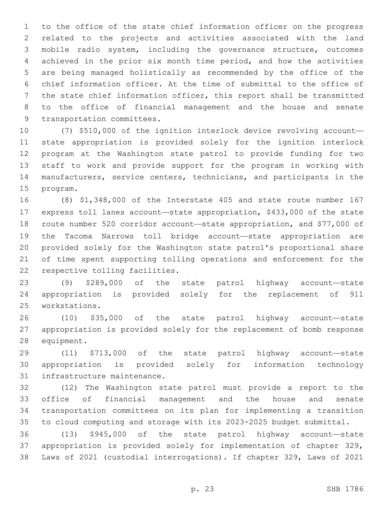to the office of the state chief information officer on the progress related to the projects and activities associated with the land mobile radio system, including the governance structure, outcomes achieved in the prior six month time period, and how the activities are being managed holistically as recommended by the office of the chief information officer. At the time of submittal to the office of the state chief information officer, this report shall be transmitted to the office of financial management and the house and senate 9 transportation committees.

 (7) \$510,000 of the ignition interlock device revolving account— state appropriation is provided solely for the ignition interlock program at the Washington state patrol to provide funding for two staff to work and provide support for the program in working with manufacturers, service centers, technicians, and participants in the 15 program.

 (8) \$1,348,000 of the Interstate 405 and state route number 167 express toll lanes account—state appropriation, \$433,000 of the state route number 520 corridor account—state appropriation, and \$77,000 of the Tacoma Narrows toll bridge account—state appropriation are provided solely for the Washington state patrol's proportional share of time spent supporting tolling operations and enforcement for the 22 respective tolling facilities.

 (9) \$289,000 of the state patrol highway account—state appropriation is provided solely for the replacement of 911 workstations.25

 (10) \$35,000 of the state patrol highway account—state appropriation is provided solely for the replacement of bomb response 28 equipment.

 (11) \$713,000 of the state patrol highway account—state appropriation is provided solely for information technology 31 infrastructure maintenance.

 (12) The Washington state patrol must provide a report to the office of financial management and the house and senate transportation committees on its plan for implementing a transition to cloud computing and storage with its 2023-2025 budget submittal.

 (13) \$945,000 of the state patrol highway account—state appropriation is provided solely for implementation of chapter 329, Laws of 2021 (custodial interrogations). If chapter 329, Laws of 2021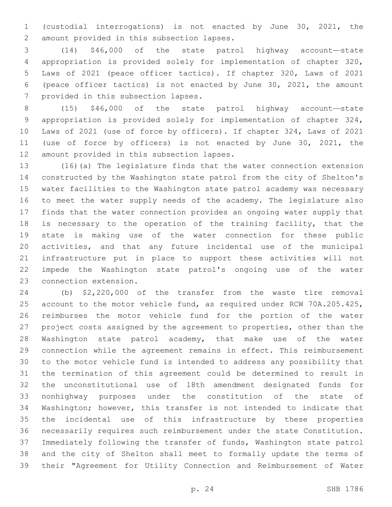(custodial interrogations) is not enacted by June 30, 2021, the 2 amount provided in this subsection lapses.

 (14) \$46,000 of the state patrol highway account—state appropriation is provided solely for implementation of chapter 320, Laws of 2021 (peace officer tactics). If chapter 320, Laws of 2021 (peace officer tactics) is not enacted by June 30, 2021, the amount 7 provided in this subsection lapses.

 (15) \$46,000 of the state patrol highway account—state appropriation is provided solely for implementation of chapter 324, Laws of 2021 (use of force by officers). If chapter 324, Laws of 2021 (use of force by officers) is not enacted by June 30, 2021, the 12 amount provided in this subsection lapses.

 (16)(a) The legislature finds that the water connection extension constructed by the Washington state patrol from the city of Shelton's water facilities to the Washington state patrol academy was necessary to meet the water supply needs of the academy. The legislature also finds that the water connection provides an ongoing water supply that 18 is necessary to the operation of the training facility, that the state is making use of the water connection for these public activities, and that any future incidental use of the municipal infrastructure put in place to support these activities will not impede the Washington state patrol's ongoing use of the water 23 connection extension.

 (b) \$2,220,000 of the transfer from the waste tire removal account to the motor vehicle fund, as required under RCW 70A.205.425, reimburses the motor vehicle fund for the portion of the water project costs assigned by the agreement to properties, other than the Washington state patrol academy, that make use of the water connection while the agreement remains in effect. This reimbursement to the motor vehicle fund is intended to address any possibility that the termination of this agreement could be determined to result in the unconstitutional use of 18th amendment designated funds for nonhighway purposes under the constitution of the state of Washington; however, this transfer is not intended to indicate that the incidental use of this infrastructure by these properties necessarily requires such reimbursement under the state Constitution. Immediately following the transfer of funds, Washington state patrol and the city of Shelton shall meet to formally update the terms of their "Agreement for Utility Connection and Reimbursement of Water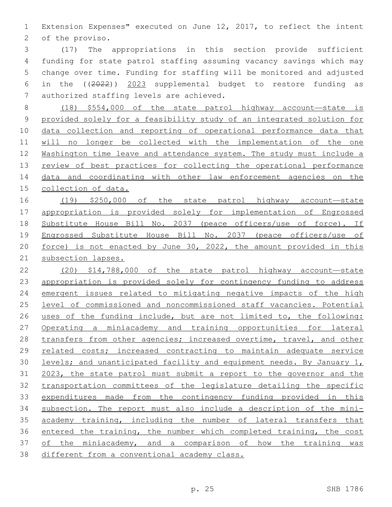Extension Expenses" executed on June 12, 2017, to reflect the intent 2 of the proviso.

 (17) The appropriations in this section provide sufficient funding for state patrol staffing assuming vacancy savings which may change over time. Funding for staffing will be monitored and adjusted in the ((2022)) 2023 supplemental budget to restore funding as 7 authorized staffing levels are achieved.

 (18) \$554,000 of the state patrol highway account—state is provided solely for a feasibility study of an integrated solution for data collection and reporting of operational performance data that will no longer be collected with the implementation of the one 12 Washington time leave and attendance system. The study must include a review of best practices for collecting the operational performance data and coordinating with other law enforcement agencies on the collection of data.

 (19) \$250,000 of the state patrol highway account—state 17 appropriation is provided solely for implementation of Engrossed Substitute House Bill No. 2037 (peace officers/use of force). If Engrossed Substitute House Bill No. 2037 (peace officers/use of force) is not enacted by June 30, 2022, the amount provided in this subsection lapses.

 (20) \$14,788,000 of the state patrol highway account—state appropriation is provided solely for contingency funding to address emergent issues related to mitigating negative impacts of the high level of commissioned and noncommissioned staff vacancies. Potential uses of the funding include, but are not limited to, the following: Operating a miniacademy and training opportunities for lateral transfers from other agencies; increased overtime, travel, and other related costs; increased contracting to maintain adequate service levels; and unanticipated facility and equipment needs. By January 1, 2023, the state patrol must submit a report to the governor and the transportation committees of the legislature detailing the specific 33 expenditures made from the contingency funding provided in this subsection. The report must also include a description of the mini- academy training, including the number of lateral transfers that entered the training, the number which completed training, the cost of the miniacademy, and a comparison of how the training was different from a conventional academy class.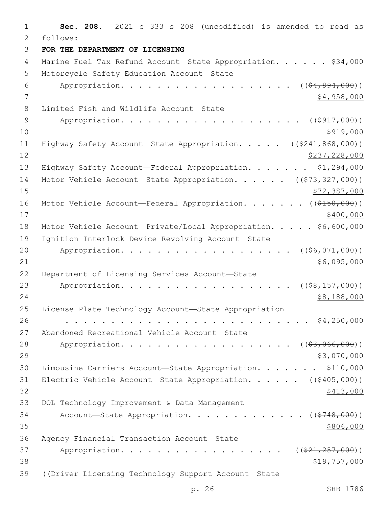1 **Sec. 208.** 2021 c 333 s 208 (uncodified) is amended to read as 2 follows: 3 **FOR THE DEPARTMENT OF LICENSING** 4 Marine Fuel Tax Refund Account-State Appropriation. . . . . \$34,000 5 Motorcycle Safety Education Account-State 6 Appropriation. . . . . . . . . . . . . . . . .  $($  $($  $$\frac{4}{2}$  $,$   $894$  $,$   $000)$ )$ 7 \$4,958,000 8 Limited Fish and Wildlife Account-State 9 Appropriation. . . . . . . . . . . . . . . . .  $($   $($   $\frac{1}{917}$ ,  $000)$ )  $10 \frac{\$919,000}{}$ 11 Highway Safety Account—State Appropriation. . . . . ((\$241,868,000))  $12$  \$237,228,000 13 Highway Safety Account—Federal Appropriation. . . . . . . \$1,294,000 14 Motor Vehicle Account—State Appropriation. . . . . ((\$73,327,000))  $15$  \$72,387,000 16 Motor Vehicle Account—Federal Appropriation. . . . . . ((\$150,000))  $17$  \$400,000 18 Motor Vehicle Account-Private/Local Appropriation. . . . \$6,600,000 19 Ignition Interlock Device Revolving Account-State 20 Appropriation. . . . . . . . . . . . . . . . . (  $(\frac{26}{100})$ )  $21$   $$6,095,000$ 22 Department of Licensing Services Account-State 23 Appropriation. . . . . . . . . . . . . . . . . . ((\$8,157,000)) 24 \$8,188,000 \$98,188,000 25 License Plate Technology Account—State Appropriation 26 . . . . . . . . . . . . . . . . . . . . . . . . . . . \$4,250,000 27 Abandoned Recreational Vehicle Account-State 28 Appropriation. . . . . . . . . . . . . . . . . (  $(\frac{23,066,000)}{}$ 29 \$3,070,000 30 Limousine Carriers Account—State Appropriation. . . . . . . \$110,000 31 Electric Vehicle Account—State Appropriation. . . . . ((\$405,000))  $32 \frac{\$413,000}{}$ 33 DOL Technology Improvement & Data Management 34 Account—State Appropriation. . . . . . . . . . . . ((\$748,000))  $35$ Agency Financial Transaction Account—State36 37 Appropriation. . . . . . . . . . . . . . . . (  $(\frac{221,257,000)}{21,257,000)}$  $38$   $$19,757,000$ 39 ((<del>Driver Licensing Technology Support Account State</del>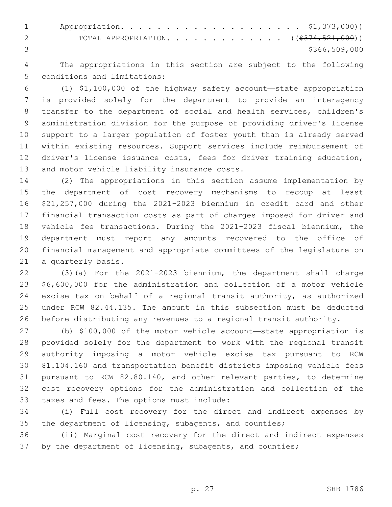Appropriation. . . . . . . . . . . . . . . . . . . . \$1,373,000)) 2 TOTAL APPROPRIATION. . . . . . . . . . . . ((\$374,521,000)) \$366,509,000

 The appropriations in this section are subject to the following 5 conditions and limitations:

 (1) \$1,100,000 of the highway safety account—state appropriation is provided solely for the department to provide an interagency transfer to the department of social and health services, children's administration division for the purpose of providing driver's license support to a larger population of foster youth than is already served within existing resources. Support services include reimbursement of driver's license issuance costs, fees for driver training education, 13 and motor vehicle liability insurance costs.

 (2) The appropriations in this section assume implementation by the department of cost recovery mechanisms to recoup at least \$21,257,000 during the 2021-2023 biennium in credit card and other financial transaction costs as part of charges imposed for driver and vehicle fee transactions. During the 2021-2023 fiscal biennium, the department must report any amounts recovered to the office of financial management and appropriate committees of the legislature on 21 a quarterly basis.

 (3)(a) For the 2021-2023 biennium, the department shall charge \$6,600,000 for the administration and collection of a motor vehicle excise tax on behalf of a regional transit authority, as authorized under RCW 82.44.135. The amount in this subsection must be deducted before distributing any revenues to a regional transit authority.

 (b) \$100,000 of the motor vehicle account—state appropriation is provided solely for the department to work with the regional transit authority imposing a motor vehicle excise tax pursuant to RCW 81.104.160 and transportation benefit districts imposing vehicle fees pursuant to RCW 82.80.140, and other relevant parties, to determine cost recovery options for the administration and collection of the 33 taxes and fees. The options must include:

 (i) Full cost recovery for the direct and indirect expenses by 35 the department of licensing, subagents, and counties;

 (ii) Marginal cost recovery for the direct and indirect expenses 37 by the department of licensing, subagents, and counties;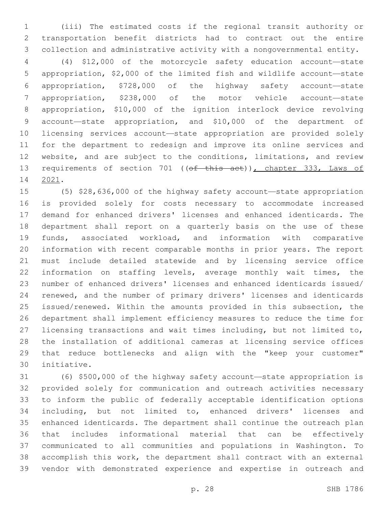(iii) The estimated costs if the regional transit authority or transportation benefit districts had to contract out the entire collection and administrative activity with a nongovernmental entity.

 (4) \$12,000 of the motorcycle safety education account—state appropriation, \$2,000 of the limited fish and wildlife account—state appropriation, \$728,000 of the highway safety account—state appropriation, \$238,000 of the motor vehicle account—state appropriation, \$10,000 of the ignition interlock device revolving account—state appropriation, and \$10,000 of the department of licensing services account—state appropriation are provided solely for the department to redesign and improve its online services and website, and are subject to the conditions, limitations, and review 13 requirements of section 701 ((of this act)), chapter 333, Laws of 14 2021.

 (5) \$28,636,000 of the highway safety account—state appropriation is provided solely for costs necessary to accommodate increased demand for enhanced drivers' licenses and enhanced identicards. The department shall report on a quarterly basis on the use of these funds, associated workload, and information with comparative information with recent comparable months in prior years. The report must include detailed statewide and by licensing service office information on staffing levels, average monthly wait times, the number of enhanced drivers' licenses and enhanced identicards issued/ renewed, and the number of primary drivers' licenses and identicards issued/renewed. Within the amounts provided in this subsection, the department shall implement efficiency measures to reduce the time for licensing transactions and wait times including, but not limited to, the installation of additional cameras at licensing service offices that reduce bottlenecks and align with the "keep your customer" initiative.30

 (6) \$500,000 of the highway safety account—state appropriation is provided solely for communication and outreach activities necessary to inform the public of federally acceptable identification options including, but not limited to, enhanced drivers' licenses and enhanced identicards. The department shall continue the outreach plan that includes informational material that can be effectively communicated to all communities and populations in Washington. To accomplish this work, the department shall contract with an external vendor with demonstrated experience and expertise in outreach and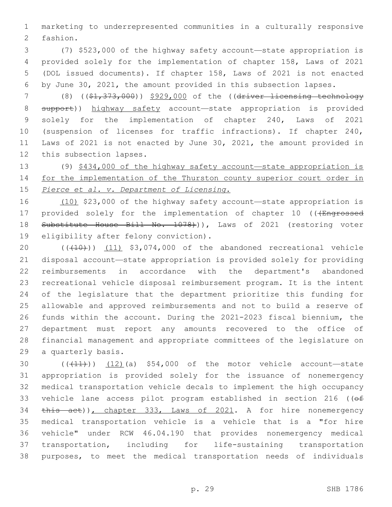marketing to underrepresented communities in a culturally responsive 2 fashion.

 (7) \$523,000 of the highway safety account—state appropriation is provided solely for the implementation of chapter 158, Laws of 2021 (DOL issued documents). If chapter 158, Laws of 2021 is not enacted by June 30, 2021, the amount provided in this subsection lapses.

 (8) ((\$1,373,000)) \$929,000 of the ((driver licensing technology 8 support)) highway safety account—state appropriation is provided solely for the implementation of chapter 240, Laws of 2021 (suspension of licenses for traffic infractions). If chapter 240, Laws of 2021 is not enacted by June 30, 2021, the amount provided in 12 this subsection lapses.

 (9) \$434,000 of the highway safety account—state appropriation is 14 for the implementation of the Thurston county superior court order in *Pierce et al. v. Department of Licensing*.

 (10) \$23,000 of the highway safety account—state appropriation is 17 provided solely for the implementation of chapter 10 (((Engrossed 18 Substitute House Bill No. 1078))), Laws of 2021 (restoring voter 19 eligibility after felony conviction).

20 (((410)) (11) \$3,074,000 of the abandoned recreational vehicle disposal account—state appropriation is provided solely for providing reimbursements in accordance with the department's abandoned recreational vehicle disposal reimbursement program. It is the intent of the legislature that the department prioritize this funding for allowable and approved reimbursements and not to build a reserve of funds within the account. During the 2021-2023 fiscal biennium, the department must report any amounts recovered to the office of financial management and appropriate committees of the legislature on 29 a quarterly basis.

 ( $(\overline{+11})$ ) (12)(a) \$54,000 of the motor vehicle account—state appropriation is provided solely for the issuance of nonemergency medical transportation vehicle decals to implement the high occupancy 33 vehicle lane access pilot program established in section 216 ((of 34 this act)), chapter 333, Laws of 2021. A for hire nonemergency medical transportation vehicle is a vehicle that is a "for hire vehicle" under RCW 46.04.190 that provides nonemergency medical transportation, including for life-sustaining transportation purposes, to meet the medical transportation needs of individuals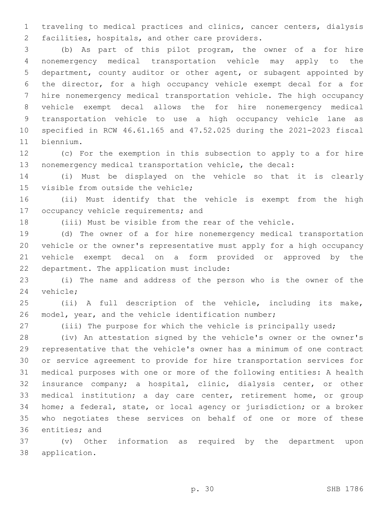traveling to medical practices and clinics, cancer centers, dialysis 2 facilities, hospitals, and other care providers.

 (b) As part of this pilot program, the owner of a for hire nonemergency medical transportation vehicle may apply to the department, county auditor or other agent, or subagent appointed by the director, for a high occupancy vehicle exempt decal for a for hire nonemergency medical transportation vehicle. The high occupancy vehicle exempt decal allows the for hire nonemergency medical transportation vehicle to use a high occupancy vehicle lane as specified in RCW 46.61.165 and 47.52.025 during the 2021-2023 fiscal 11 biennium.

 (c) For the exemption in this subsection to apply to a for hire nonemergency medical transportation vehicle, the decal:

 (i) Must be displayed on the vehicle so that it is clearly 15 visible from outside the vehicle;

 (ii) Must identify that the vehicle is exempt from the high 17 occupancy vehicle requirements; and

(iii) Must be visible from the rear of the vehicle.

 (d) The owner of a for hire nonemergency medical transportation vehicle or the owner's representative must apply for a high occupancy vehicle exempt decal on a form provided or approved by the 22 department. The application must include:

 (i) The name and address of the person who is the owner of the 24 vehicle;

 (ii) A full description of the vehicle, including its make, model, year, and the vehicle identification number;

(iii) The purpose for which the vehicle is principally used;

 (iv) An attestation signed by the vehicle's owner or the owner's representative that the vehicle's owner has a minimum of one contract or service agreement to provide for hire transportation services for medical purposes with one or more of the following entities: A health insurance company; a hospital, clinic, dialysis center, or other medical institution; a day care center, retirement home, or group home; a federal, state, or local agency or jurisdiction; or a broker who negotiates these services on behalf of one or more of these 36 entities; and

 (v) Other information as required by the department upon 38 application.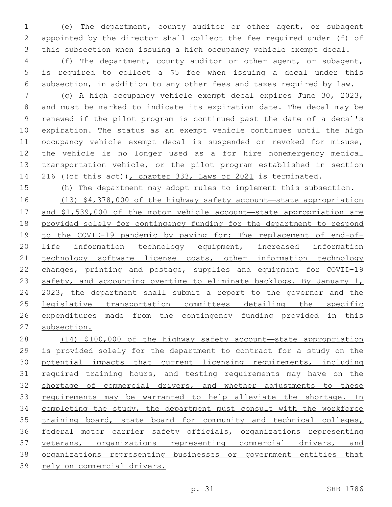(e) The department, county auditor or other agent, or subagent appointed by the director shall collect the fee required under (f) of this subsection when issuing a high occupancy vehicle exempt decal.

 (f) The department, county auditor or other agent, or subagent, is required to collect a \$5 fee when issuing a decal under this subsection, in addition to any other fees and taxes required by law.

 (g) A high occupancy vehicle exempt decal expires June 30, 2023, and must be marked to indicate its expiration date. The decal may be renewed if the pilot program is continued past the date of a decal's expiration. The status as an exempt vehicle continues until the high occupancy vehicle exempt decal is suspended or revoked for misuse, the vehicle is no longer used as a for hire nonemergency medical transportation vehicle, or the pilot program established in section 14 216 ((of this act)), chapter 333, Laws of 2021 is terminated.

(h) The department may adopt rules to implement this subsection.

 (13) \$4,378,000 of the highway safety account—state appropriation and \$1,539,000 of the motor vehicle account—state appropriation are provided solely for contingency funding for the department to respond to the COVID-19 pandemic by paying for: The replacement of end-of-20 life information technology equipment, increased information technology software license costs, other information technology changes, printing and postage, supplies and equipment for COVID-19 23 safety, and accounting overtime to eliminate backlogs. By January 1, 2023, the department shall submit a report to the governor and the legislative transportation committees detailing the specific expenditures made from the contingency funding provided in this subsection.

 (14) \$100,000 of the highway safety account—state appropriation is provided solely for the department to contract for a study on the potential impacts that current licensing requirements, including 31 required training hours, and testing requirements may have on the shortage of commercial drivers, and whether adjustments to these requirements may be warranted to help alleviate the shortage. In 34 completing the study, the department must consult with the workforce training board, state board for community and technical colleges, federal motor carrier safety officials, organizations representing 37 veterans, organizations representing commercial drivers, and organizations representing businesses or government entities that rely on commercial drivers.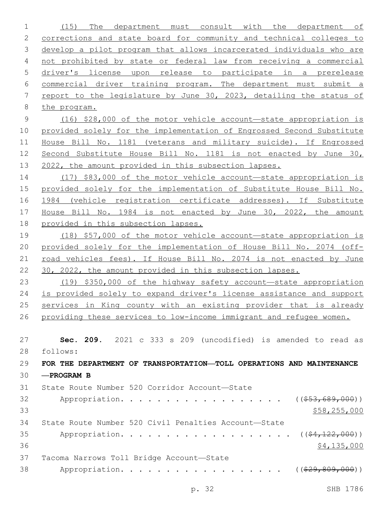(15) The department must consult with the department of corrections and state board for community and technical colleges to develop a pilot program that allows incarcerated individuals who are not prohibited by state or federal law from receiving a commercial driver's license upon release to participate in a prerelease commercial driver training program. The department must submit a report to the legislature by June 30, 2023, detailing the status of the program. (16) \$28,000 of the motor vehicle account—state appropriation is provided solely for the implementation of Engrossed Second Substitute House Bill No. 1181 (veterans and military suicide). If Engrossed Second Substitute House Bill No. 1181 is not enacted by June 30, 2022, the amount provided in this subsection lapses. (17) \$83,000 of the motor vehicle account—state appropriation is provided solely for the implementation of Substitute House Bill No. 1984 (vehicle registration certificate addresses). If Substitute House Bill No. 1984 is not enacted by June 30, 2022, the amount provided in this subsection lapses. (18) \$57,000 of the motor vehicle account—state appropriation is provided solely for the implementation of House Bill No. 2074 (off- road vehicles fees). If House Bill No. 2074 is not enacted by June 30, 2022, the amount provided in this subsection lapses. (19) \$350,000 of the highway safety account—state appropriation is provided solely to expand driver's license assistance and support services in King county with an existing provider that is already 26 providing these services to low-income immigrant and refugee women. **Sec. 209.** 2021 c 333 s 209 (uncodified) is amended to read as follows: 28 **FOR THE DEPARTMENT OF TRANSPORTATION—TOLL OPERATIONS AND MAINTENANCE —PROGRAM B** 31 State Route Number 520 Corridor Account-State 32 Appropriation. . . . . . . . . . . . . . . . (  $(\frac{253,689,000}{s})$  \$58,255,000 State Route Number 520 Civil Penalties Account—State 35 Appropriation. . . . . . . . . . . . . . . . . (  $(\frac{24,122,000}{1})$   $$4,135,000$ 37 Tacoma Narrows Toll Bridge Account-State 38 Appropriation. . . . . . . . . . . . . . . . . ((\$29,809,000))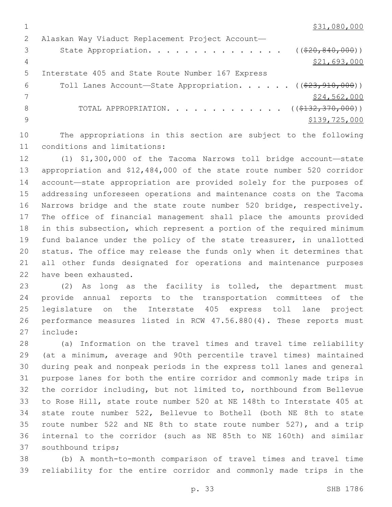\$31,080,000

|    | Alaskan Way Viaduct Replacement Project Account-                            |
|----|-----------------------------------------------------------------------------|
| 3  | State Appropriation. ( $(\frac{20}{820}, \frac{840}{100})$ )                |
| 4  | \$21,693,000                                                                |
| .5 | Interstate 405 and State Route Number 167 Express                           |
| 6  | Toll Lanes Account-State Appropriation. ( $(\frac{23}{7}\frac{910}{000})$ ) |
|    | \$24,562,000                                                                |
| 8  | TOTAL APPROPRIATION. ( $(\frac{2132}{770},000)$ )                           |
|    | \$139,725,000                                                               |
|    |                                                                             |

 The appropriations in this section are subject to the following 11 conditions and limitations:

 (1) \$1,300,000 of the Tacoma Narrows toll bridge account—state appropriation and \$12,484,000 of the state route number 520 corridor account—state appropriation are provided solely for the purposes of addressing unforeseen operations and maintenance costs on the Tacoma Narrows bridge and the state route number 520 bridge, respectively. The office of financial management shall place the amounts provided in this subsection, which represent a portion of the required minimum fund balance under the policy of the state treasurer, in unallotted status. The office may release the funds only when it determines that all other funds designated for operations and maintenance purposes 22 have been exhausted.

 (2) As long as the facility is tolled, the department must provide annual reports to the transportation committees of the legislature on the Interstate 405 express toll lane project performance measures listed in RCW 47.56.880(4). These reports must 27 include:

 (a) Information on the travel times and travel time reliability (at a minimum, average and 90th percentile travel times) maintained during peak and nonpeak periods in the express toll lanes and general purpose lanes for both the entire corridor and commonly made trips in the corridor including, but not limited to, northbound from Bellevue to Rose Hill, state route number 520 at NE 148th to Interstate 405 at state route number 522, Bellevue to Bothell (both NE 8th to state route number 522 and NE 8th to state route number 527), and a trip internal to the corridor (such as NE 85th to NE 160th) and similar 37 southbound trips;

 (b) A month-to-month comparison of travel times and travel time reliability for the entire corridor and commonly made trips in the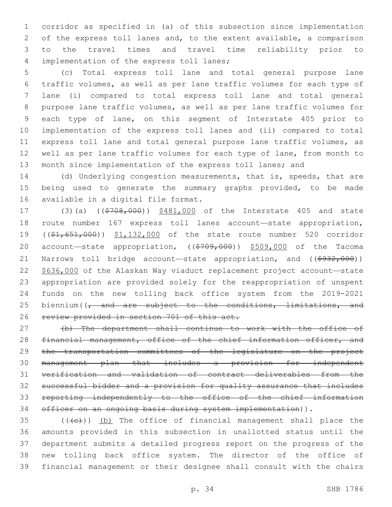corridor as specified in (a) of this subsection since implementation of the express toll lanes and, to the extent available, a comparison to the travel times and travel time reliability prior to 4 implementation of the express toll lanes;

 (c) Total express toll lane and total general purpose lane traffic volumes, as well as per lane traffic volumes for each type of lane (i) compared to total express toll lane and total general purpose lane traffic volumes, as well as per lane traffic volumes for each type of lane, on this segment of Interstate 405 prior to implementation of the express toll lanes and (ii) compared to total express toll lane and total general purpose lane traffic volumes, as well as per lane traffic volumes for each type of lane, from month to month since implementation of the express toll lanes; and

 (d) Underlying congestion measurements, that is, speeds, that are being used to generate the summary graphs provided, to be made 16 available in a digital file format.

17 (3)(a) ((\$708,000)) \$481,000 of the Interstate 405 and state route number 167 express toll lanes account—state appropriation, 19 ((\$1,651,000)) \$1,132,000 of the state route number 520 corridor 20 account—state appropriation, ((\$709,000)) \$509,000 of the Tacoma 21 Narrows toll bridge account—state appropriation, and ((\$932,000)) \$636,000 of the Alaskan Way viaduct replacement project account—state appropriation are provided solely for the reappropriation of unspent funds on the new tolling back office system from the 2019-2021 25 biennium ( $\sqrt{7}$  and are subject to the conditions, limitations, and 26 review provided in section 701 of this act.

 (b) The department shall continue to work with the office of 28 financial management, office of the chief information officer, and the transportation committees of the legislature on the project management plan that includes a provision for independent verification and validation of contract deliverables from the successful bidder and a provision for quality assurance that includes reporting independently to the office of the chief information 34 officer on an ongoing basis during system implementation)).

 (( $\left(\frac{1}{10}\right)$ ) (b) The office of financial management shall place the amounts provided in this subsection in unallotted status until the department submits a detailed progress report on the progress of the new tolling back office system. The director of the office of financial management or their designee shall consult with the chairs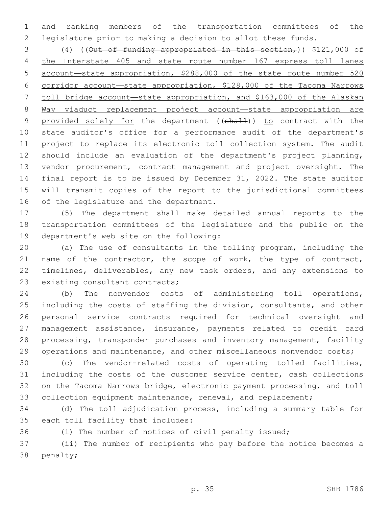and ranking members of the transportation committees of the legislature prior to making a decision to allot these funds.

3 (4) ((Out of funding appropriated in this section,)) \$121,000 of the Interstate 405 and state route number 167 express toll lanes account—state appropriation, \$288,000 of the state route number 520 corridor account—state appropriation, \$128,000 of the Tacoma Narrows toll bridge account—state appropriation, and \$163,000 of the Alaskan Way viaduct replacement project account—state appropriation are 9 provided solely for the department ((shall)) to contract with the state auditor's office for a performance audit of the department's project to replace its electronic toll collection system. The audit should include an evaluation of the department's project planning, vendor procurement, contract management and project oversight. The final report is to be issued by December 31, 2022. The state auditor will transmit copies of the report to the jurisdictional committees 16 of the legislature and the department.

 (5) The department shall make detailed annual reports to the transportation committees of the legislature and the public on the 19 department's web site on the following:

 (a) The use of consultants in the tolling program, including the 21 name of the contractor, the scope of work, the type of contract, timelines, deliverables, any new task orders, and any extensions to 23 existing consultant contracts;

 (b) The nonvendor costs of administering toll operations, including the costs of staffing the division, consultants, and other personal service contracts required for technical oversight and management assistance, insurance, payments related to credit card processing, transponder purchases and inventory management, facility 29 operations and maintenance, and other miscellaneous nonvendor costs;

 (c) The vendor-related costs of operating tolled facilities, including the costs of the customer service center, cash collections on the Tacoma Narrows bridge, electronic payment processing, and toll 33 collection equipment maintenance, renewal, and replacement;

 (d) The toll adjudication process, including a summary table for 35 each toll facility that includes:

(i) The number of notices of civil penalty issued;

 (ii) The number of recipients who pay before the notice becomes a 38 penalty;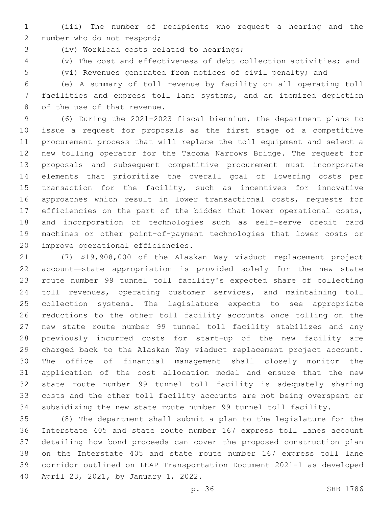(iii) The number of recipients who request a hearing and the 2 number who do not respond;

(iv) Workload costs related to hearings;3

(v) The cost and effectiveness of debt collection activities; and

(vi) Revenues generated from notices of civil penalty; and

 (e) A summary of toll revenue by facility on all operating toll facilities and express toll lane systems, and an itemized depiction 8 of the use of that revenue.

 (6) During the 2021-2023 fiscal biennium, the department plans to issue a request for proposals as the first stage of a competitive procurement process that will replace the toll equipment and select a new tolling operator for the Tacoma Narrows Bridge. The request for proposals and subsequent competitive procurement must incorporate elements that prioritize the overall goal of lowering costs per 15 transaction for the facility, such as incentives for innovative approaches which result in lower transactional costs, requests for efficiencies on the part of the bidder that lower operational costs, and incorporation of technologies such as self-serve credit card machines or other point-of-payment technologies that lower costs or 20 improve operational efficiencies.

 (7) \$19,908,000 of the Alaskan Way viaduct replacement project account—state appropriation is provided solely for the new state route number 99 tunnel toll facility's expected share of collecting toll revenues, operating customer services, and maintaining toll collection systems. The legislature expects to see appropriate reductions to the other toll facility accounts once tolling on the new state route number 99 tunnel toll facility stabilizes and any previously incurred costs for start-up of the new facility are charged back to the Alaskan Way viaduct replacement project account. The office of financial management shall closely monitor the application of the cost allocation model and ensure that the new state route number 99 tunnel toll facility is adequately sharing costs and the other toll facility accounts are not being overspent or subsidizing the new state route number 99 tunnel toll facility.

 (8) The department shall submit a plan to the legislature for the Interstate 405 and state route number 167 express toll lanes account detailing how bond proceeds can cover the proposed construction plan on the Interstate 405 and state route number 167 express toll lane corridor outlined on LEAP Transportation Document 2021-1 as developed 40 April 23, 2021, by January 1, 2022.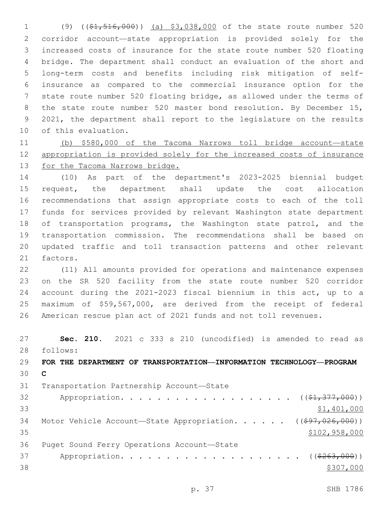(9) ((\$1,516,000)) (a) \$3,038,000 of the state route number 520 corridor account—state appropriation is provided solely for the increased costs of insurance for the state route number 520 floating bridge. The department shall conduct an evaluation of the short and long-term costs and benefits including risk mitigation of self- insurance as compared to the commercial insurance option for the state route number 520 floating bridge, as allowed under the terms of 8 the state route number 520 master bond resolution. By December 15, 2021, the department shall report to the legislature on the results 10 of this evaluation.

 (b) \$580,000 of the Tacoma Narrows toll bridge account—state appropriation is provided solely for the increased costs of insurance for the Tacoma Narrows bridge.

 (10) As part of the department's 2023-2025 biennial budget request, the department shall update the cost allocation recommendations that assign appropriate costs to each of the toll funds for services provided by relevant Washington state department 18 of transportation programs, the Washington state patrol, and the transportation commission. The recommendations shall be based on updated traffic and toll transaction patterns and other relevant 21 factors.

 (11) All amounts provided for operations and maintenance expenses on the SR 520 facility from the state route number 520 corridor account during the 2021-2023 fiscal biennium in this act, up to a maximum of \$59,567,000, are derived from the receipt of federal American rescue plan act of 2021 funds and not toll revenues.

 **Sec. 210.** 2021 c 333 s 210 (uncodified) is amended to read as follows: 28 **FOR THE DEPARTMENT OF TRANSPORTATION—INFORMATION TECHNOLOGY—PROGRAM C**

31 Transportation Partnership Account—State 32 Appropriation. . . . . . . . . . . . . . . . . (  $(\frac{21}{7}377,000)$  ) \$1,401,000 34 Motor Vehicle Account—State Appropriation. . . . . ((\$97,026,000)) 35 \$102,958,000 36 Puget Sound Ferry Operations Account-State 37 Appropriation. . . . . . . . . . . . . . . . . . (  $(*263,000)$  )  $\frac{$307,000}{2}$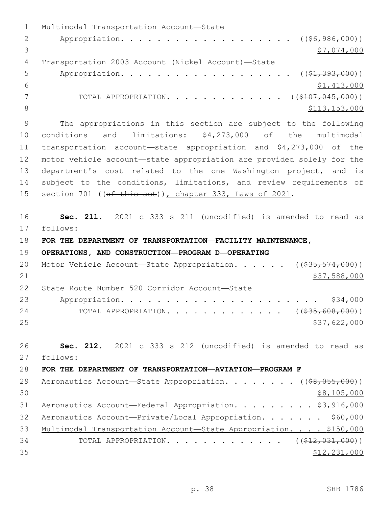1 Multimodal Transportation Account-State 2 Appropriation. . . . . . . . . . . . . . . . . (  $(\frac{26}{196}, \frac{986}{100})$  )  $3 \times 7,074,000$ Transportation 2003 Account (Nickel Account)—State4 5 Appropriation. . . . . . . . . . . . . . . . . (  $(\frac{1}{2}, \frac{393}{100})$  )  $\frac{1}{6}$   $\frac{1}{413,000}$ 7 TOTAL APPROPRIATION. . . . . . . . . . . . . ((\$107,045,000)) 8 \$113,153,000 \$113,153,000 \$113,153,000 \$113,153,000 \$113,153,000 \$113,153,000 \$113,153,000 \$113,153,000 \$12,153,000 \$12,153,000 \$12,153,000 \$12,153,000 \$12,153,000 \$12,153,000 \$12,153,000 \$12,153,000 \$12,153,153,000 \$12, 9 The appropriations in this section are subject to the following 10 conditions and limitations: \$4,273,000 of the multimodal 11 transportation account—state appropriation and \$4,273,000 of the 12 motor vehicle account—state appropriation are provided solely for the 13 department's cost related to the one Washington project, and is 14 subject to the conditions, limitations, and review requirements of 15 section 701 ((of this act)), chapter 333, Laws of 2021. 16 **Sec. 211.** 2021 c 333 s 211 (uncodified) is amended to read as 17 follows: 18 **FOR THE DEPARTMENT OF TRANSPORTATION—FACILITY MAINTENANCE,**  19 **OPERATIONS, AND CONSTRUCTION—PROGRAM D—OPERATING** 20 Motor Vehicle Account—State Appropriation. . . . . ((\$35,574,000))  $21$  \$37,588,000 22 State Route Number 520 Corridor Account-State 23 Appropriation. . . . . . . . . . . . . . . . . . . . . . \$34,000 24 TOTAL APPROPRIATION. . . . . . . . . . . . ((\$35,608,000)) 25 \$37,622,000 26 **Sec. 212.** 2021 c 333 s 212 (uncodified) is amended to read as follows: 27 28 **FOR THE DEPARTMENT OF TRANSPORTATION—AVIATION—PROGRAM F** 29 Aeronautics Account—State Appropriation. . . . . . . ((\$8,055,000))  $30 \,$  \$8,105,000 31 Aeronautics Account—Federal Appropriation. . . . . . . . \$3,916,000 32 Aeronautics Account—Private/Local Appropriation. . . . . . . \$60,000 33 Multimodal Transportation Account-State Appropriation. . . . \$150,000 34 TOTAL APPROPRIATION. . . . . . . . . . . . . ((\$12,031,000))  $35$  \$12,231,000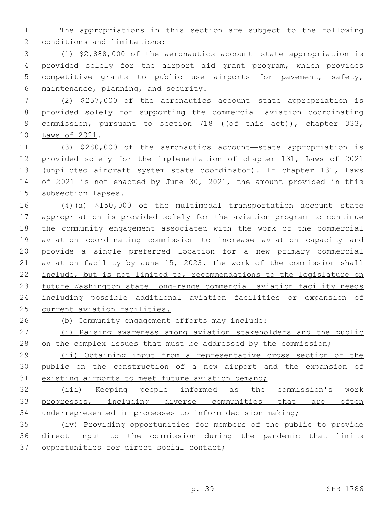The appropriations in this section are subject to the following 2 conditions and limitations:

 (1) \$2,888,000 of the aeronautics account—state appropriation is provided solely for the airport aid grant program, which provides competitive grants to public use airports for pavement, safety, 6 maintenance, planning, and security.

 (2) \$257,000 of the aeronautics account—state appropriation is provided solely for supporting the commercial aviation coordinating 9 commission, pursuant to section 718 ((of this act)), chapter 333, 10 Laws of 2021.

 (3) \$280,000 of the aeronautics account—state appropriation is provided solely for the implementation of chapter 131, Laws of 2021 (unpiloted aircraft system state coordinator). If chapter 131, Laws of 2021 is not enacted by June 30, 2021, the amount provided in this 15 subsection lapses.

 (4)(a) \$150,000 of the multimodal transportation account—state appropriation is provided solely for the aviation program to continue 18 the community engagement associated with the work of the commercial 19 aviation coordinating commission to increase aviation capacity and provide a single preferred location for a new primary commercial aviation facility by June 15, 2023. The work of the commission shall 22 include, but is not limited to, recommendations to the legislature on future Washington state long-range commercial aviation facility needs including possible additional aviation facilities or expansion of current aviation facilities.

(b) Community engagement efforts may include:

 (i) Raising awareness among aviation stakeholders and the public 28 on the complex issues that must be addressed by the commission;

29 (ii) Obtaining input from a representative cross section of the public on the construction of a new airport and the expansion of 31 existing airports to meet future aviation demand;

 (iii) Keeping people informed as the commission's work progresses, including diverse communities that are often underrepresented in processes to inform decision making;

 (iv) Providing opportunities for members of the public to provide direct input to the commission during the pandemic that limits 37 opportunities for direct social contact;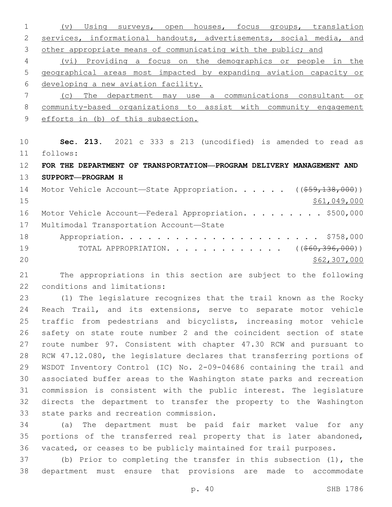(v) Using surveys, open houses, focus groups, translation services, informational handouts, advertisements, social media, and other appropriate means of communicating with the public; and (vi) Providing a focus on the demographics or people in the geographical areas most impacted by expanding aviation capacity or developing a new aviation facility. (c) The department may use a communications consultant or community-based organizations to assist with community engagement efforts in (b) of this subsection. **Sec. 213.** 2021 c 333 s 213 (uncodified) is amended to read as follows: 11 **FOR THE DEPARTMENT OF TRANSPORTATION—PROGRAM DELIVERY MANAGEMENT AND SUPPORT—PROGRAM H** 14 Motor Vehicle Account-State Appropriation. . . . . ((\$59,138,000)) \$61,049,000 16 Motor Vehicle Account—Federal Appropriation. . . . . . . . \$500,000 17 Multimodal Transportation Account-State Appropriation. . . . . . . . . . . . . . . . . . . . . . \$758,000 19 TOTAL APPROPRIATION. . . . . . . . . . . . ((<del>\$60,396,000</del>))  $20 \times 562,307,000$ 

 The appropriations in this section are subject to the following 22 conditions and limitations:

 (1) The legislature recognizes that the trail known as the Rocky Reach Trail, and its extensions, serve to separate motor vehicle traffic from pedestrians and bicyclists, increasing motor vehicle safety on state route number 2 and the coincident section of state route number 97. Consistent with chapter 47.30 RCW and pursuant to RCW 47.12.080, the legislature declares that transferring portions of WSDOT Inventory Control (IC) No. 2-09-04686 containing the trail and associated buffer areas to the Washington state parks and recreation commission is consistent with the public interest. The legislature directs the department to transfer the property to the Washington 33 state parks and recreation commission.

 (a) The department must be paid fair market value for any portions of the transferred real property that is later abandoned, vacated, or ceases to be publicly maintained for trail purposes.

 (b) Prior to completing the transfer in this subsection (1), the department must ensure that provisions are made to accommodate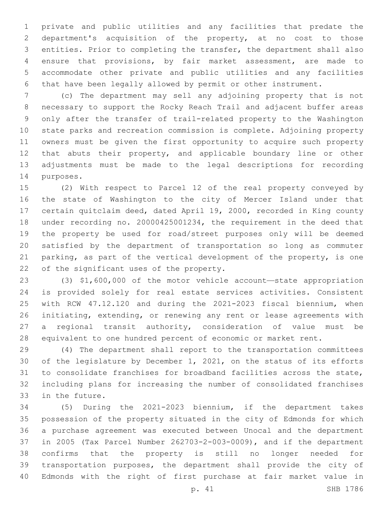private and public utilities and any facilities that predate the department's acquisition of the property, at no cost to those entities. Prior to completing the transfer, the department shall also ensure that provisions, by fair market assessment, are made to accommodate other private and public utilities and any facilities that have been legally allowed by permit or other instrument.

 (c) The department may sell any adjoining property that is not necessary to support the Rocky Reach Trail and adjacent buffer areas only after the transfer of trail-related property to the Washington state parks and recreation commission is complete. Adjoining property owners must be given the first opportunity to acquire such property that abuts their property, and applicable boundary line or other adjustments must be made to the legal descriptions for recording 14 purposes.

 (2) With respect to Parcel 12 of the real property conveyed by the state of Washington to the city of Mercer Island under that certain quitclaim deed, dated April 19, 2000, recorded in King county under recording no. 20000425001234, the requirement in the deed that the property be used for road/street purposes only will be deemed satisfied by the department of transportation so long as commuter parking, as part of the vertical development of the property, is one 22 of the significant uses of the property.

 (3) \$1,600,000 of the motor vehicle account—state appropriation is provided solely for real estate services activities. Consistent with RCW 47.12.120 and during the 2021-2023 fiscal biennium, when initiating, extending, or renewing any rent or lease agreements with a regional transit authority, consideration of value must be equivalent to one hundred percent of economic or market rent.

 (4) The department shall report to the transportation committees of the legislature by December 1, 2021, on the status of its efforts to consolidate franchises for broadband facilities across the state, including plans for increasing the number of consolidated franchises 33 in the future.

 (5) During the 2021-2023 biennium, if the department takes possession of the property situated in the city of Edmonds for which a purchase agreement was executed between Unocal and the department in 2005 (Tax Parcel Number 262703-2-003-0009), and if the department confirms that the property is still no longer needed for transportation purposes, the department shall provide the city of Edmonds with the right of first purchase at fair market value in

p. 41 SHB 1786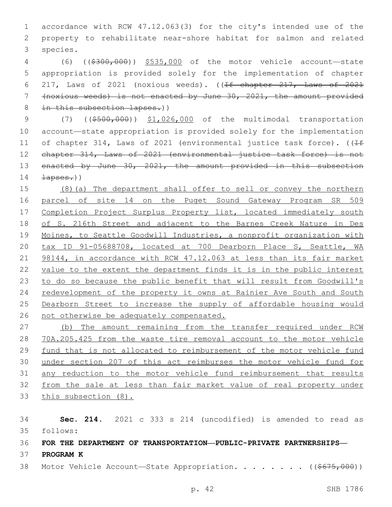accordance with RCW 47.12.063(3) for the city's intended use of the property to rehabilitate near-shore habitat for salmon and related 3 species.

 (6) ((\$300,000)) \$535,000 of the motor vehicle account—state appropriation is provided solely for the implementation of chapter 217, Laws of 2021 (noxious weeds). ((If chapter 217, Laws of 2021 (noxious weeds) is not enacted by June 30, 2021, the amount provided 8 in this subsection lapses.))

9 (7) ((\$500,000)) \$1,026,000 of the multimodal transportation account—state appropriation is provided solely for the implementation 11 of chapter 314, Laws of 2021 (environmental justice task force). ( $\sqrt{1+f}$ 12 chapter 314, Laws of 2021 (environmental justice task force) is not 13 enacted by June 30, 2021, the amount provided in this subsection  $\frac{1}{200}$ 

 (8)(a) The department shall offer to sell or convey the northern parcel of site 14 on the Puget Sound Gateway Program SR 509 17 Completion Project Surplus Property list, located immediately south of S. 216th Street and adjacent to the Barnes Creek Nature in Des Moines, to Seattle Goodwill Industries, a nonprofit organization with tax ID 91-05688708, located at 700 Dearborn Place S, Seattle, WA 21 98144, in accordance with RCW 47.12.063 at less than its fair market value to the extent the department finds it is in the public interest to do so because the public benefit that will result from Goodwill's redevelopment of the property it owns at Rainier Ave South and South Dearborn Street to increase the supply of affordable housing would not otherwise be adequately compensated.

 (b) The amount remaining from the transfer required under RCW 70A.205.425 from the waste tire removal account to the motor vehicle fund that is not allocated to reimbursement of the motor vehicle fund under section 207 of this act reimburses the motor vehicle fund for any reduction to the motor vehicle fund reimbursement that results from the sale at less than fair market value of real property under this subsection (8).

 **Sec. 214.** 2021 c 333 s 214 (uncodified) is amended to read as follows: 35

**FOR THE DEPARTMENT OF TRANSPORTATION—PUBLIC-PRIVATE PARTNERSHIPS—**

- **PROGRAM K**
- 38 Motor Vehicle Account—State Appropriation. . . . . . . ((\$675,000))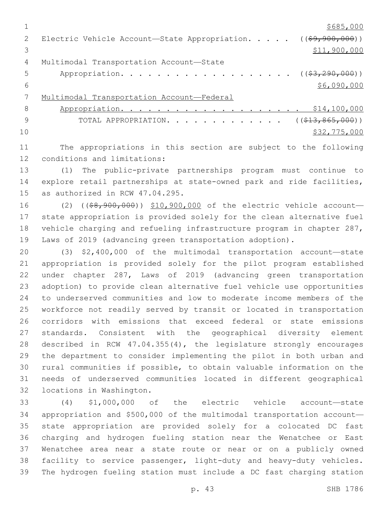$1 \over $685,000$ 2 Electric Vehicle Account—State Appropriation. . . . . ((\$9,900,000))  $3 \hspace{2.5cm} \text{S11,} \text{900,} \text{000}$ 4 Multimodal Transportation Account-State 5 Appropriation. . . . . . . . . . . . . . . . . (  $(\frac{23,290,000)}{2}$  )  $$6,090,000$  Multimodal Transportation Account—Federal 8 Appropriation. . . . . . . . . . . . . . . . . . \$14,100,000 9 TOTAL APPROPRIATION. . . . . . . . . . . . . ((\$13,865,000))  $10 \hspace{2.5cm}$  \$32,775,000

 The appropriations in this section are subject to the following 12 conditions and limitations:

 (1) The public-private partnerships program must continue to explore retail partnerships at state-owned park and ride facilities, 15 as authorized in RCW  $47.04.295$ .

16 (2) ((\$8,900,000)) \$10,900,000 of the electric vehicle account- state appropriation is provided solely for the clean alternative fuel vehicle charging and refueling infrastructure program in chapter 287, Laws of 2019 (advancing green transportation adoption).

 (3) \$2,400,000 of the multimodal transportation account—state appropriation is provided solely for the pilot program established under chapter 287, Laws of 2019 (advancing green transportation adoption) to provide clean alternative fuel vehicle use opportunities to underserved communities and low to moderate income members of the workforce not readily served by transit or located in transportation corridors with emissions that exceed federal or state emissions standards. Consistent with the geographical diversity element described in RCW 47.04.355(4), the legislature strongly encourages the department to consider implementing the pilot in both urban and rural communities if possible, to obtain valuable information on the needs of underserved communities located in different geographical 32 locations in Washington.

 (4) \$1,000,000 of the electric vehicle account—state appropriation and \$500,000 of the multimodal transportation account— state appropriation are provided solely for a colocated DC fast charging and hydrogen fueling station near the Wenatchee or East Wenatchee area near a state route or near or on a publicly owned facility to service passenger, light-duty and heavy-duty vehicles. The hydrogen fueling station must include a DC fast charging station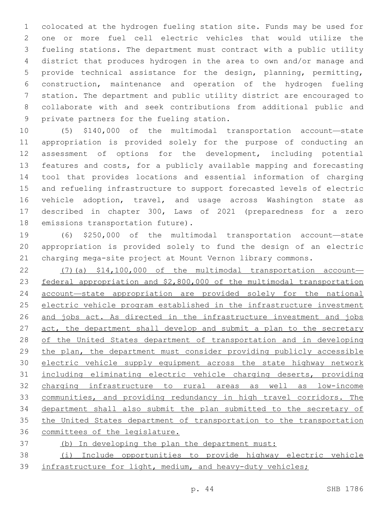colocated at the hydrogen fueling station site. Funds may be used for one or more fuel cell electric vehicles that would utilize the fueling stations. The department must contract with a public utility district that produces hydrogen in the area to own and/or manage and provide technical assistance for the design, planning, permitting, construction, maintenance and operation of the hydrogen fueling station. The department and public utility district are encouraged to collaborate with and seek contributions from additional public and 9 private partners for the fueling station.

 (5) \$140,000 of the multimodal transportation account—state appropriation is provided solely for the purpose of conducting an assessment of options for the development, including potential features and costs, for a publicly available mapping and forecasting tool that provides locations and essential information of charging and refueling infrastructure to support forecasted levels of electric vehicle adoption, travel, and usage across Washington state as described in chapter 300, Laws of 2021 (preparedness for a zero 18 emissions transportation future).

 (6) \$250,000 of the multimodal transportation account—state appropriation is provided solely to fund the design of an electric charging mega-site project at Mount Vernon library commons.

 (7)(a) \$14,100,000 of the multimodal transportation account— federal appropriation and \$2,800,000 of the multimodal transportation account—state appropriation are provided solely for the national electric vehicle program established in the infrastructure investment 26 and jobs act. As directed in the infrastructure investment and jobs 27 act, the department shall develop and submit a plan to the secretary of the United States department of transportation and in developing 29 the plan, the department must consider providing publicly accessible electric vehicle supply equipment across the state highway network including eliminating electric vehicle charging deserts, providing charging infrastructure to rural areas as well as low-income communities, and providing redundancy in high travel corridors. The department shall also submit the plan submitted to the secretary of 35 the United States department of transportation to the transportation committees of the legislature.

(b) In developing the plan the department must:

 (i) Include opportunities to provide highway electric vehicle 39 infrastructure for light, medium, and heavy-duty vehicles;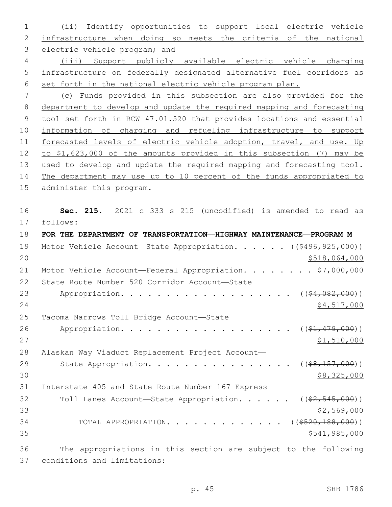(ii) Identify opportunities to support local electric vehicle infrastructure when doing so meets the criteria of the national electric vehicle program; and (iii) Support publicly available electric vehicle charging infrastructure on federally designated alternative fuel corridors as set forth in the national electric vehicle program plan. (c) Funds provided in this subsection are also provided for the department to develop and update the required mapping and forecasting tool set forth in RCW 47.01.520 that provides locations and essential information of charging and refueling infrastructure to support forecasted levels of electric vehicle adoption, travel, and use. Up to \$1,623,000 of the amounts provided in this subsection (7) may be used to develop and update the required mapping and forecasting tool. The department may use up to 10 percent of the funds appropriated to administer this program. **Sec. 215.** 2021 c 333 s 215 (uncodified) is amended to read as follows: 17 **FOR THE DEPARTMENT OF TRANSPORTATION—HIGHWAY MAINTENANCE—PROGRAM M** 19 Motor Vehicle Account—State Appropriation. . . . . ((\$496,925,000)) \$518,064,000 21 Motor Vehicle Account—Federal Appropriation. . . . . . . \$7,000,000 22 State Route Number 520 Corridor Account-State 23 Appropriation. . . . . . . . . . . . . . . . . . (  $(\frac{64,082,000}{5})$  \$4,517,000 25 Tacoma Narrows Toll Bridge Account-State 26 Appropriation. . . . . . . . . . . . . . . . . (  $(\frac{21}{21}, \frac{479}{200})$  ) \$1,510,000 Alaskan Way Viaduct Replacement Project Account— 29 State Appropriation. . . . . . . . . . . . . . . ((<del>\$8,157,000</del>))  $30 \,$   $\frac{1}{28,325,000}$ 31 Interstate 405 and State Route Number 167 Express 32 Toll Lanes Account—State Appropriation. . . . . ((\$2,545,000)) \$2,569,000 34 TOTAL APPROPRIATION. . . . . . . . . . . . ((\$520,188,000)) \$541,985,000 The appropriations in this section are subject to the following 37 conditions and limitations: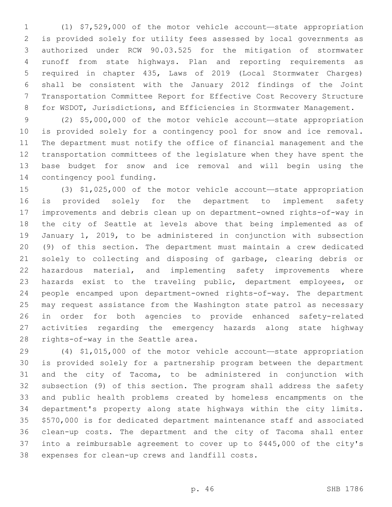(1) \$7,529,000 of the motor vehicle account—state appropriation is provided solely for utility fees assessed by local governments as authorized under RCW 90.03.525 for the mitigation of stormwater runoff from state highways. Plan and reporting requirements as required in chapter 435, Laws of 2019 (Local Stormwater Charges) shall be consistent with the January 2012 findings of the Joint Transportation Committee Report for Effective Cost Recovery Structure for WSDOT, Jurisdictions, and Efficiencies in Stormwater Management.

 (2) \$5,000,000 of the motor vehicle account—state appropriation is provided solely for a contingency pool for snow and ice removal. The department must notify the office of financial management and the transportation committees of the legislature when they have spent the base budget for snow and ice removal and will begin using the 14 contingency pool funding.

 (3) \$1,025,000 of the motor vehicle account—state appropriation is provided solely for the department to implement safety improvements and debris clean up on department-owned rights-of-way in the city of Seattle at levels above that being implemented as of January 1, 2019, to be administered in conjunction with subsection (9) of this section. The department must maintain a crew dedicated solely to collecting and disposing of garbage, clearing debris or 22 hazardous material, and implementing safety improvements where hazards exist to the traveling public, department employees, or people encamped upon department-owned rights-of-way. The department may request assistance from the Washington state patrol as necessary in order for both agencies to provide enhanced safety-related activities regarding the emergency hazards along state highway 28 rights-of-way in the Seattle area.

 (4) \$1,015,000 of the motor vehicle account—state appropriation is provided solely for a partnership program between the department and the city of Tacoma, to be administered in conjunction with subsection (9) of this section. The program shall address the safety and public health problems created by homeless encampments on the department's property along state highways within the city limits. \$570,000 is for dedicated department maintenance staff and associated clean-up costs. The department and the city of Tacoma shall enter into a reimbursable agreement to cover up to \$445,000 of the city's 38 expenses for clean-up crews and landfill costs.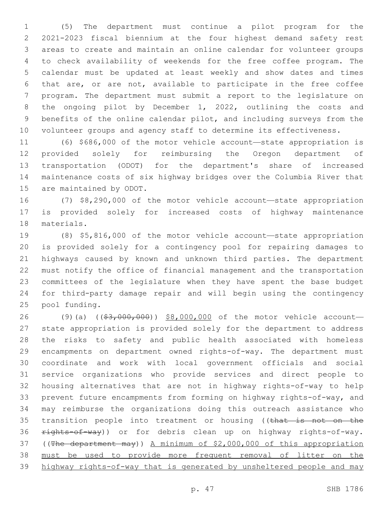(5) The department must continue a pilot program for the 2021-2023 fiscal biennium at the four highest demand safety rest areas to create and maintain an online calendar for volunteer groups to check availability of weekends for the free coffee program. The calendar must be updated at least weekly and show dates and times that are, or are not, available to participate in the free coffee program. The department must submit a report to the legislature on the ongoing pilot by December 1, 2022, outlining the costs and benefits of the online calendar pilot, and including surveys from the volunteer groups and agency staff to determine its effectiveness.

 (6) \$686,000 of the motor vehicle account—state appropriation is provided solely for reimbursing the Oregon department of transportation (ODOT) for the department's share of increased maintenance costs of six highway bridges over the Columbia River that 15 are maintained by ODOT.

 (7) \$8,290,000 of the motor vehicle account—state appropriation is provided solely for increased costs of highway maintenance 18 materials.

 (8) \$5,816,000 of the motor vehicle account—state appropriation is provided solely for a contingency pool for repairing damages to highways caused by known and unknown third parties. The department must notify the office of financial management and the transportation committees of the legislature when they have spent the base budget for third-party damage repair and will begin using the contingency 25 pool funding.

26 (9)(a) ((\$3,000,000)) \$8,000,000 of the motor vehicle account- state appropriation is provided solely for the department to address the risks to safety and public health associated with homeless encampments on department owned rights-of-way. The department must coordinate and work with local government officials and social service organizations who provide services and direct people to housing alternatives that are not in highway rights-of-way to help prevent future encampments from forming on highway rights-of-way, and may reimburse the organizations doing this outreach assistance who 35 transition people into treatment or housing ((that is not on the 36 rights-of-way)) or for debris clean up on highway rights-of-way. ((The department may)) A minimum of \$2,000,000 of this appropriation must be used to provide more frequent removal of litter on the highway rights-of-way that is generated by unsheltered people and may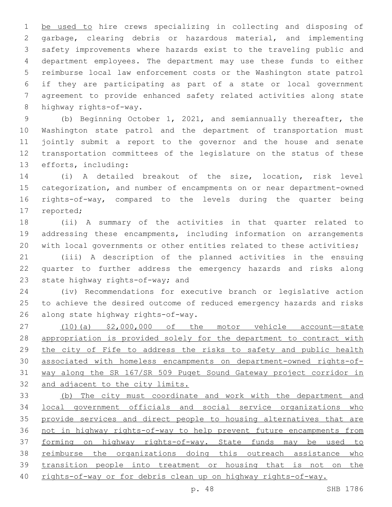1 be used to hire crews specializing in collecting and disposing of garbage, clearing debris or hazardous material, and implementing safety improvements where hazards exist to the traveling public and department employees. The department may use these funds to either reimburse local law enforcement costs or the Washington state patrol if they are participating as part of a state or local government agreement to provide enhanced safety related activities along state 8 highway rights-of-way.

 (b) Beginning October 1, 2021, and semiannually thereafter, the Washington state patrol and the department of transportation must jointly submit a report to the governor and the house and senate transportation committees of the legislature on the status of these 13 efforts, including:

 (i) A detailed breakout of the size, location, risk level categorization, and number of encampments on or near department-owned rights-of-way, compared to the levels during the quarter being 17 reported;

 (ii) A summary of the activities in that quarter related to addressing these encampments, including information on arrangements 20 with local governments or other entities related to these activities;

 (iii) A description of the planned activities in the ensuing quarter to further address the emergency hazards and risks along 23 state highway rights-of-way; and

 (iv) Recommendations for executive branch or legislative action to achieve the desired outcome of reduced emergency hazards and risks 26 along state highway rights-of-way.

 (10)(a) \$2,000,000 of the motor vehicle account—state appropriation is provided solely for the department to contract with 29 the city of Fife to address the risks to safety and public health associated with homeless encampments on department-owned rights-of- way along the SR 167/SR 509 Puget Sound Gateway project corridor in and adjacent to the city limits.

 (b) The city must coordinate and work with the department and local government officials and social service organizations who 35 provide services and direct people to housing alternatives that are not in highway rights-of-way to help prevent future encampments from 37 forming on highway rights-of-way. State funds may be used to reimburse the organizations doing this outreach assistance who transition people into treatment or housing that is not on the rights-of-way or for debris clean up on highway rights-of-way.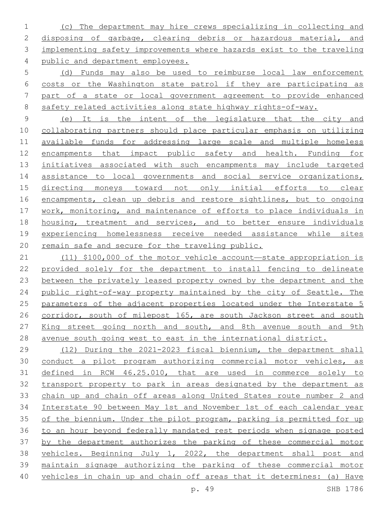(c) The department may hire crews specializing in collecting and disposing of garbage, clearing debris or hazardous material, and implementing safety improvements where hazards exist to the traveling public and department employees.

 (d) Funds may also be used to reimburse local law enforcement costs or the Washington state patrol if they are participating as part of a state or local government agreement to provide enhanced 8 safety related activities along state highway rights-of-way.

 (e) It is the intent of the legislature that the city and collaborating partners should place particular emphasis on utilizing available funds for addressing large scale and multiple homeless encampments that impact public safety and health. Funding for initiatives associated with such encampments may include targeted 14 assistance to local governments and social service organizations, directing moneys toward not only initial efforts to clear 16 encampments, clean up debris and restore sightlines, but to ongoing work, monitoring, and maintenance of efforts to place individuals in housing, treatment and services, and to better ensure individuals experiencing homelessness receive needed assistance while sites remain safe and secure for the traveling public.

 (11) \$100,000 of the motor vehicle account—state appropriation is provided solely for the department to install fencing to delineate between the privately leased property owned by the department and the public right-of-way property maintained by the city of Seattle. The parameters of the adjacent properties located under the Interstate 5 26 corridor, south of milepost 165, are south Jackson street and south King street going north and south, and 8th avenue south and 9th avenue south going west to east in the international district.

 (12) During the 2021-2023 fiscal biennium, the department shall conduct a pilot program authorizing commercial motor vehicles, as defined in RCW 46.25.010, that are used in commerce solely to transport property to park in areas designated by the department as chain up and chain off areas along United States route number 2 and Interstate 90 between May 1st and November 1st of each calendar year of the biennium. Under the pilot program, parking is permitted for up to an hour beyond federally mandated rest periods when signage posted 37 by the department authorizes the parking of these commercial motor vehicles. Beginning July 1, 2022, the department shall post and maintain signage authorizing the parking of these commercial motor vehicles in chain up and chain off areas that it determines: (a) Have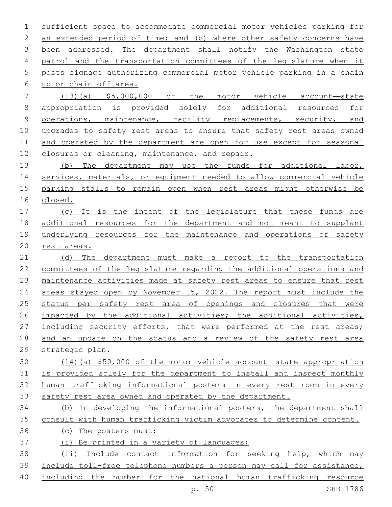sufficient space to accommodate commercial motor vehicles parking for 2 an extended period of time; and (b) where other safety concerns have been addressed. The department shall notify the Washington state patrol and the transportation committees of the legislature when it posts signage authorizing commercial motor vehicle parking in a chain up or chain off area.6 (13)(a) \$5,000,000 of the motor vehicle account—state appropriation is provided solely for additional resources for 9 operations, maintenance, facility replacements, security, and upgrades to safety rest areas to ensure that safety rest areas owned

 and operated by the department are open for use except for seasonal closures or cleaning, maintenance, and repair.

13 (b) The department may use the funds for additional labor, services, materials, or equipment needed to allow commercial vehicle parking stalls to remain open when rest areas might otherwise be closed.

 (c) It is the intent of the legislature that these funds are additional resources for the department and not meant to supplant underlying resources for the maintenance and operations of safety rest areas.

 (d) The department must make a report to the transportation committees of the legislature regarding the additional operations and maintenance activities made at safety rest areas to ensure that rest areas stayed open by November 15, 2022. The report must include the status per safety rest area of openings and closures that were impacted by the additional activities; the additional activities, 27 including security efforts, that were performed at the rest areas; and an update on the status and a review of the safety rest area strategic plan.

 (14)(a) \$50,000 of the motor vehicle account—state appropriation is provided solely for the department to install and inspect monthly human trafficking informational posters in every rest room in every safety rest area owned and operated by the department.

 (b) In developing the informational posters, the department shall consult with human trafficking victim advocates to determine content.

(c) The posters must:

(i) Be printed in a variety of languages;

 (ii) Include contact information for seeking help, which may include toll-free telephone numbers a person may call for assistance,

including the number for the national human trafficking resource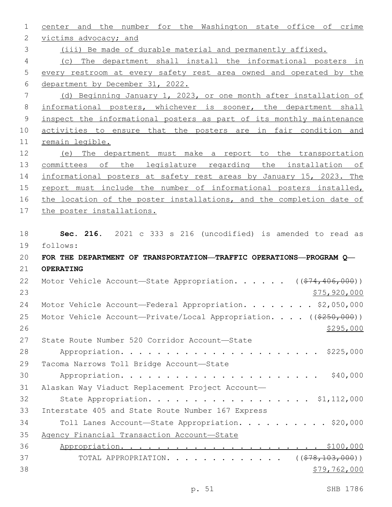center and the number for the Washington state office of crime 2 victims advocacy; and (iii) Be made of durable material and permanently affixed. (c) The department shall install the informational posters in every restroom at every safety rest area owned and operated by the department by December 31, 2022. (d) Beginning January 1, 2023, or one month after installation of informational posters, whichever is sooner, the department shall inspect the informational posters as part of its monthly maintenance activities to ensure that the posters are in fair condition and remain legible. (e) The department must make a report to the transportation 13 committees of the legislature regarding the installation of informational posters at safety rest areas by January 15, 2023. The report must include the number of informational posters installed, 16 the location of the poster installations, and the completion date of the poster installations. **Sec. 216.** 2021 c 333 s 216 (uncodified) is amended to read as follows: 19 **FOR THE DEPARTMENT OF TRANSPORTATION—TRAFFIC OPERATIONS—PROGRAM Q— OPERATING** 22 Motor Vehicle Account—State Appropriation. . . . . ((\$74,406,000)) 23 \$75,920,000 24 Motor Vehicle Account—Federal Appropriation. . . . . . . \$2,050,000 25 Motor Vehicle Account—Private/Local Appropriation. . . . ((\$250,000)) 27 State Route Number 520 Corridor Account-State Appropriation. . . . . . . . . . . . . . . . . . . . . . \$225,000 29 Tacoma Narrows Toll Bridge Account-State Appropriation. . . . . . . . . . . . . . . . . . . . . . \$40,000 Alaskan Way Viaduct Replacement Project Account— 32 State Appropriation. . . . . . . . . . . . . . . . . \$1,112,000 33 Interstate 405 and State Route Number 167 Express 34 Toll Lanes Account-State Appropriation. . . . . . . . . \$20,000 Agency Financial Transaction Account—State Appropriation. . . . . . . . . . . . . . . . . . . . . . \$100,000 37 TOTAL APPROPRIATION. . . . . . . . . . . . . ((\$78,103,000))  $$79,762,000$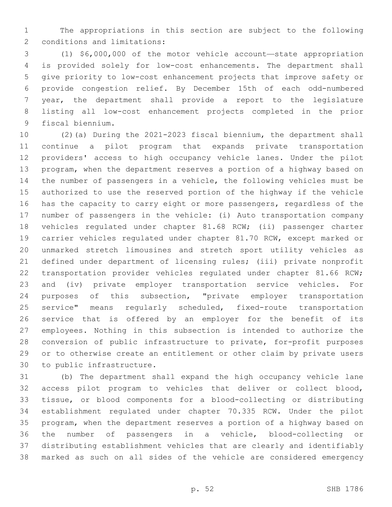The appropriations in this section are subject to the following 2 conditions and limitations:

 (1) \$6,000,000 of the motor vehicle account—state appropriation is provided solely for low-cost enhancements. The department shall give priority to low-cost enhancement projects that improve safety or provide congestion relief. By December 15th of each odd-numbered year, the department shall provide a report to the legislature listing all low-cost enhancement projects completed in the prior 9 fiscal biennium.

 (2)(a) During the 2021-2023 fiscal biennium, the department shall continue a pilot program that expands private transportation providers' access to high occupancy vehicle lanes. Under the pilot program, when the department reserves a portion of a highway based on the number of passengers in a vehicle, the following vehicles must be authorized to use the reserved portion of the highway if the vehicle has the capacity to carry eight or more passengers, regardless of the number of passengers in the vehicle: (i) Auto transportation company vehicles regulated under chapter 81.68 RCW; (ii) passenger charter carrier vehicles regulated under chapter 81.70 RCW, except marked or unmarked stretch limousines and stretch sport utility vehicles as defined under department of licensing rules; (iii) private nonprofit 22 transportation provider vehicles regulated under chapter 81.66 RCW; and (iv) private employer transportation service vehicles. For purposes of this subsection, "private employer transportation service" means regularly scheduled, fixed-route transportation service that is offered by an employer for the benefit of its employees. Nothing in this subsection is intended to authorize the conversion of public infrastructure to private, for-profit purposes or to otherwise create an entitlement or other claim by private users 30 to public infrastructure.

 (b) The department shall expand the high occupancy vehicle lane access pilot program to vehicles that deliver or collect blood, tissue, or blood components for a blood-collecting or distributing establishment regulated under chapter 70.335 RCW. Under the pilot program, when the department reserves a portion of a highway based on the number of passengers in a vehicle, blood-collecting or distributing establishment vehicles that are clearly and identifiably marked as such on all sides of the vehicle are considered emergency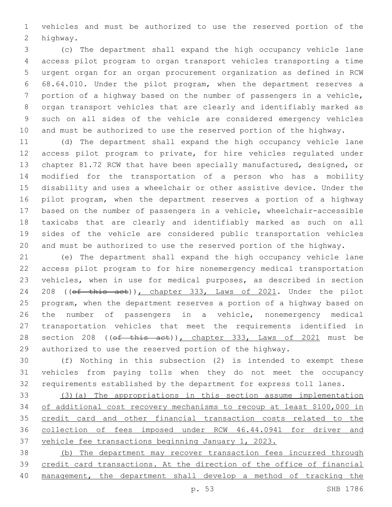vehicles and must be authorized to use the reserved portion of the 2 highway.

 (c) The department shall expand the high occupancy vehicle lane access pilot program to organ transport vehicles transporting a time urgent organ for an organ procurement organization as defined in RCW 68.64.010. Under the pilot program, when the department reserves a portion of a highway based on the number of passengers in a vehicle, organ transport vehicles that are clearly and identifiably marked as such on all sides of the vehicle are considered emergency vehicles and must be authorized to use the reserved portion of the highway.

 (d) The department shall expand the high occupancy vehicle lane access pilot program to private, for hire vehicles regulated under chapter 81.72 RCW that have been specially manufactured, designed, or modified for the transportation of a person who has a mobility disability and uses a wheelchair or other assistive device. Under the pilot program, when the department reserves a portion of a highway based on the number of passengers in a vehicle, wheelchair-accessible taxicabs that are clearly and identifiably marked as such on all sides of the vehicle are considered public transportation vehicles and must be authorized to use the reserved portion of the highway.

 (e) The department shall expand the high occupancy vehicle lane access pilot program to for hire nonemergency medical transportation vehicles, when in use for medical purposes, as described in section 24 208 ((of this act)), chapter 333, Laws of 2021. Under the pilot program, when the department reserves a portion of a highway based on the number of passengers in a vehicle, nonemergency medical transportation vehicles that meet the requirements identified in 28 section 208 ((of this act)), chapter 333, Laws of 2021 must be authorized to use the reserved portion of the highway.

 (f) Nothing in this subsection (2) is intended to exempt these vehicles from paying tolls when they do not meet the occupancy requirements established by the department for express toll lanes.

 (3)(a) The appropriations in this section assume implementation of additional cost recovery mechanisms to recoup at least \$100,000 in credit card and other financial transaction costs related to the collection of fees imposed under RCW 46.44.0941 for driver and vehicle fee transactions beginning January 1, 2023.

 (b) The department may recover transaction fees incurred through 39 credit card transactions. At the direction of the office of financial management, the department shall develop a method of tracking the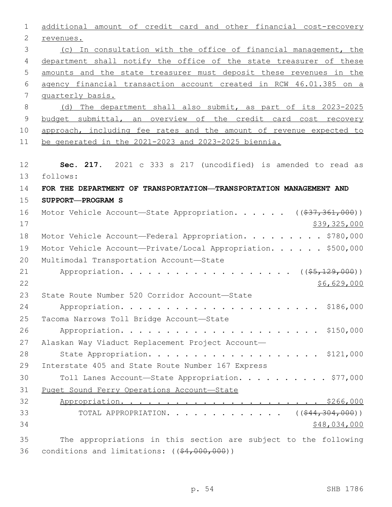| $\mathbf 1$    | additional amount of credit card and other financial cost-recovery                  |
|----------------|-------------------------------------------------------------------------------------|
| $\mathbf{2}$   | revenues.                                                                           |
| 3              | (c) In consultation with the office of financial management, the                    |
| 4              | department shall notify the office of the state treasurer of these                  |
| 5              | amounts and the state treasurer must deposit these revenues in the                  |
| 6              | agency financial transaction account created in RCW 46.01.385 on a                  |
| $\overline{7}$ | quarterly basis.                                                                    |
| $\,8\,$        | (d) The department shall also submit, as part of its 2023-2025                      |
| 9              | budget submittal, an overview of the credit card cost recovery                      |
| 10             | approach, including fee rates and the amount of revenue expected to                 |
| 11             | be generated in the 2021-2023 and 2023-2025 biennia.                                |
|                |                                                                                     |
| 12             | Sec. 217. 2021 c 333 s 217 (uncodified) is amended to read as                       |
| 13             | follows:                                                                            |
| 14             | FOR THE DEPARTMENT OF TRANSPORTATION-TRANSPORTATION MANAGEMENT AND                  |
| 15             | SUPPORT-PROGRAM S                                                                   |
| 16             | Motor Vehicle Account-State Appropriation. ( $(\frac{237}{361}, \frac{361}{900})$ ) |
| 17             | \$39,325,000                                                                        |
| 18             | Motor Vehicle Account-Federal Appropriation. \$780,000                              |
| 19             | Motor Vehicle Account-Private/Local Appropriation. \$500,000                        |
| 20             | Multimodal Transportation Account-State                                             |
| 21             | Appropriation. ( (\$5,129,000))                                                     |
| 22             | \$6,629,000                                                                         |
| 23             | State Route Number 520 Corridor Account-State                                       |
| 24             |                                                                                     |
| 25             | Tacoma Narrows Toll Bridge Account-State                                            |
| 26             |                                                                                     |
| 27             | Alaskan Way Viaduct Replacement Project Account-                                    |
| 28             | State Appropriation. \$121,000                                                      |
| 29             | Interstate 405 and State Route Number 167 Express                                   |
| 30             | Toll Lanes Account-State Appropriation. \$77,000                                    |
| 31             | Puget Sound Ferry Operations Account-State                                          |
| 32             |                                                                                     |
| 33             | TOTAL APPROPRIATION. ( $(\frac{244}{304}, 304, 000)$ )                              |
| 34             | \$48,034,000                                                                        |
| 35             | The appropriations in this section are subject to the following                     |
| 36             | conditions and limitations: $((44,000,000))$                                        |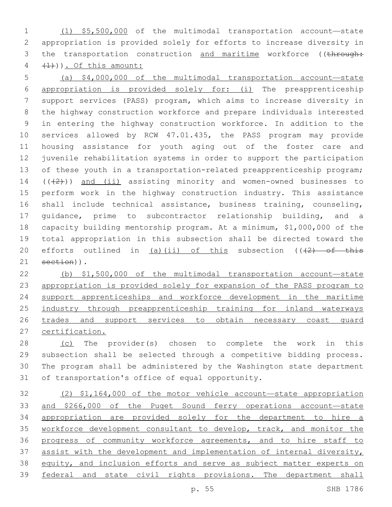(1) \$5,500,000 of the multimodal transportation account—state appropriation is provided solely for efforts to increase diversity in 3 the transportation construction and maritime workforce ((through:  $4 \left(1\right)$ ). Of this amount:

 (a) \$4,000,000 of the multimodal transportation account—state appropriation is provided solely for: (i) The preapprenticeship support services (PASS) program, which aims to increase diversity in the highway construction workforce and prepare individuals interested in entering the highway construction workforce. In addition to the services allowed by RCW 47.01.435, the PASS program may provide housing assistance for youth aging out of the foster care and juvenile rehabilitation systems in order to support the participation 13 of these youth in a transportation-related preapprenticeship program;  $((+2))$  and (ii) assisting minority and women-owned businesses to perform work in the highway construction industry. This assistance shall include technical assistance, business training, counseling, guidance, prime to subcontractor relationship building, and a capacity building mentorship program. At a minimum, \$1,000,000 of the total appropriation in this subsection shall be directed toward the 20 efforts outlined in  $(a)$  (ii) of this subsection (( $\left(2\right)$  of this section)).

 (b) \$1,500,000 of the multimodal transportation account—state 23 appropriation is provided solely for expansion of the PASS program to support apprenticeships and workforce development in the maritime industry through preapprenticeship training for inland waterways 26 trades and support services to obtain necessary coast quard certification.

 (c) The provider(s) chosen to complete the work in this subsection shall be selected through a competitive bidding process. The program shall be administered by the Washington state department 31 of transportation's office of equal opportunity.

 (2) \$1,164,000 of the motor vehicle account—state appropriation and \$266,000 of the Puget Sound ferry operations account—state appropriation are provided solely for the department to hire a 35 workforce development consultant to develop, track, and monitor the progress of community workforce agreements, and to hire staff to 37 assist with the development and implementation of internal diversity, 38 equity, and inclusion efforts and serve as subject matter experts on 39 federal and state civil rights provisions. The department shall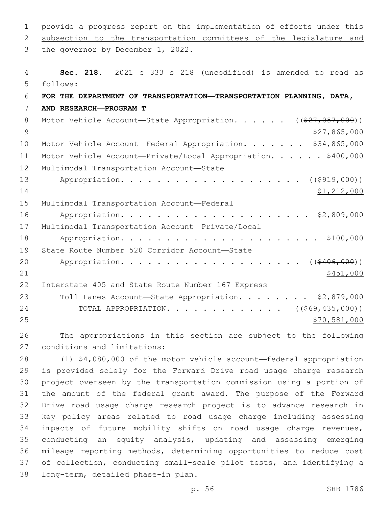| 1              | provide a progress report on the implementation of efforts under this     |
|----------------|---------------------------------------------------------------------------|
| 2              | subsection to the transportation committees of the legislature and        |
| 3              | the governor by December 1, 2022.                                         |
| 4              | Sec. 218. 2021 c 333 s 218 (uncodified) is amended to read as             |
| 5              | follows:                                                                  |
| 6              | FOR THE DEPARTMENT OF TRANSPORTATION—TRANSPORTATION PLANNING, DATA,       |
| 7              | AND RESEARCH-PROGRAM T                                                    |
| 8              | Motor Vehicle Account-State Appropriation. ( $(\frac{27}{7}, 057, 000)$ ) |
| $\overline{9}$ | \$27,865,000                                                              |
| 10             | Motor Vehicle Account-Federal Appropriation. \$34,865,000                 |
| 11             | Motor Vehicle Account-Private/Local Appropriation. \$400,000              |
| 12             | Multimodal Transportation Account-State                                   |
| 13             | ( ( \$919,000) )                                                          |
| 14             | \$1,212,000                                                               |
| 15             | Multimodal Transportation Account-Federal                                 |
| 16             | \$2,809,000                                                               |
| 17             | Multimodal Transportation Account-Private/Local                           |
| 18             | \$100,000                                                                 |
| 19             | State Route Number 520 Corridor Account-State                             |
| 20             | ( ( \$406, 000) )                                                         |
| 21             | \$451,000                                                                 |
| 22             | Interstate 405 and State Route Number 167 Express                         |
| 23             | Toll Lanes Account-State Appropriation. \$2,879,000                       |
| 24             | (( <del>\$69,435,000</del> ))<br>TOTAL APPROPRIATION.                     |
| 25             | \$70,581,000                                                              |
| 26             | The appropriations in this section are subject to the following           |
| 27             | conditions and limitations:                                               |
| 28             | $(1)$ \$4,080,000 of the motor vehicle account—federal appropriation      |
| 29             | is provided solely for the Forward Drive road usage charge research       |
| 30             | project overseen by the transportation commission using a portion of      |
| 31             | the amount of the federal grant award. The purpose of the Forward         |
| 32             | Drive road usage charge research project is to advance research in        |
| 33             | key policy areas related to road usage charge including assessing         |
| 34             | impacts of future mobility shifts on road usage charge revenues,          |
| 35             | conducting an equity analysis, updating and assessing emerging            |
| 36             | mileage reporting methods, determining opportunities to reduce cost       |
| 37             | of collection, conducting small-scale pilot tests, and identifying a      |

38 long-term, detailed phase-in plan.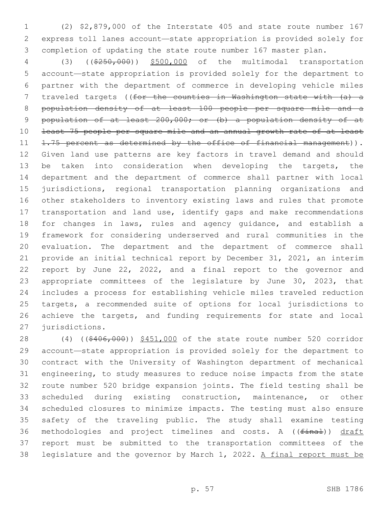(2) \$2,879,000 of the Interstate 405 and state route number 167 express toll lanes account—state appropriation is provided solely for completion of updating the state route number 167 master plan.

 (3) ((\$250,000)) \$500,000 of the multimodal transportation account—state appropriation is provided solely for the department to partner with the department of commerce in developing vehicle miles 7 traveled targets ((for the counties in Washington state with (a) a population density of at least 100 people per square mile and a 9 population of at least 200,000; or (b) a population density of at least 75 people per square mile and an annual growth rate of at least 11 1.75 percent as determined by the office of financial management)). Given land use patterns are key factors in travel demand and should 13 be taken into consideration when developing the targets, the department and the department of commerce shall partner with local jurisdictions, regional transportation planning organizations and other stakeholders to inventory existing laws and rules that promote transportation and land use, identify gaps and make recommendations for changes in laws, rules and agency guidance, and establish a framework for considering underserved and rural communities in the evaluation. The department and the department of commerce shall provide an initial technical report by December 31, 2021, an interim report by June 22, 2022, and a final report to the governor and appropriate committees of the legislature by June 30, 2023, that includes a process for establishing vehicle miles traveled reduction targets, a recommended suite of options for local jurisdictions to achieve the targets, and funding requirements for state and local 27 jurisdictions.

28 (4) ((\$406,000)) \$451,000 of the state route number 520 corridor account—state appropriation is provided solely for the department to contract with the University of Washington department of mechanical engineering, to study measures to reduce noise impacts from the state route number 520 bridge expansion joints. The field testing shall be scheduled during existing construction, maintenance, or other scheduled closures to minimize impacts. The testing must also ensure safety of the traveling public. The study shall examine testing 36 methodologies and project timelines and costs. A ((final)) draft report must be submitted to the transportation committees of the legislature and the governor by March 1, 2022. A final report must be

p. 57 SHB 1786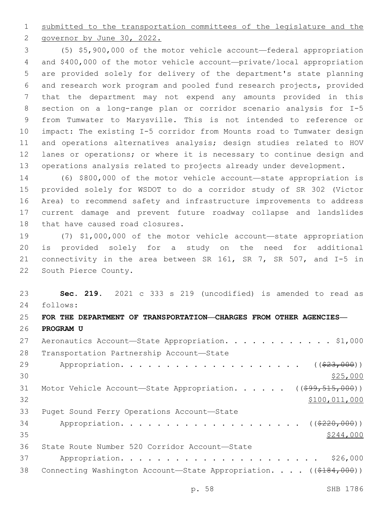submitted to the transportation committees of the legislature and the

2 governor by June 30, 2022.

 (5) \$5,900,000 of the motor vehicle account—federal appropriation and \$400,000 of the motor vehicle account—private/local appropriation are provided solely for delivery of the department's state planning and research work program and pooled fund research projects, provided that the department may not expend any amounts provided in this section on a long-range plan or corridor scenario analysis for I-5 from Tumwater to Marysville. This is not intended to reference or impact: The existing I-5 corridor from Mounts road to Tumwater design and operations alternatives analysis; design studies related to HOV lanes or operations; or where it is necessary to continue design and operations analysis related to projects already under development.

 (6) \$800,000 of the motor vehicle account—state appropriation is provided solely for WSDOT to do a corridor study of SR 302 (Victor Area) to recommend safety and infrastructure improvements to address current damage and prevent future roadway collapse and landslides 18 that have caused road closures.

 (7) \$1,000,000 of the motor vehicle account—state appropriation is provided solely for a study on the need for additional connectivity in the area between SR 161, SR 7, SR 507, and I-5 in 22 South Pierce County.

 **Sec. 219.** 2021 c 333 s 219 (uncodified) is amended to read as 24 follows:

## **FOR THE DEPARTMENT OF TRANSPORTATION—CHARGES FROM OTHER AGENCIES— PROGRAM U**

| 27 | Aeronautics Account-State Appropriation. \$1,000                               |
|----|--------------------------------------------------------------------------------|
| 28 | Transportation Partnership Account-State                                       |
| 29 | ( ( \$23,000) )                                                                |
| 30 | \$25,000                                                                       |
| 31 | Motor Vehicle Account-State Appropriation. ( $(\frac{699}{7515}, 000)$ )       |
| 32 | \$100,011,000                                                                  |
| 33 | Puget Sound Ferry Operations Account-State                                     |
| 34 |                                                                                |
| 35 | \$244,000                                                                      |
| 36 | State Route Number 520 Corridor Account-State                                  |
| 37 | \$26,000                                                                       |
| 38 | Connecting Washington Account-State Appropriation. $($ $($ $\frac{2184}{100})$ |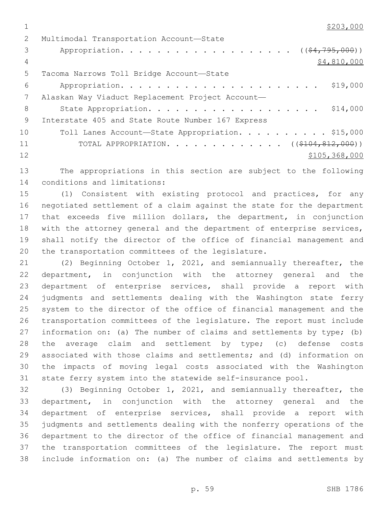$\frac{$203,000}{ }$ 

| Multimodal Transportation Account-State               |
|-------------------------------------------------------|
| Appropriation. $($ $($ $\frac{2477957000}{1})$        |
| \$4,810,000                                           |
| Tacoma Narrows Toll Bridge Account-State              |
| \$19,000                                              |
| Alaskan Way Viaduct Replacement Project Account-      |
| \$14,000<br>State Appropriation.                      |
| Interstate 405 and State Route Number 167 Express     |
| Toll Lanes Account-State Appropriation. \$15,000      |
| TOTAL APPROPRIATION. ( $(\frac{\$104, 812, 000}{})$ ) |
| \$105, 368, 000                                       |
|                                                       |

 The appropriations in this section are subject to the following 14 conditions and limitations:

 (1) Consistent with existing protocol and practices, for any negotiated settlement of a claim against the state for the department 17 that exceeds five million dollars, the department, in conjunction 18 with the attorney general and the department of enterprise services, shall notify the director of the office of financial management and 20 the transportation committees of the legislature.

 (2) Beginning October 1, 2021, and semiannually thereafter, the department, in conjunction with the attorney general and the department of enterprise services, shall provide a report with judgments and settlements dealing with the Washington state ferry system to the director of the office of financial management and the transportation committees of the legislature. The report must include 27 information on: (a) The number of claims and settlements by type; (b) the average claim and settlement by type; (c) defense costs associated with those claims and settlements; and (d) information on the impacts of moving legal costs associated with the Washington state ferry system into the statewide self-insurance pool.

 (3) Beginning October 1, 2021, and semiannually thereafter, the department, in conjunction with the attorney general and the department of enterprise services, shall provide a report with judgments and settlements dealing with the nonferry operations of the department to the director of the office of financial management and the transportation committees of the legislature. The report must include information on: (a) The number of claims and settlements by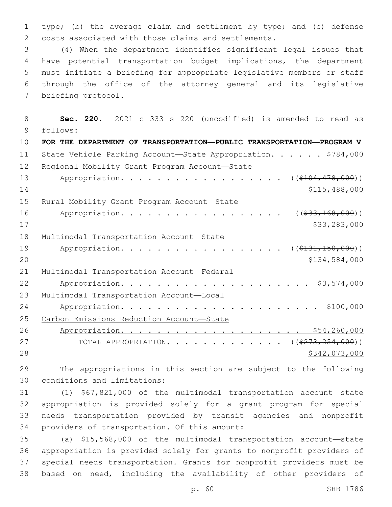1 type; (b) the average claim and settlement by type; and (c) defense 2 costs associated with those claims and settlements.

 (4) When the department identifies significant legal issues that have potential transportation budget implications, the department must initiate a briefing for appropriate legislative members or staff through the office of the attorney general and its legislative 7 briefing protocol.

8 **Sec. 220.** 2021 c 333 s 220 (uncodified) is amended to read as follows: 9 10 **FOR THE DEPARTMENT OF TRANSPORTATION—PUBLIC TRANSPORTATION—PROGRAM V** 11 State Vehicle Parking Account-State Appropriation. . . . . \$784,000 12 Regional Mobility Grant Program Account-State 13 Appropriation. . . . . . . . . . . . . . . . ((\$104,478,000))  $14$  \$115,488,000 15 Rural Mobility Grant Program Account-State 16 Appropriation. . . . . . . . . . . . . . . . ((<del>\$33,168,000</del>))  $\frac{17}{27}$   $\frac{17}{27}$   $\frac{17}{27}$   $\frac{17}{27}$   $\frac{17}{27}$   $\frac{17}{27}$   $\frac{17}{27}$   $\frac{17}{27}$   $\frac{17}{27}$   $\frac{17}{27}$   $\frac{17}{27}$   $\frac{17}{27}$   $\frac{17}{27}$   $\frac{17}{27}$   $\frac{17}{27}$   $\frac{17}{27}$   $\frac{17}{27}$   $\frac{17}{27}$   $\frac{1$ 18 Multimodal Transportation Account-State 19 Appropriation. . . . . . . . . . . . . . . . (  $(\frac{2131,150,000}{s})$ 20 \$134,584,000 21 Multimodal Transportation Account-Federal 22 Appropriation. . . . . . . . . . . . . . . . . . . . . \$3,574,000 23 Multimodal Transportation Account-Local 24 Appropriation. . . . . . . . . . . . . . . . . . . . . . \$100,000 25 Carbon Emissions Reduction Account—State 26 Appropriation. . . . . . . . . . . . . . . . . . . . \$54,260,000 27 TOTAL APPROPRIATION. . . . . . . . . . . . ((\$273,254,000)) 28 \$342,073,000 \$342,073,000 \$342,073,000 \$342,073,000 \$342,073,000 \$342,073,000 \$

29 The appropriations in this section are subject to the following 30 conditions and limitations:

 (1) \$67,821,000 of the multimodal transportation account—state appropriation is provided solely for a grant program for special needs transportation provided by transit agencies and nonprofit 34 providers of transportation. Of this amount:

 (a) \$15,568,000 of the multimodal transportation account—state appropriation is provided solely for grants to nonprofit providers of special needs transportation. Grants for nonprofit providers must be based on need, including the availability of other providers of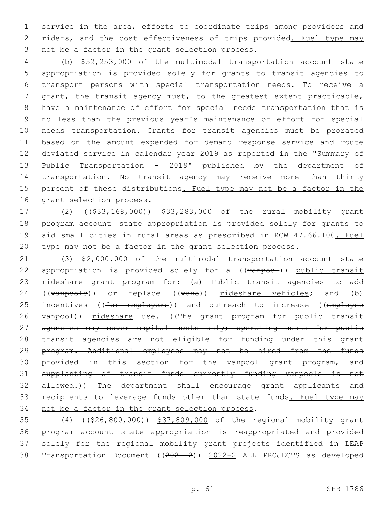service in the area, efforts to coordinate trips among providers and 2 riders, and the cost effectiveness of trips provided. Fuel type may 3 not be a factor in the grant selection process.

 (b) \$52,253,000 of the multimodal transportation account—state appropriation is provided solely for grants to transit agencies to transport persons with special transportation needs. To receive a grant, the transit agency must, to the greatest extent practicable, have a maintenance of effort for special needs transportation that is no less than the previous year's maintenance of effort for special needs transportation. Grants for transit agencies must be prorated based on the amount expended for demand response service and route deviated service in calendar year 2019 as reported in the "Summary of Public Transportation - 2019" published by the department of transportation. No transit agency may receive more than thirty percent of these distributions. Fuel type may not be a factor in the 16 grant selection process.

17 (2) ((\$33,168,000)) \$33,283,000 of the rural mobility grant program account—state appropriation is provided solely for grants to aid small cities in rural areas as prescribed in RCW 47.66.100. Fuel type may not be a factor in the grant selection process.

 (3) \$2,000,000 of the multimodal transportation account—state 22 appropriation is provided solely for a ((vanpool)) public transit rideshare grant program for: (a) Public transit agencies to add 24 ((vanpools)) or replace ((vans)) rideshare vehicles; and (b) 25 incentives ((for employers)) and outreach to increase ((employee 26 vanpool)) rideshare use. ((The grant program for public transit 27 agencies may cover capital costs only; operating costs for public transit agencies are not eligible for funding under this grant 29 program. Additional employees may not be hired from the funds 30 provided in this section for the vanpool grant program, and supplanting of transit funds currently funding vanpools is not 32 allowed.)) The department shall encourage grant applicants and recipients to leverage funds other than state funds. Fuel type may 34 not be a factor in the grant selection process.

 (4) ((\$26,800,000)) \$37,809,000 of the regional mobility grant program account—state appropriation is reappropriated and provided solely for the regional mobility grant projects identified in LEAP Transportation Document ((2021-2)) 2022-2 ALL PROJECTS as developed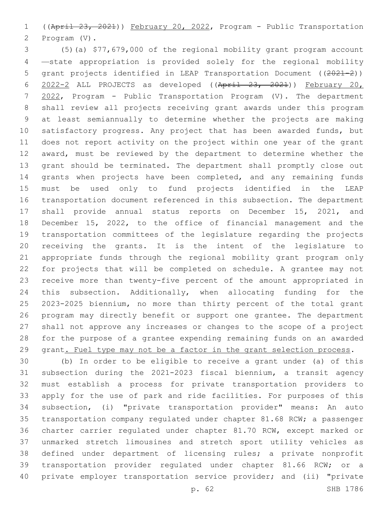((April 23, 2021)) February 20, 2022, Program - Public Transportation 2 Program (V).

 (5)(a) \$77,679,000 of the regional mobility grant program account —state appropriation is provided solely for the regional mobility grant projects identified in LEAP Transportation Document ((2021-2)) 2022-2 ALL PROJECTS as developed ((April 23, 2021)) February 20, 2022, Program - Public Transportation Program (V). The department shall review all projects receiving grant awards under this program at least semiannually to determine whether the projects are making 10 satisfactory progress. Any project that has been awarded funds, but does not report activity on the project within one year of the grant 12 award, must be reviewed by the department to determine whether the grant should be terminated. The department shall promptly close out grants when projects have been completed, and any remaining funds must be used only to fund projects identified in the LEAP transportation document referenced in this subsection. The department shall provide annual status reports on December 15, 2021, and December 15, 2022, to the office of financial management and the transportation committees of the legislature regarding the projects receiving the grants. It is the intent of the legislature to appropriate funds through the regional mobility grant program only for projects that will be completed on schedule. A grantee may not receive more than twenty-five percent of the amount appropriated in this subsection. Additionally, when allocating funding for the 2023-2025 biennium, no more than thirty percent of the total grant program may directly benefit or support one grantee. The department shall not approve any increases or changes to the scope of a project for the purpose of a grantee expending remaining funds on an awarded 29 grant. Fuel type may not be a factor in the grant selection process.

 (b) In order to be eligible to receive a grant under (a) of this subsection during the 2021-2023 fiscal biennium, a transit agency must establish a process for private transportation providers to apply for the use of park and ride facilities. For purposes of this subsection, (i) "private transportation provider" means: An auto transportation company regulated under chapter 81.68 RCW; a passenger charter carrier regulated under chapter 81.70 RCW, except marked or unmarked stretch limousines and stretch sport utility vehicles as defined under department of licensing rules; a private nonprofit transportation provider regulated under chapter 81.66 RCW; or a private employer transportation service provider; and (ii) "private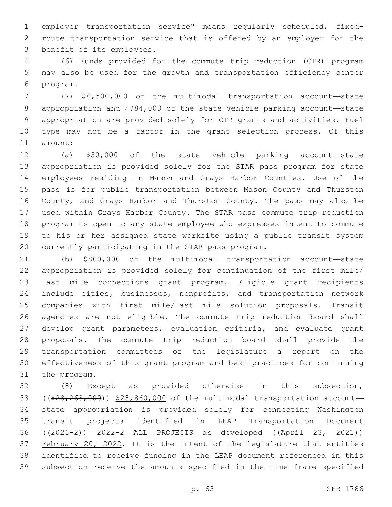employer transportation service" means regularly scheduled, fixed- route transportation service that is offered by an employer for the 3 benefit of its employees.

 (6) Funds provided for the commute trip reduction (CTR) program may also be used for the growth and transportation efficiency center 6 program.

 (7) \$6,500,000 of the multimodal transportation account—state appropriation and \$784,000 of the state vehicle parking account—state appropriation are provided solely for CTR grants and activities. Fuel type may not be a factor in the grant selection process. Of this 11 amount:

 (a) \$30,000 of the state vehicle parking account—state appropriation is provided solely for the STAR pass program for state employees residing in Mason and Grays Harbor Counties. Use of the pass is for public transportation between Mason County and Thurston County, and Grays Harbor and Thurston County. The pass may also be used within Grays Harbor County. The STAR pass commute trip reduction program is open to any state employee who expresses intent to commute to his or her assigned state worksite using a public transit system 20 currently participating in the STAR pass program.

 (b) \$800,000 of the multimodal transportation account—state appropriation is provided solely for continuation of the first mile/ last mile connections grant program. Eligible grant recipients include cities, businesses, nonprofits, and transportation network companies with first mile/last mile solution proposals. Transit agencies are not eligible. The commute trip reduction board shall 27 develop grant parameters, evaluation criteria, and evaluate grant proposals. The commute trip reduction board shall provide the transportation committees of the legislature a report on the effectiveness of this grant program and best practices for continuing 31 the program.

 (8) Except as provided otherwise in this subsection, 33 ( $(\frac{28}{28}, \frac{263}{100})$ )  $\frac{28}{180}$ , 860,000 of the multimodal transportation account- state appropriation is provided solely for connecting Washington transit projects identified in LEAP Transportation Document ((2021-2)) 2022-2 ALL PROJECTS as developed ((April 23, 2021)) February 20, 2022. It is the intent of the legislature that entities identified to receive funding in the LEAP document referenced in this subsection receive the amounts specified in the time frame specified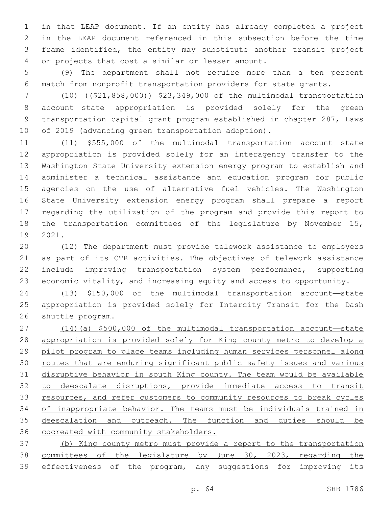in that LEAP document. If an entity has already completed a project in the LEAP document referenced in this subsection before the time frame identified, the entity may substitute another transit project 4 or projects that cost a similar or lesser amount.

 (9) The department shall not require more than a ten percent match from nonprofit transportation providers for state grants.

7 (10) ((\$21,858,000)) \$23,349,000 of the multimodal transportation account—state appropriation is provided solely for the green transportation capital grant program established in chapter 287, Laws of 2019 (advancing green transportation adoption).

 (11) \$555,000 of the multimodal transportation account—state appropriation is provided solely for an interagency transfer to the Washington State University extension energy program to establish and administer a technical assistance and education program for public agencies on the use of alternative fuel vehicles. The Washington State University extension energy program shall prepare a report regarding the utilization of the program and provide this report to the transportation committees of the legislature by November 15, 19 2021.

 (12) The department must provide telework assistance to employers as part of its CTR activities. The objectives of telework assistance 22 include improving transportation system performance, supporting economic vitality, and increasing equity and access to opportunity.

 (13) \$150,000 of the multimodal transportation account—state appropriation is provided solely for Intercity Transit for the Dash 26 shuttle program.

 (14)(a) \$500,000 of the multimodal transportation account—state appropriation is provided solely for King county metro to develop a pilot program to place teams including human services personnel along routes that are enduring significant public safety issues and various disruptive behavior in south King county. The team would be available to deescalate disruptions, provide immediate access to transit 33 resources, and refer customers to community resources to break cycles 34 of inappropriate behavior. The teams must be individuals trained in 35 deescalation and outreach. The function and duties should be 36 cocreated with community stakeholders.

 (b) King county metro must provide a report to the transportation committees of the legislature by June 30, 2023, regarding the 39 effectiveness of the program, any suggestions for improving its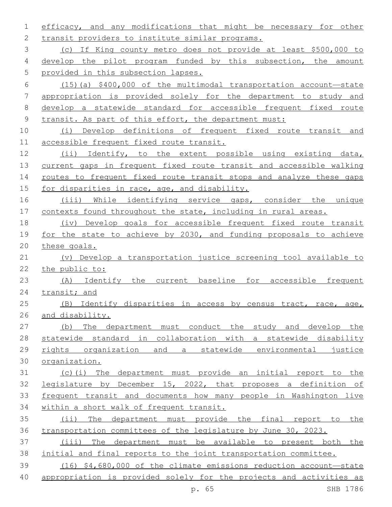efficacy, and any modifications that might be necessary for other 2 transit providers to institute similar programs.

 (c) If King county metro does not provide at least \$500,000 to develop the pilot program funded by this subsection, the amount provided in this subsection lapses.

 (15)(a) \$400,000 of the multimodal transportation account—state appropriation is provided solely for the department to study and develop a statewide standard for accessible frequent fixed route transit. As part of this effort, the department must:

 (i) Develop definitions of frequent fixed route transit and 11 accessible frequent fixed route transit.

 (ii) Identify, to the extent possible using existing data, current gaps in frequent fixed route transit and accessible walking routes to frequent fixed route transit stops and analyze these gaps 15 for disparities in race, age, and disability.

 (iii) While identifying service gaps, consider the unique 17 contexts found throughout the state, including in rural areas.

 (iv) Develop goals for accessible frequent fixed route transit for the state to achieve by 2030, and funding proposals to achieve these goals.

 (v) Develop a transportation justice screening tool available to the public to:

 (A) Identify the current baseline for accessible frequent transit; and

 (B) Identify disparities in access by census tract, race, age, and disability.

 (b) The department must conduct the study and develop the statewide standard in collaboration with a statewide disability rights organization and a statewide environmental justice organization.

 (c)(i) The department must provide an initial report to the legislature by December 15, 2022, that proposes a definition of frequent transit and documents how many people in Washington live within a short walk of frequent transit.

 (ii) The department must provide the final report to the transportation committees of the legislature by June 30, 2023.

 (iii) The department must be available to present both the initial and final reports to the joint transportation committee.

 (16) \$4,680,000 of the climate emissions reduction account—state appropriation is provided solely for the projects and activities as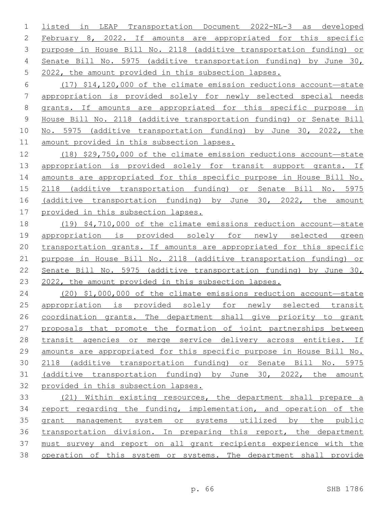listed in LEAP Transportation Document 2022-NL-3 as developed February 8, 2022. If amounts are appropriated for this specific purpose in House Bill No. 2118 (additive transportation funding) or Senate Bill No. 5975 (additive transportation funding) by June 30, 2022, the amount provided in this subsection lapses.

 (17) \$14,120,000 of the climate emission reductions account—state appropriation is provided solely for newly selected special needs grants. If amounts are appropriated for this specific purpose in House Bill No. 2118 (additive transportation funding) or Senate Bill No. 5975 (additive transportation funding) by June 30, 2022, the amount provided in this subsection lapses.

 (18) \$29,750,000 of the climate emission reductions account—state appropriation is provided solely for transit support grants. If amounts are appropriated for this specific purpose in House Bill No. 2118 (additive transportation funding) or Senate Bill No. 5975 (additive transportation funding) by June 30, 2022, the amount provided in this subsection lapses.

 (19) \$4,710,000 of the climate emissions reduction account—state appropriation is provided solely for newly selected green 20 transportation grants. If amounts are appropriated for this specific purpose in House Bill No. 2118 (additive transportation funding) or Senate Bill No. 5975 (additive transportation funding) by June 30, 2022, the amount provided in this subsection lapses.

 (20) \$1,000,000 of the climate emissions reduction account—state appropriation is provided solely for newly selected transit 26 coordination grants. The department shall give priority to grant proposals that promote the formation of joint partnerships between transit agencies or merge service delivery across entities. If amounts are appropriated for this specific purpose in House Bill No. 2118 (additive transportation funding) or Senate Bill No. 5975 (additive transportation funding) by June 30, 2022, the amount provided in this subsection lapses.

 (21) Within existing resources, the department shall prepare a 34 report regarding the funding, implementation, and operation of the grant management system or systems utilized by the public transportation division. In preparing this report, the department must survey and report on all grant recipients experience with the 38 operation of this system or systems. The department shall provide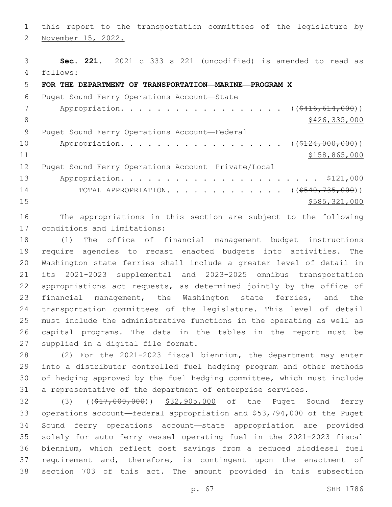1 this report to the transportation committees of the legislature by 2 November 15, 2022. **Sec. 221.** 2021 c 333 s 221 (uncodified) is amended to read as follows: 4 **FOR THE DEPARTMENT OF TRANSPORTATION—MARINE—PROGRAM X** 6 Puget Sound Ferry Operations Account-State 7 Appropriation. . . . . . . . . . . . . . . . (  $(\frac{2416,614,000}{s})$ 8 \$426,335,000 \$426,335,000 \$426,335,000 \$426,335,000 \$426,335,000 \$426,335,000 \$ 9 Puget Sound Ferry Operations Account—Federal 10 Appropriation. . . . . . . . . . . . . . . . ((\$124,000,000)) \$158,865,000 Puget Sound Ferry Operations Account—Private/Local Appropriation. . . . . . . . . . . . . . . . . . . . . . \$121,000 14 TOTAL APPROPRIATION. . . . . . . . . . . . ((\$540,735,000)) \$585,321,000

 The appropriations in this section are subject to the following 17 conditions and limitations:

 (1) The office of financial management budget instructions require agencies to recast enacted budgets into activities. The Washington state ferries shall include a greater level of detail in its 2021-2023 supplemental and 2023-2025 omnibus transportation appropriations act requests, as determined jointly by the office of 23 financial management, the Washington state ferries, and the transportation committees of the legislature. This level of detail must include the administrative functions in the operating as well as capital programs. The data in the tables in the report must be 27 supplied in a digital file format.

 (2) For the 2021-2023 fiscal biennium, the department may enter into a distributor controlled fuel hedging program and other methods of hedging approved by the fuel hedging committee, which must include a representative of the department of enterprise services.

32 (3) ((\$17,000,000)) \$32,905,000 of the Puget Sound ferry operations account—federal appropriation and \$53,794,000 of the Puget Sound ferry operations account—state appropriation are provided solely for auto ferry vessel operating fuel in the 2021-2023 fiscal biennium, which reflect cost savings from a reduced biodiesel fuel requirement and, therefore, is contingent upon the enactment of section 703 of this act. The amount provided in this subsection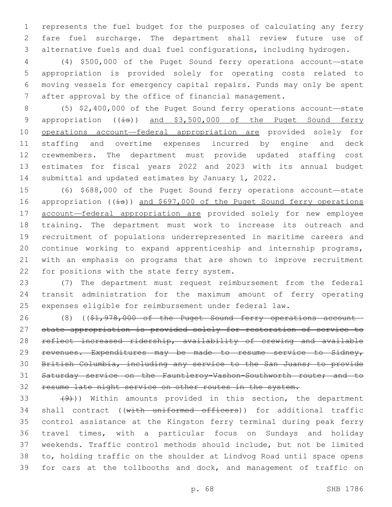represents the fuel budget for the purposes of calculating any ferry fare fuel surcharge. The department shall review future use of alternative fuels and dual fuel configurations, including hydrogen.

 (4) \$500,000 of the Puget Sound ferry operations account—state appropriation is provided solely for operating costs related to moving vessels for emergency capital repairs. Funds may only be spent after approval by the office of financial management.

 (5) \$2,400,000 of the Puget Sound ferry operations account—state 9 appropriation  $((\frac{1}{15}))$  and \$3,500,000 of the Puget Sound ferry operations account—federal appropriation are provided solely for staffing and overtime expenses incurred by engine and deck crewmembers. The department must provide updated staffing cost estimates for fiscal years 2022 and 2023 with its annual budget 14 submittal and updated estimates by January 1, 2022.

 (6) \$688,000 of the Puget Sound ferry operations account—state 16 appropriation ((is)) and \$697,000 of the Puget Sound ferry operations 17 account-federal appropriation are provided solely for new employee training. The department must work to increase its outreach and recruitment of populations underrepresented in maritime careers and continue working to expand apprenticeship and internship programs, with an emphasis on programs that are shown to improve recruitment 22 for positions with the state ferry system.

 (7) The department must request reimbursement from the federal transit administration for the maximum amount of ferry operating expenses eligible for reimbursement under federal law.

26 (8) ((\$1,978,000 of the Puget Sound ferry operations account- state appropriation is provided solely for restoration of service to 28 reflect increased ridership, availability of crewing and available revenues. Expenditures may be made to resume service to Sidney, British Columbia, including any service to the San Juans; to provide Saturday service on the Fauntleroy-Vashon-Southworth route; and to resume late night service on other routes in the system.

 $(9)$ )) Within amounts provided in this section, the department 34 shall contract ((with uniformed officers)) for additional traffic control assistance at the Kingston ferry terminal during peak ferry travel times, with a particular focus on Sundays and holiday weekends. Traffic control methods should include, but not be limited to, holding traffic on the shoulder at Lindvog Road until space opens for cars at the tollbooths and dock, and management of traffic on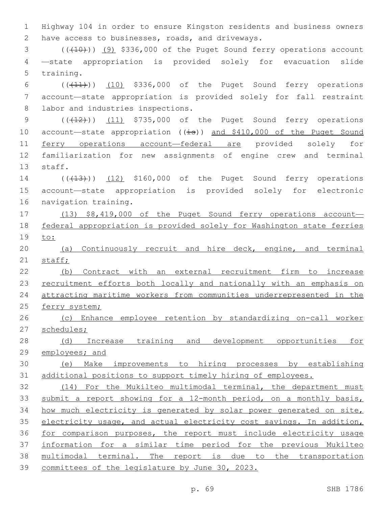1 Highway 104 in order to ensure Kingston residents and business owners 2 have access to businesses, roads, and driveways.

 $(1)(10)$  (( $(10)$ ) (9) \$336,000 of the Puget Sound ferry operations account 4 —state appropriation is provided solely for evacuation slide 5 training.

6  $((+11))$   $(10)$  \$336,000 of the Puget Sound ferry operations 7 account—state appropriation is provided solely for fall restraint 8 labor and industries inspections.

9  $((+12))$   $(11)$  \$735,000 of the Puget Sound ferry operations 10 account—state appropriation  $((\frac{1}{18}))$  and \$410,000 of the Puget Sound 11 ferry operations account-federal are provided solely for 12 familiarization for new assignments of engine crew and terminal 13 staff.

14 (( $(13)$ )) (12) \$160,000 of the Puget Sound ferry operations 15 account—state appropriation is provided solely for electronic 16 navigation training.

17 (13) \$8,419,000 of the Puget Sound ferry operations account— 18 federal appropriation is provided solely for Washington state ferries 19 to:

20 (a) Continuously recruit and hire deck, engine, and terminal 21 staff;

22 (b) Contract with an external recruitment firm to increase 23 recruitment efforts both locally and nationally with an emphasis on 24 attracting maritime workers from communities underrepresented in the 25 ferry system;

26 (c) Enhance employee retention by standardizing on-call worker 27 schedules;

28 (d) Increase training and development opportunities for 29 employees; and

30 (e) Make improvements to hiring processes by establishing 31 additional positions to support timely hiring of employees.

 (14) For the Mukilteo multimodal terminal, the department must 33 submit a report showing for a 12-month period, on a monthly basis, how much electricity is generated by solar power generated on site, 35 electricity usage, and actual electricity cost savings. In addition, for comparison purposes, the report must include electricity usage information for a similar time period for the previous Mukilteo 38 multimodal terminal. The report is due to the transportation committees of the legislature by June 30, 2023.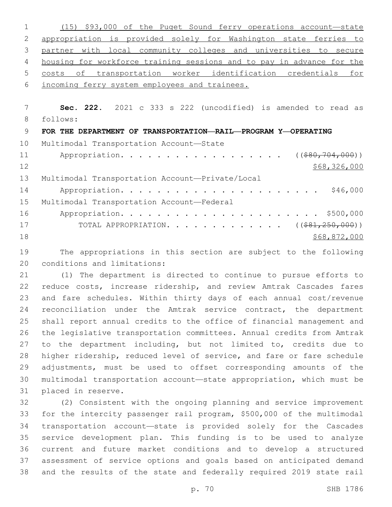|          | \$93,000 of the Puget Sound ferry operations account-state<br>(15)    |
|----------|-----------------------------------------------------------------------|
| 2        | appropriation is provided solely for Washington state ferries to      |
| 3        | partner with local community colleges and universities to secure      |
| 4        | housing for workforce training sessions and to pay in advance for the |
| 5        | transportation worker identification credentials for<br>оf<br>costs   |
| 6        | incoming ferry system employees and trainees.                         |
|          |                                                                       |
| 7        | Sec. 222. 2021 c 333 s 222 (uncodified) is amended to read as         |
| 8        | follows:                                                              |
| 9        | FOR THE DEPARTMENT OF TRANSPORTATION-RAIL-PROGRAM Y-OPERATING         |
|          |                                                                       |
| 10       | Multimodal Transportation Account-State                               |
| 11       | Appropriation.<br>( ( \$80, 704, 000) )                               |
| 12       | \$68,326,000                                                          |
| 13       | Multimodal Transportation Account-Private/Local                       |
| 14       | \$46,000                                                              |
|          | Multimodal Transportation Account-Federal                             |
| 15<br>16 | \$500,000                                                             |
| 17       | TOTAL APPROPRIATION. ( $(\$81,250,000)$ )                             |
| 18       | \$68,872,000                                                          |

 The appropriations in this section are subject to the following 20 conditions and limitations:

 (1) The department is directed to continue to pursue efforts to reduce costs, increase ridership, and review Amtrak Cascades fares and fare schedules. Within thirty days of each annual cost/revenue 24 reconciliation under the Amtrak service contract, the department shall report annual credits to the office of financial management and the legislative transportation committees. Annual credits from Amtrak to the department including, but not limited to, credits due to higher ridership, reduced level of service, and fare or fare schedule adjustments, must be used to offset corresponding amounts of the multimodal transportation account—state appropriation, which must be 31 placed in reserve.

 (2) Consistent with the ongoing planning and service improvement for the intercity passenger rail program, \$500,000 of the multimodal transportation account—state is provided solely for the Cascades service development plan. This funding is to be used to analyze current and future market conditions and to develop a structured assessment of service options and goals based on anticipated demand and the results of the state and federally required 2019 state rail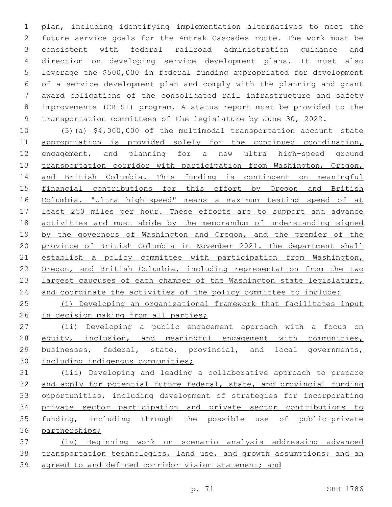plan, including identifying implementation alternatives to meet the future service goals for the Amtrak Cascades route. The work must be consistent with federal railroad administration guidance and direction on developing service development plans. It must also leverage the \$500,000 in federal funding appropriated for development of a service development plan and comply with the planning and grant award obligations of the consolidated rail infrastructure and safety improvements (CRISI) program. A status report must be provided to the transportation committees of the legislature by June 30, 2022.

 (3)(a) \$4,000,000 of the multimodal transportation account—state appropriation is provided solely for the continued coordination, 12 engagement, and planning for a new ultra high-speed ground transportation corridor with participation from Washington, Oregon, and British Columbia. This funding is contingent on meaningful financial contributions for this effort by Oregon and British Columbia. "Ultra high-speed" means a maximum testing speed of at least 250 miles per hour. These efforts are to support and advance activities and must abide by the memorandum of understanding signed 19 by the governors of Washington and Oregon, and the premier of the province of British Columbia in November 2021. The department shall establish a policy committee with participation from Washington, Oregon, and British Columbia, including representation from the two largest caucuses of each chamber of the Washington state legislature, and coordinate the activities of the policy committee to include:

 (i) Developing an organizational framework that facilitates input in decision making from all parties;

 (ii) Developing a public engagement approach with a focus on 28 equity, inclusion, and meaningful engagement with communities, businesses, federal, state, provincial, and local governments, including indigenous communities;

 (iii) Developing and leading a collaborative approach to prepare and apply for potential future federal, state, and provincial funding opportunities, including development of strategies for incorporating private sector participation and private sector contributions to funding, including through the possible use of public-private partnerships;

 (iv) Beginning work on scenario analysis addressing advanced transportation technologies, land use, and growth assumptions; and an 39 agreed to and defined corridor vision statement; and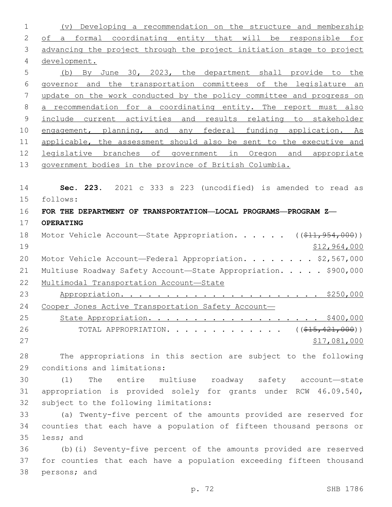(v) Developing a recommendation on the structure and membership 2 of a formal coordinating entity that will be responsible for 3 advancing the project through the project initiation stage to project development. (b) By June 30, 2023, the department shall provide to the governor and the transportation committees of the legislature an update on the work conducted by the policy committee and progress on a recommendation for a coordinating entity. The report must also include current activities and results relating to stakeholder engagement, planning, and any federal funding application. As applicable, the assessment should also be sent to the executive and legislative branches of government in Oregon and appropriate government bodies in the province of British Columbia. **Sec. 223.** 2021 c 333 s 223 (uncodified) is amended to read as follows: 15 **FOR THE DEPARTMENT OF TRANSPORTATION—LOCAL PROGRAMS—PROGRAM Z— OPERATING** 18 Motor Vehicle Account—State Appropriation. . . . . ((\$11,954,000)) \$12,964,000 20 Motor Vehicle Account—Federal Appropriation. . . . . . . \$2,567,000 21 Multiuse Roadway Safety Account-State Appropriation. . . . . \$900,000 Multimodal Transportation Account—State Appropriation. . . . . . . . . . . . . . . . . . . . . . \$250,000 24 Cooper Jones Active Transportation Safety Account- State Appropriation. . . . . . . . . . . . . . . . . . . \$400,000 26 TOTAL APPROPRIATION. . . . . . . . . . . . ((<del>\$15,421,000</del>)) 27 \$17,081,000 The appropriations in this section are subject to the following 29 conditions and limitations: (1) The entire multiuse roadway safety account—state appropriation is provided solely for grants under RCW 46.09.540, 32 subject to the following limitations: (a) Twenty-five percent of the amounts provided are reserved for counties that each have a population of fifteen thousand persons or 35 less; and (b)(i) Seventy-five percent of the amounts provided are reserved for counties that each have a population exceeding fifteen thousand

38 persons; and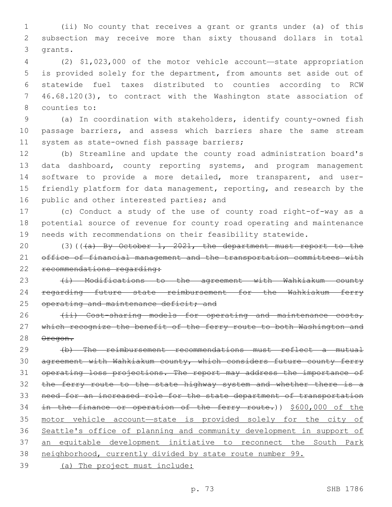1 (ii) No county that receives a grant or grants under (a) of this 2 subsection may receive more than sixty thousand dollars in total 3 qrants.

 (2) \$1,023,000 of the motor vehicle account—state appropriation is provided solely for the department, from amounts set aside out of statewide fuel taxes distributed to counties according to RCW 46.68.120(3), to contract with the Washington state association of 8 counties to:

9 (a) In coordination with stakeholders, identify county-owned fish 10 passage barriers, and assess which barriers share the same stream 11 system as state-owned fish passage barriers;

12 (b) Streamline and update the county road administration board's 13 data dashboard, county reporting systems, and program management 14 software to provide a more detailed, more transparent, and user-15 friendly platform for data management, reporting, and research by the 16 public and other interested parties; and

17 (c) Conduct a study of the use of county road right-of-way as a 18 potential source of revenue for county road operating and maintenance 19 needs with recommendations on their feasibility statewide.

20 (3)(((a) By October 1, 2021, the department must report to the 21 office of financial management and the transportation committees with 22 recommendations regarding:

23 (i) Modifications to the agreement with Wahkiakum county 24 regarding future state reimbursement for the Wahkiakum ferry 25 operating and maintenance deficit; and

26 (ii) Cost-sharing models for operating and maintenance costs, 27 which recognize the benefit of the ferry route to both Washington and 28 Oregon.

 (b) The reimbursement recommendations must reflect a mutual agreement with Wahkiakum county, which considers future county ferry operating loss projections. The report may address the importance of 32 the ferry route to the state highway system and whether there is a need for an increased role for the state department of transportation 34 in the finance or operation of the ferry route.)) \$600,000 of the motor vehicle account—state is provided solely for the city of Seattle's office of planning and community development in support of an equitable development initiative to reconnect the South Park neighborhood, currently divided by state route number 99.

39 (a) The project must include: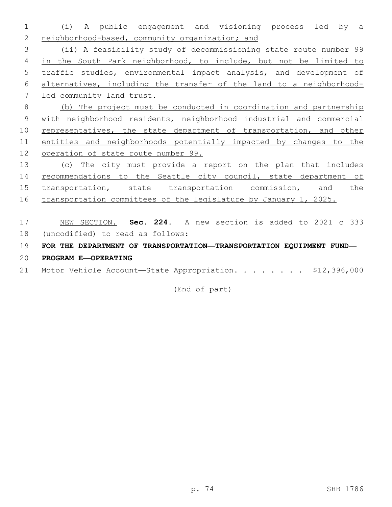- (i) A public engagement and visioning process led by a 2 neighborhood-based, community organization; and (ii) A feasibility study of decommissioning state route number 99 in the South Park neighborhood, to include, but not be limited to traffic studies, environmental impact analysis, and development of alternatives, including the transfer of the land to a neighborhood- led community land trust. (b) The project must be conducted in coordination and partnership with neighborhood residents, neighborhood industrial and commercial 10 representatives, the state department of transportation, and other entities and neighborhoods potentially impacted by changes to the operation of state route number 99. (c) The city must provide a report on the plan that includes 14 recommendations to the Seattle city council, state department of transportation, state transportation commission, and the 16 transportation committees of the legislature by January 1, 2025. NEW SECTION. **Sec. 224.** A new section is added to 2021 c 333 18 (uncodified) to read as follows: **FOR THE DEPARTMENT OF TRANSPORTATION—TRANSPORTATION EQUIPMENT FUND—**
- **PROGRAM E—OPERATING**
- 21 Motor Vehicle Account-State Appropriation. . . . . . . \$12,396,000

(End of part)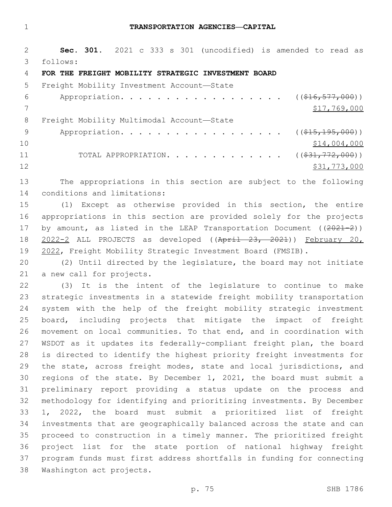#### **TRANSPORTATION AGENCIES—CAPITAL**

 **Sec. 301.** 2021 c 333 s 301 (uncodified) is amended to read as follows: 3

#### **FOR THE FREIGHT MOBILITY STRATEGIC INVESTMENT BOARD**

| 5.  | Freight Mobility Investment Account-State                   |              |
|-----|-------------------------------------------------------------|--------------|
| 6   | Appropriation. ( $(\frac{16}{16}, \frac{577}{900})$ )       |              |
|     |                                                             | \$17,769,000 |
| 8   | Freight Mobility Multimodal Account-State                   |              |
| - 9 | Appropriation. ( $(\frac{15}{715}, \frac{195}{195}, 000)$ ) |              |
| 10  |                                                             | \$14,004,000 |
| 11  | TOTAL APPROPRIATION. ( $(\frac{231}{772,000})$ )            |              |
| 12  |                                                             | \$31,773,000 |

 The appropriations in this section are subject to the following 14 conditions and limitations:

 (1) Except as otherwise provided in this section, the entire appropriations in this section are provided solely for the projects 17 by amount, as listed in the LEAP Transportation Document  $((2021-2))$  2022-2 ALL PROJECTS as developed ((April 23, 2021)) February 20, 2022, Freight Mobility Strategic Investment Board (FMSIB).

 (2) Until directed by the legislature, the board may not initiate 21 a new call for projects.

 (3) It is the intent of the legislature to continue to make strategic investments in a statewide freight mobility transportation system with the help of the freight mobility strategic investment board, including projects that mitigate the impact of freight movement on local communities. To that end, and in coordination with WSDOT as it updates its federally-compliant freight plan, the board is directed to identify the highest priority freight investments for 29 the state, across freight modes, state and local jurisdictions, and regions of the state. By December 1, 2021, the board must submit a preliminary report providing a status update on the process and methodology for identifying and prioritizing investments. By December 1, 2022, the board must submit a prioritized list of freight investments that are geographically balanced across the state and can proceed to construction in a timely manner. The prioritized freight project list for the state portion of national highway freight program funds must first address shortfalls in funding for connecting 38 Washington act projects.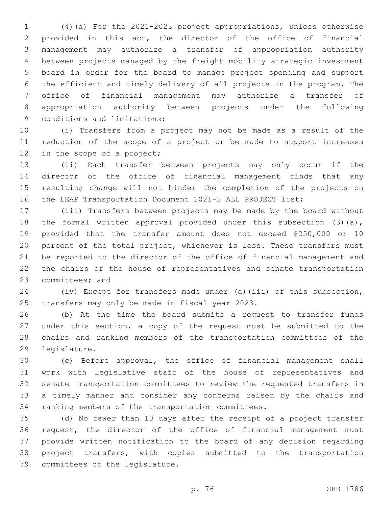(4)(a) For the 2021-2023 project appropriations, unless otherwise provided in this act, the director of the office of financial management may authorize a transfer of appropriation authority between projects managed by the freight mobility strategic investment board in order for the board to manage project spending and support the efficient and timely delivery of all projects in the program. The office of financial management may authorize a transfer of appropriation authority between projects under the following 9 conditions and limitations:

 (i) Transfers from a project may not be made as a result of the reduction of the scope of a project or be made to support increases 12 in the scope of a project;

 (ii) Each transfer between projects may only occur if the director of the office of financial management finds that any resulting change will not hinder the completion of the projects on the LEAP Transportation Document 2021-2 ALL PROJECT list;

 (iii) Transfers between projects may be made by the board without the formal written approval provided under this subsection (3)(a), provided that the transfer amount does not exceed \$250,000 or 10 percent of the total project, whichever is less. These transfers must be reported to the director of the office of financial management and the chairs of the house of representatives and senate transportation 23 committees; and

 (iv) Except for transfers made under (a)(iii) of this subsection, 25 transfers may only be made in fiscal year 2023.

 (b) At the time the board submits a request to transfer funds under this section, a copy of the request must be submitted to the chairs and ranking members of the transportation committees of the 29 legislature.

 (c) Before approval, the office of financial management shall work with legislative staff of the house of representatives and senate transportation committees to review the requested transfers in a timely manner and consider any concerns raised by the chairs and 34 ranking members of the transportation committees.

 (d) No fewer than 10 days after the receipt of a project transfer request, the director of the office of financial management must provide written notification to the board of any decision regarding project transfers, with copies submitted to the transportation 39 committees of the legislature.

p. 76 SHB 1786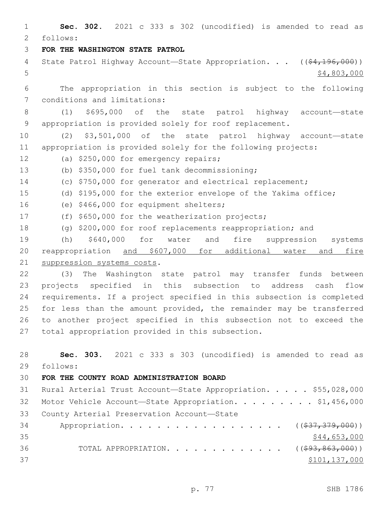1 **Sec. 302.** 2021 c 333 s 302 (uncodified) is amended to read as follows: 2 3 **FOR THE WASHINGTON STATE PATROL** 4 State Patrol Highway Account—State Appropriation. . . ((\$4,196,000))  $5 - 5$  \$4,803,000 6 The appropriation in this section is subject to the following 7 conditions and limitations: 8 (1) \$695,000 of the state patrol highway account—state 9 appropriation is provided solely for roof replacement. 10 (2) \$3,501,000 of the state patrol highway account—state 11 appropriation is provided solely for the following projects: 12 (a) \$250,000 for emergency repairs; (b) \$350,000 for fuel tank decommissioning;13 14 (c) \$750,000 for generator and electrical replacement; 15 (d) \$195,000 for the exterior envelope of the Yakima office; 16 (e) \$466,000 for equipment shelters; 17 (f) \$650,000 for the weatherization projects; 18 (g) \$200,000 for roof replacements reappropriation; and 19 (h) \$640,000 for water and fire suppression systems 20 reappropriation and \$607,000 for additional water and fire 21 suppression systems costs. 22 (3) The Washington state patrol may transfer funds between 23 projects specified in this subsection to address cash flow 24 requirements. If a project specified in this subsection is completed 25 for less than the amount provided, the remainder may be transferred 26 to another project specified in this subsection not to exceed the 27 total appropriation provided in this subsection. 28 **Sec. 303.** 2021 c 333 s 303 (uncodified) is amended to read as follows: 29 30 **FOR THE COUNTY ROAD ADMINISTRATION BOARD** 31 Rural Arterial Trust Account—State Appropriation. . . . . \$55,028,000 32 Motor Vehicle Account-State Appropriation. . . . . . . . \$1,456,000 33 County Arterial Preservation Account-State 34 Appropriation. . . . . . . . . . . . . . . . . (  $(\frac{237}{37}, \frac{379}{900})$  )  $35$  \$44,653,000 36 TOTAL APPROPRIATION. . . . . . . . . . . . . ((\$93,863,000))  $37$   $$101,137,000$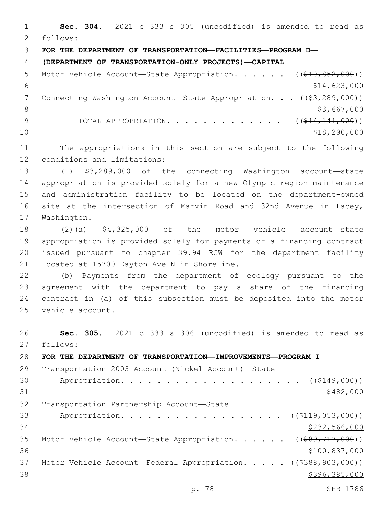**Sec. 304.** 2021 c 333 s 305 (uncodified) is amended to read as follows: 2 **FOR THE DEPARTMENT OF TRANSPORTATION—FACILITIES—PROGRAM D— (DEPARTMENT OF TRANSPORTATION-ONLY PROJECTS)—CAPITAL** 5 Motor Vehicle Account—State Appropriation. . . . . ((\$10,852,000))  $$14,623,000$ 7 Connecting Washington Account—State Appropriation. . . ((\$3,289,000))  $\frac{1}{3}$ ,667,000 9 TOTAL APPROPRIATION. . . . . . . . . . . . . ((\$14,141,000)) \$18,290,000 The appropriations in this section are subject to the following 12 conditions and limitations: (1) \$3,289,000 of the connecting Washington account—state appropriation is provided solely for a new Olympic region maintenance and administration facility to be located on the department-owned site at the intersection of Marvin Road and 32nd Avenue in Lacey, 17 Washington. (2)(a) \$4,325,000 of the motor vehicle account—state appropriation is provided solely for payments of a financing contract issued pursuant to chapter 39.94 RCW for the department facility 21 located at 15700 Dayton Ave N in Shoreline. (b) Payments from the department of ecology pursuant to the agreement with the department to pay a share of the financing contract in (a) of this subsection must be deposited into the motor 25 vehicle account. **Sec. 305.** 2021 c 333 s 306 (uncodified) is amended to read as 27 follows: **FOR THE DEPARTMENT OF TRANSPORTATION—IMPROVEMENTS—PROGRAM I** Transportation 2003 Account (Nickel Account)—State 30 Appropriation. . . . . . . . . . . . . . . . . . (  $( $149,000)$  )

  $$482,000$ 32 Transportation Partnership Account-State 33 Appropriation. . . . . . . . . . . . . . . . . ((\$119,053,000)) \$232,566,000 35 Motor Vehicle Account-State Appropriation. . . . . ((\$89,717,000)) \$100,837,000 37 Motor Vehicle Account—Federal Appropriation. . . . . ((\$388,903,000))

 $396,385,000$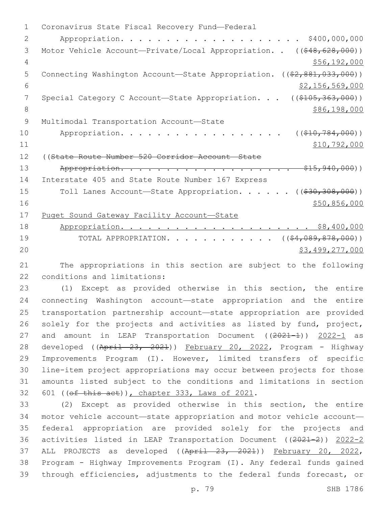1 Coronavirus State Fiscal Recovery Fund-Federal 2 Appropriation. . . . . . . . . . . . . . . . . . . . \$400,000,000 3 Motor Vehicle Account—Private/Local Appropriation. . ((\$48,628,000)) 4 \$56,192,000 5 Connecting Washington Account—State Appropriation. ((\$2,881,033,000))  $\frac{1}{2}$   $\frac{1}{56}$ ,  $\frac{569}{000}$ 7 Special Category C Account—State Appropriation. . . ((\$105,363,000)) 8 \$86,198,000 9 Multimodal Transportation Account-State 10 Appropriation. . . . . . . . . . . . . . . . ((\$10,784,000))  $11$  \$10,792,000 12 ((State Route Number 520 Corridor Account—State 13 Appropriation. . . . . . . . . . . . . . . . . . \$15,940,000)) 14 Interstate 405 and State Route Number 167 Express 15 Toll Lanes Account—State Appropriation. . . . . ((\$30,308,000))  $16$   $$50,856,000$ 17 Puget Sound Gateway Facility Account—State 18 Appropriation. . . . . . . . . . . . . . . . . . . . . \$8,400,000 19 TOTAL APPROPRIATION. . . . . . . . . . . ((\$4,089,878,000)) 20 \$3,499,277,000

21 The appropriations in this section are subject to the following 22 conditions and limitations:

 (1) Except as provided otherwise in this section, the entire connecting Washington account—state appropriation and the entire transportation partnership account—state appropriation are provided solely for the projects and activities as listed by fund, project, 27 and amount in LEAP Transportation Document ((2021-1)) 2022-1 as 28 developed ((April 23, 2021)) February 20, 2022, Program - Highway Improvements Program (I). However, limited transfers of specific line-item project appropriations may occur between projects for those amounts listed subject to the conditions and limitations in section 32 601 ((ef this act)), chapter 333, Laws of 2021.

 (2) Except as provided otherwise in this section, the entire motor vehicle account—state appropriation and motor vehicle account— federal appropriation are provided solely for the projects and activities listed in LEAP Transportation Document ((2021-2)) 2022-2 37 ALL PROJECTS as developed ((April 23, 2021)) February 20, 2022, Program - Highway Improvements Program (I). Any federal funds gained through efficiencies, adjustments to the federal funds forecast, or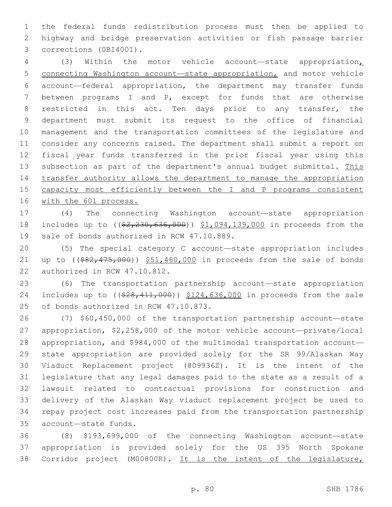the federal funds redistribution process must then be applied to highway and bridge preservation activities or fish passage barrier 3 corrections (0BI4001).

 (3) Within the motor vehicle account—state appropriation, connecting Washington account—state appropriation, and motor vehicle account—federal appropriation, the department may transfer funds between programs I and P, except for funds that are otherwise restricted in this act. Ten days prior to any transfer, the department must submit its request to the office of financial management and the transportation committees of the legislature and consider any concerns raised. The department shall submit a report on fiscal year funds transferred in the prior fiscal year using this subsection as part of the department's annual budget submittal. This transfer authority allows the department to manage the appropriation capacity most efficiently between the I and P programs consistent with the 601 process.

 (4) The connecting Washington account—state appropriation 18 includes up to ( $(\frac{2}{7}, \frac{230}{636}, \frac{000}{636})$ )  $\frac{1}{100}, \frac{094}{139}, \frac{000}{100}$  in proceeds from the 19 sale of bonds authorized in RCW 47.10.889.

 (5) The special category C account—state appropriation includes 21 up to  $($   $(*82, 475, 000)$   $*51, 460, 000$  in proceeds from the sale of bonds 22 authorized in RCW 47.10.812.

 (6) The transportation partnership account—state appropriation 24 includes up to ((\$28,411,000)) \$124,636,000 in proceeds from the sale 25 of bonds authorized in RCW 47.10.873.

 (7) \$60,450,000 of the transportation partnership account—state appropriation, \$2,258,000 of the motor vehicle account—private/local appropriation, and \$984,000 of the multimodal transportation account— state appropriation are provided solely for the SR 99/Alaskan Way Viaduct Replacement project (809936Z). It is the intent of the legislature that any legal damages paid to the state as a result of a lawsuit related to contractual provisions for construction and delivery of the Alaskan Way viaduct replacement project be used to repay project cost increases paid from the transportation partnership account—state funds.35

 (8) \$193,699,000 of the connecting Washington account—state appropriation is provided solely for the US 395 North Spokane 38 Corridor project (M00800R). It is the intent of the legislature,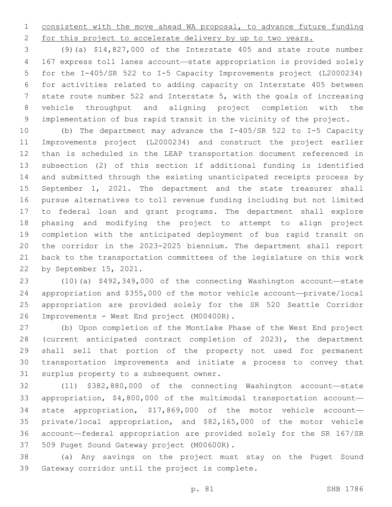consistent with the move ahead WA proposal, to advance future funding 2 for this project to accelerate delivery by up to two years.

 (9)(a) \$14,827,000 of the Interstate 405 and state route number 167 express toll lanes account—state appropriation is provided solely for the I-405/SR 522 to I-5 Capacity Improvements project (L2000234) for activities related to adding capacity on Interstate 405 between state route number 522 and Interstate 5, with the goals of increasing vehicle throughput and aligning project completion with the implementation of bus rapid transit in the vicinity of the project.

 (b) The department may advance the I-405/SR 522 to I-5 Capacity Improvements project (L2000234) and construct the project earlier than is scheduled in the LEAP transportation document referenced in subsection (2) of this section if additional funding is identified and submitted through the existing unanticipated receipts process by September 1, 2021. The department and the state treasurer shall pursue alternatives to toll revenue funding including but not limited to federal loan and grant programs. The department shall explore phasing and modifying the project to attempt to align project completion with the anticipated deployment of bus rapid transit on the corridor in the 2023-2025 biennium. The department shall report back to the transportation committees of the legislature on this work 22 by September 15, 2021.

 (10)(a) \$492,349,000 of the connecting Washington account—state appropriation and \$355,000 of the motor vehicle account—private/local appropriation are provided solely for the SR 520 Seattle Corridor 26 Improvements - West End project (M00400R).

 (b) Upon completion of the Montlake Phase of the West End project (current anticipated contract completion of 2023), the department shall sell that portion of the property not used for permanent transportation improvements and initiate a process to convey that 31 surplus property to a subsequent owner.

 (11) \$382,880,000 of the connecting Washington account—state appropriation, \$4,800,000 of the multimodal transportation account— state appropriation, \$17,869,000 of the motor vehicle account— private/local appropriation, and \$82,165,000 of the motor vehicle account—federal appropriation are provided solely for the SR 167/SR 37 509 Puget Sound Gateway project (M00600R).

 (a) Any savings on the project must stay on the Puget Sound 39 Gateway corridor until the project is complete.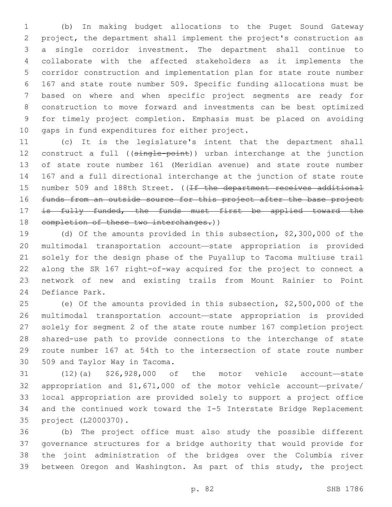(b) In making budget allocations to the Puget Sound Gateway project, the department shall implement the project's construction as a single corridor investment. The department shall continue to collaborate with the affected stakeholders as it implements the corridor construction and implementation plan for state route number 167 and state route number 509. Specific funding allocations must be based on where and when specific project segments are ready for construction to move forward and investments can be best optimized for timely project completion. Emphasis must be placed on avoiding 10 gaps in fund expenditures for either project.

 (c) It is the legislature's intent that the department shall 12 construct a full ((single-point)) urban interchange at the junction of state route number 161 (Meridian avenue) and state route number 167 and a full directional interchange at the junction of state route 15 number 509 and 188th Street. ((If the department receives additional funds from an outside source for this project after the base project 17 is fully funded, the funds must first be applied toward the 18 completion of these two interchanges.))

 (d) Of the amounts provided in this subsection, \$2,300,000 of the multimodal transportation account—state appropriation is provided solely for the design phase of the Puyallup to Tacoma multiuse trail along the SR 167 right-of-way acquired for the project to connect a network of new and existing trails from Mount Rainier to Point 24 Defiance Park.

 (e) Of the amounts provided in this subsection, \$2,500,000 of the multimodal transportation account—state appropriation is provided solely for segment 2 of the state route number 167 completion project shared-use path to provide connections to the interchange of state route number 167 at 54th to the intersection of state route number 30 509 and Taylor Way in Tacoma.

 (12)(a) \$26,928,000 of the motor vehicle account—state appropriation and \$1,671,000 of the motor vehicle account—private/ local appropriation are provided solely to support a project office and the continued work toward the I-5 Interstate Bridge Replacement project (L2000370).35

 (b) The project office must also study the possible different governance structures for a bridge authority that would provide for the joint administration of the bridges over the Columbia river between Oregon and Washington. As part of this study, the project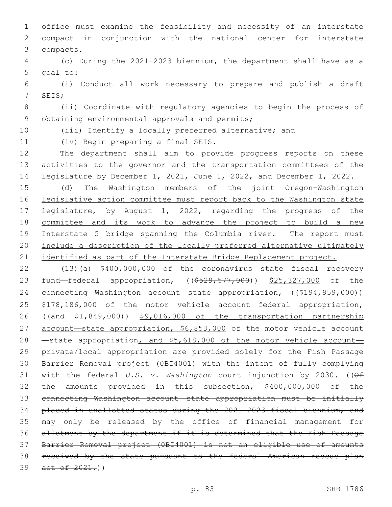office must examine the feasibility and necessity of an interstate compact in conjunction with the national center for interstate compacts.3

 (c) During the 2021-2023 biennium, the department shall have as a 5 goal to:

 (i) Conduct all work necessary to prepare and publish a draft 7 SEIS;

 (ii) Coordinate with regulatory agencies to begin the process of 9 obtaining environmental approvals and permits;

(iii) Identify a locally preferred alternative; and

11 (iv) Begin preparing a final SEIS.

 The department shall aim to provide progress reports on these activities to the governor and the transportation committees of the legislature by December 1, 2021, June 1, 2022, and December 1, 2022.

 (d) The Washington members of the joint Oregon-Washington legislative action committee must report back to the Washington state 17 legislature, by August 1, 2022, regarding the progress of the committee and its work to advance the project to build a new Interstate 5 bridge spanning the Columbia river. The report must include a description of the locally preferred alternative ultimately 21 identified as part of the Interstate Bridge Replacement project.

 (13)(a) \$400,000,000 of the coronavirus state fiscal recovery 23 fund—federal appropriation, ((\$529,577,000)) \$25,327,000 of the 24 connecting Washington account—state appropriation, ((\$194,959,000)) \$178,186,000 of the motor vehicle account—federal appropriation, ((and \$1,849,000)) \$9,016,000 of the transportation partnership 27 account-state appropriation, \$6,853,000 of the motor vehicle account 28 —state appropriation, and \$5,618,000 of the motor vehicle account-29 private/local appropriation are provided solely for the Fish Passage Barrier Removal project (0BI4001) with the intent of fully complying with the federal *U.S. v. Washington* court injunction by 2030. ((Of the amounts provided in this subsection, \$400,000,000 of the connecting Washington account—state appropriation must be initially placed in unallotted status during the 2021-2023 fiscal biennium, and may only be released by the office of financial management for allotment by the department if it is determined that the Fish Passage Barrier Removal project (0BI4001) is not an eligible use of amounts received by the state pursuant to the federal American rescue plan 39 act of 2021.)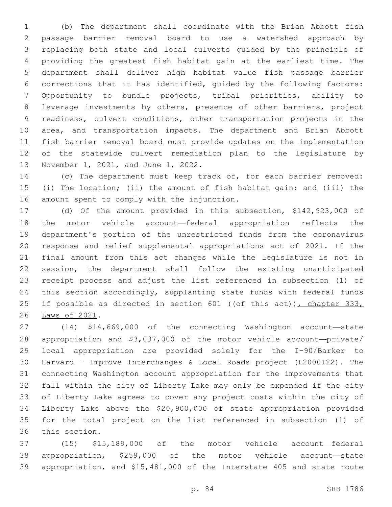(b) The department shall coordinate with the Brian Abbott fish passage barrier removal board to use a watershed approach by replacing both state and local culverts guided by the principle of providing the greatest fish habitat gain at the earliest time. The department shall deliver high habitat value fish passage barrier corrections that it has identified, guided by the following factors: Opportunity to bundle projects, tribal priorities, ability to leverage investments by others, presence of other barriers, project readiness, culvert conditions, other transportation projects in the area, and transportation impacts. The department and Brian Abbott fish barrier removal board must provide updates on the implementation of the statewide culvert remediation plan to the legislature by 13 November 1, 2021, and June 1, 2022.

 (c) The department must keep track of, for each barrier removed: (i) The location; (ii) the amount of fish habitat gain; and (iii) the 16 amount spent to comply with the injunction.

 (d) Of the amount provided in this subsection, \$142,923,000 of the motor vehicle account—federal appropriation reflects the department's portion of the unrestricted funds from the coronavirus response and relief supplemental appropriations act of 2021. If the final amount from this act changes while the legislature is not in session, the department shall follow the existing unanticipated receipt process and adjust the list referenced in subsection (1) of this section accordingly, supplanting state funds with federal funds 25 if possible as directed in section 601 ((of this act)), chapter 333, 26 Laws of 2021.

 (14) \$14,669,000 of the connecting Washington account—state appropriation and \$3,037,000 of the motor vehicle account—private/ local appropriation are provided solely for the I-90/Barker to Harvard – Improve Interchanges & Local Roads project (L2000122). The connecting Washington account appropriation for the improvements that fall within the city of Liberty Lake may only be expended if the city of Liberty Lake agrees to cover any project costs within the city of Liberty Lake above the \$20,900,000 of state appropriation provided for the total project on the list referenced in subsection (1) of 36 this section.

 (15) \$15,189,000 of the motor vehicle account—federal appropriation, \$259,000 of the motor vehicle account—state appropriation, and \$15,481,000 of the Interstate 405 and state route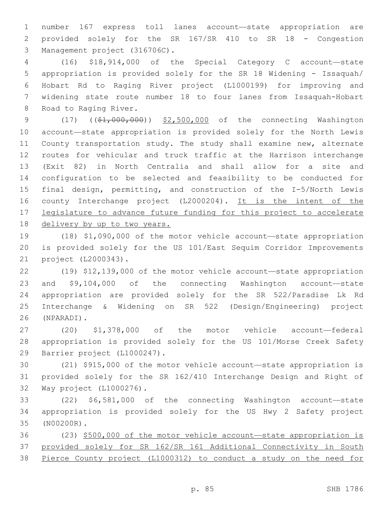number 167 express toll lanes account—state appropriation are provided solely for the SR 167/SR 410 to SR 18 - Congestion 3 Management project (316706C).

 (16) \$18,914,000 of the Special Category C account—state appropriation is provided solely for the SR 18 Widening - Issaquah/ Hobart Rd to Raging River project (L1000199) for improving and widening state route number 18 to four lanes from Issaquah-Hobart 8 Road to Raging River.

9 (17) ((\$1,000,000)) \$2,500,000 of the connecting Washington account—state appropriation is provided solely for the North Lewis County transportation study. The study shall examine new, alternate routes for vehicular and truck traffic at the Harrison interchange (Exit 82) in North Centralia and shall allow for a site and configuration to be selected and feasibility to be conducted for final design, permitting, and construction of the I-5/North Lewis county Interchange project (L2000204). It is the intent of the 17 legislature to advance future funding for this project to accelerate delivery by up to two years.

 (18) \$1,090,000 of the motor vehicle account—state appropriation is provided solely for the US 101/East Sequim Corridor Improvements 21 project (L2000343).

 (19) \$12,139,000 of the motor vehicle account—state appropriation and \$9,104,000 of the connecting Washington account—state appropriation are provided solely for the SR 522/Paradise Lk Rd Interchange & Widening on SR 522 (Design/Engineering) project (NPARADI).26

 (20) \$1,378,000 of the motor vehicle account—federal appropriation is provided solely for the US 101/Morse Creek Safety 29 Barrier project (L1000247).

 (21) \$915,000 of the motor vehicle account—state appropriation is provided solely for the SR 162/410 Interchange Design and Right of 32 Way project (L1000276).

 (22) \$6,581,000 of the connecting Washington account—state appropriation is provided solely for the US Hwy 2 Safety project (N00200R).35

 (23) \$500,000 of the motor vehicle account—state appropriation is provided solely for SR 162/SR 161 Additional Connectivity in South Pierce County project (L1000312) to conduct a study on the need for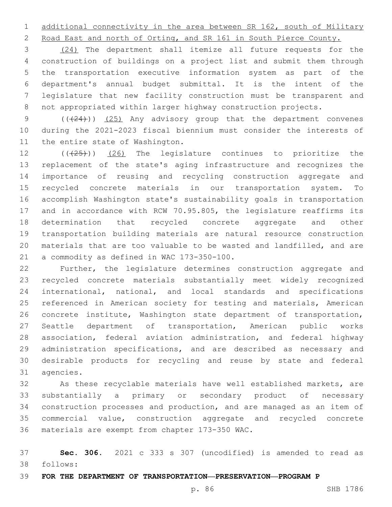additional connectivity in the area between SR 162, south of Military

Road East and north of Orting, and SR 161 in South Pierce County.

 (24) The department shall itemize all future requests for the construction of buildings on a project list and submit them through the transportation executive information system as part of the department's annual budget submittal. It is the intent of the legislature that new facility construction must be transparent and not appropriated within larger highway construction projects.

9 (( $(24)$ )) (25) Any advisory group that the department convenes during the 2021-2023 fiscal biennium must consider the interests of 11 the entire state of Washington.

 $((+25+))$  (26) The legislature continues to prioritize the replacement of the state's aging infrastructure and recognizes the importance of reusing and recycling construction aggregate and recycled concrete materials in our transportation system. To accomplish Washington state's sustainability goals in transportation and in accordance with RCW 70.95.805, the legislature reaffirms its determination that recycled concrete aggregate and other transportation building materials are natural resource construction materials that are too valuable to be wasted and landfilled, and are 21 a commodity as defined in WAC 173-350-100.

 Further, the legislature determines construction aggregate and recycled concrete materials substantially meet widely recognized international, national, and local standards and specifications referenced in American society for testing and materials, American concrete institute, Washington state department of transportation, Seattle department of transportation, American public works association, federal aviation administration, and federal highway administration specifications, and are described as necessary and desirable products for recycling and reuse by state and federal 31 agencies.

 As these recyclable materials have well established markets, are substantially a primary or secondary product of necessary construction processes and production, and are managed as an item of commercial value, construction aggregate and recycled concrete 36 materials are exempt from chapter 173-350 WAC.

 **Sec. 306.** 2021 c 333 s 307 (uncodified) is amended to read as follows: 38

**FOR THE DEPARTMENT OF TRANSPORTATION—PRESERVATION—PROGRAM P**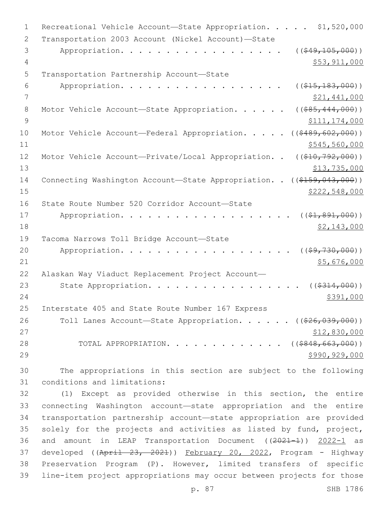| $\mathbf 1$    | \$1,520,000<br>Recreational Vehicle Account-State Appropriation.        |
|----------------|-------------------------------------------------------------------------|
| 2              | Transportation 2003 Account (Nickel Account)-State                      |
| 3              | Appropriation.<br>( ( \$49, 105, 000) )                                 |
| 4              | \$53,911,000                                                            |
| 5              | Transportation Partnership Account-State                                |
| 6              | Appropriation.<br>( ( \$15, 183, 000) )                                 |
| 7              | \$21,441,000                                                            |
| 8              | Motor Vehicle Account-State Appropriation.<br>$($ (\$85,444,000))       |
| $\overline{9}$ | \$111,174,000                                                           |
| 10             | ( ( \$489, 602, 000) )<br>Motor Vehicle Account-Federal Appropriation.  |
| 11             | \$545,560,000                                                           |
| 12             | Motor Vehicle Account-Private/Local Appropriation<br>$((\$10,792,000))$ |
| 13             | \$13,735,000                                                            |
| 14             | Connecting Washington Account-State Appropriation. . ((\$159,043,000))  |
| 15             | \$222,548,000                                                           |
| 16             | State Route Number 520 Corridor Account-State                           |
| 17             | Appropriation.<br>$((\$1,891,000))$                                     |
| 18             | \$2,143,000                                                             |
| 19             | Tacoma Narrows Toll Bridge Account-State                                |
| 20             | Appropriation.<br>( ( \$9, 730, 000) )                                  |
| 21             | \$5,676,000                                                             |
| 22             | Alaskan Way Viaduct Replacement Project Account-                        |
| 23             | State Appropriation.<br>( ( \$314, 000) )                               |
| 24             | \$391,000                                                               |
| 25             | Interstate 405 and State Route Number 167 Express                       |
| 26             | Toll Lanes Account-State Appropriation. ((\$26,039,000))                |
| 27             | \$12,830,000                                                            |
| 28             | $\ldots$ $(($848, 663, 000))$<br>TOTAL APPROPRIATION.                   |
| 29             | \$990,929,000                                                           |
| 30             | The appropriations in this section are subject to the following         |

31 conditions and limitations:

 (1) Except as provided otherwise in this section, the entire connecting Washington account—state appropriation and the entire transportation partnership account—state appropriation are provided solely for the projects and activities as listed by fund, project, 36 and amount in LEAP Transportation Document ((2021-1)) 2022-1 as 37 developed ((April 23, 2021)) February 20, 2022, Program - Highway Preservation Program (P). However, limited transfers of specific line-item project appropriations may occur between projects for those

p. 87 SHB 1786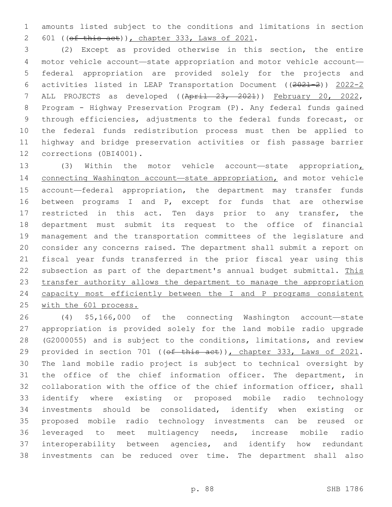amounts listed subject to the conditions and limitations in section 601 (( $ef$  this act)), chapter 333, Laws of 2021.

 (2) Except as provided otherwise in this section, the entire motor vehicle account—state appropriation and motor vehicle account— federal appropriation are provided solely for the projects and activities listed in LEAP Transportation Document ((2021-2)) 2022-2 ALL PROJECTS as developed ((April 23, 2021)) February 20, 2022, Program - Highway Preservation Program (P). Any federal funds gained through efficiencies, adjustments to the federal funds forecast, or the federal funds redistribution process must then be applied to highway and bridge preservation activities or fish passage barrier 12 corrections (0BI4001).

 (3) Within the motor vehicle account—state appropriation, 14 connecting Washington account-state appropriation, and motor vehicle account—federal appropriation, the department may transfer funds between programs I and P, except for funds that are otherwise 17 restricted in this act. Ten days prior to any transfer, the department must submit its request to the office of financial management and the transportation committees of the legislature and consider any concerns raised. The department shall submit a report on fiscal year funds transferred in the prior fiscal year using this 22 subsection as part of the department's annual budget submittal. This transfer authority allows the department to manage the appropriation 24 capacity most efficiently between the I and P programs consistent 25 with the 601 process.

 (4) \$5,166,000 of the connecting Washington account—state appropriation is provided solely for the land mobile radio upgrade (G2000055) and is subject to the conditions, limitations, and review 29 provided in section 701 ((of this act)), chapter 333, Laws of 2021. The land mobile radio project is subject to technical oversight by the office of the chief information officer. The department, in collaboration with the office of the chief information officer, shall identify where existing or proposed mobile radio technology investments should be consolidated, identify when existing or proposed mobile radio technology investments can be reused or leveraged to meet multiagency needs, increase mobile radio interoperability between agencies, and identify how redundant investments can be reduced over time. The department shall also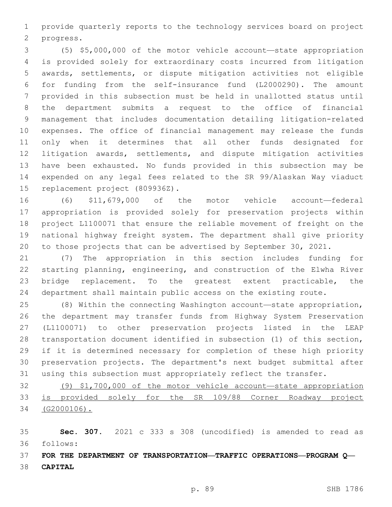provide quarterly reports to the technology services board on project 2 progress.

 (5) \$5,000,000 of the motor vehicle account—state appropriation is provided solely for extraordinary costs incurred from litigation awards, settlements, or dispute mitigation activities not eligible for funding from the self-insurance fund (L2000290). The amount provided in this subsection must be held in unallotted status until the department submits a request to the office of financial management that includes documentation detailing litigation-related expenses. The office of financial management may release the funds only when it determines that all other funds designated for 12 litigation awards, settlements, and dispute mitigation activities have been exhausted. No funds provided in this subsection may be expended on any legal fees related to the SR 99/Alaskan Way viaduct 15 replacement project (809936Z).

 (6) \$11,679,000 of the motor vehicle account—federal appropriation is provided solely for preservation projects within project L1100071 that ensure the reliable movement of freight on the national highway freight system. The department shall give priority to those projects that can be advertised by September 30, 2021.

 (7) The appropriation in this section includes funding for starting planning, engineering, and construction of the Elwha River bridge replacement. To the greatest extent practicable, the department shall maintain public access on the existing route.

 (8) Within the connecting Washington account—state appropriation, the department may transfer funds from Highway System Preservation (L1100071) to other preservation projects listed in the LEAP transportation document identified in subsection (1) of this section, if it is determined necessary for completion of these high priority preservation projects. The department's next budget submittal after using this subsection must appropriately reflect the transfer.

 (9) \$1,700,000 of the motor vehicle account—state appropriation is provided solely for the SR 109/88 Corner Roadway project (G2000106).

 **Sec. 307.** 2021 c 333 s 308 (uncodified) is amended to read as follows: 36

 **FOR THE DEPARTMENT OF TRANSPORTATION—TRAFFIC OPERATIONS—PROGRAM Q— CAPITAL**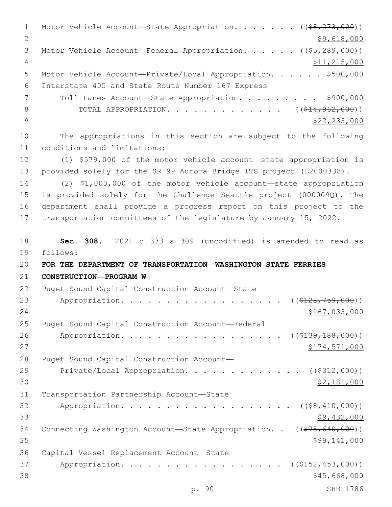1 Motor Vehicle Account—State Appropriation. . . . . . ((\$8,273,000)) 2 \$9,618,000 3 Motor Vehicle Account—Federal Appropriation. . . . . ((\$5,289,000)) 4 \$11,215,000 5 Motor Vehicle Account—Private/Local Appropriation. . . . . \$500,000 Interstate 405 and State Route Number 167 Express6 7 Toll Lanes Account-State Appropriation. . . . . . . . \$900,000 8 TOTAL APPROPRIATION. . . . . . . . . . . . ((\$14,962,000)) 9  $\frac{1}{2}$   $\frac{1}{2}$   $\frac{233}{233}$ ,000 10 The appropriations in this section are subject to the following 11 conditions and limitations: 12 (1) \$579,000 of the motor vehicle account—state appropriation is 13 provided solely for the SR 99 Aurora Bridge ITS project (L2000338). 14 (2) \$1,000,000 of the motor vehicle account—state appropriation 15 is provided solely for the Challenge Seattle project (000009Q). The 16 department shall provide a progress report on this project to the 17 transportation committees of the legislature by January 15, 2022. 18 **Sec. 308.** 2021 c 333 s 309 (uncodified) is amended to read as follows: 19 20 **FOR THE DEPARTMENT OF TRANSPORTATION—WASHINGTON STATE FERRIES**  21 **CONSTRUCTION—PROGRAM W** 22 Puget Sound Capital Construction Account-State 23 Appropriation. . . . . . . . . . . . . . . . . ((\$128,759,000)) 24 \$167,033,000 25 Puget Sound Capital Construction Account-Federal 26 Appropriation. . . . . . . . . . . . . . . . (  $(\frac{2139,188,000}{1})$  $27$   $\frac{$174,571,000}{2}$ 28 Puget Sound Capital Construction Account— 29 Private/Local Appropriation. . . . . . . . . . . . ((\$312,000))  $30 \,$  \$2,181,000 31 Transportation Partnership Account-State 32 Appropriation. . . . . . . . . . . . . . . . .  $($   $(*8,410,000))$  $33$   $$9,432,000$ 34 Connecting Washington Account-State Appropriation. . ((\$75,640,000))  $35$  \$99,141,000 36 Capital Vessel Replacement Account-State 37 Appropriation. . . . . . . . . . . . . . . . (  $(\frac{2152}{152}, \frac{453}{100})$  )  $38$  \$45,668,000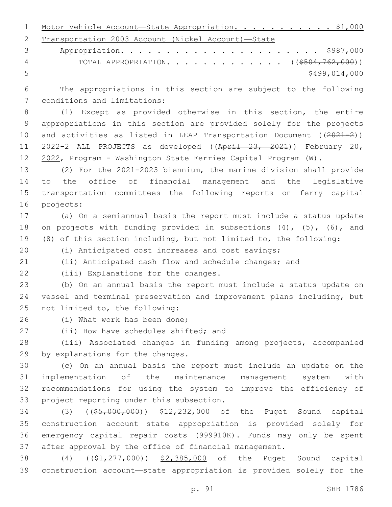|  | 1 Motor Vehicle Account-State Appropriation. \$1,000 |  |  |  |  |
|--|------------------------------------------------------|--|--|--|--|
|  | 2 Transportation 2003 Account (Nickel Account)-State |  |  |  |  |

|   | 4 TOTAL APPROPRIATION. ( $(\frac{\$504,762,000}{\$})$ ) |
|---|---------------------------------------------------------|
| 5 | \$499,014,000                                           |

 The appropriations in this section are subject to the following 7 conditions and limitations:

 (1) Except as provided otherwise in this section, the entire appropriations in this section are provided solely for the projects 10 and activities as listed in LEAP Transportation Document ((2021-2)) 11 2022-2 ALL PROJECTS as developed ((April 23, 2021)) February 20, 2022, Program - Washington State Ferries Capital Program (W).

 (2) For the 2021-2023 biennium, the marine division shall provide to the office of financial management and the legislative transportation committees the following reports on ferry capital 16 projects:

 (a) On a semiannual basis the report must include a status update 18 on projects with funding provided in subsections (4), (5), (6), and (8) of this section including, but not limited to, the following:

(i) Anticipated cost increases and cost savings;

(ii) Anticipated cash flow and schedule changes; and

22 (iii) Explanations for the changes.

 (b) On an annual basis the report must include a status update on vessel and terminal preservation and improvement plans including, but 25 not limited to, the following:

26 (i) What work has been done;

27 (ii) How have schedules shifted; and

 (iii) Associated changes in funding among projects, accompanied 29 by explanations for the changes.

 (c) On an annual basis the report must include an update on the implementation of the maintenance management system with recommendations for using the system to improve the efficiency of 33 project reporting under this subsection.

 (3) ((\$5,000,000)) \$12,232,000 of the Puget Sound capital construction account—state appropriation is provided solely for emergency capital repair costs (999910K). Funds may only be spent after approval by the office of financial management.

38 (4) ((\$1,277,000)) \$2,385,000 of the Puget Sound capital construction account—state appropriation is provided solely for the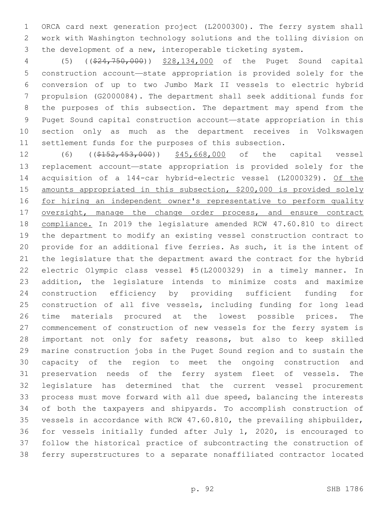ORCA card next generation project (L2000300). The ferry system shall work with Washington technology solutions and the tolling division on the development of a new, interoperable ticketing system.

 (5) ((\$24,750,000)) \$28,134,000 of the Puget Sound capital construction account—state appropriation is provided solely for the conversion of up to two Jumbo Mark II vessels to electric hybrid propulsion (G2000084). The department shall seek additional funds for the purposes of this subsection. The department may spend from the Puget Sound capital construction account—state appropriation in this section only as much as the department receives in Volkswagen settlement funds for the purposes of this subsection.

12 (6) ((\$152,453,000)) \$45,668,000 of the capital vessel replacement account—state appropriation is provided solely for the acquisition of a 144-car hybrid-electric vessel (L2000329). Of the amounts appropriated in this subsection, \$200,000 is provided solely for hiring an independent owner's representative to perform quality 17 oversight, manage the change order process, and ensure contract compliance. In 2019 the legislature amended RCW 47.60.810 to direct the department to modify an existing vessel construction contract to provide for an additional five ferries. As such, it is the intent of the legislature that the department award the contract for the hybrid electric Olympic class vessel #5(L2000329) in a timely manner. In addition, the legislature intends to minimize costs and maximize construction efficiency by providing sufficient funding for construction of all five vessels, including funding for long lead time materials procured at the lowest possible prices. The commencement of construction of new vessels for the ferry system is important not only for safety reasons, but also to keep skilled marine construction jobs in the Puget Sound region and to sustain the capacity of the region to meet the ongoing construction and preservation needs of the ferry system fleet of vessels. The legislature has determined that the current vessel procurement process must move forward with all due speed, balancing the interests of both the taxpayers and shipyards. To accomplish construction of vessels in accordance with RCW 47.60.810, the prevailing shipbuilder, for vessels initially funded after July 1, 2020, is encouraged to follow the historical practice of subcontracting the construction of ferry superstructures to a separate nonaffiliated contractor located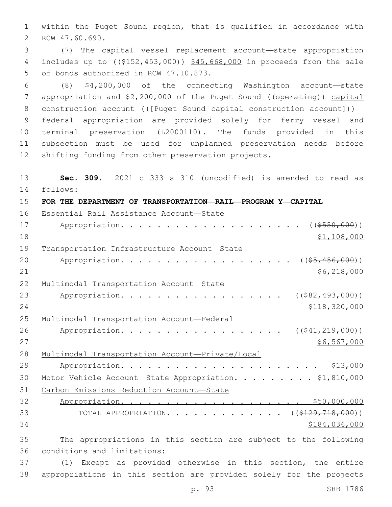1 within the Puget Sound region, that is qualified in accordance with 2 RCW 47.60.690.

3 (7) The capital vessel replacement account—state appropriation 4 includes up to ((\$152,453,000)) \$45,668,000 in proceeds from the sale 5 of bonds authorized in RCW 47.10.873.

 (8) \$4,200,000 of the connecting Washington account—state 7 appropriation and \$2,200,000 of the Puget Sound ((operating)) capital 8 construction account (( ${P}$ uget Sound capital construction account})) — federal appropriation are provided solely for ferry vessel and terminal preservation (L2000110). The funds provided in this subsection must be used for unplanned preservation needs before shifting funding from other preservation projects.

13 **Sec. 309.** 2021 c 333 s 310 (uncodified) is amended to read as follows: 14 15 **FOR THE DEPARTMENT OF TRANSPORTATION—RAIL—PROGRAM Y—CAPITAL** 16 Essential Rail Assistance Account-State 17 Appropriation. . . . . . . . . . . . . . . . . . (  $(\frac{\$550,000}{\$550,000})$  )  $18$  \$1,108,000 19 Transportation Infrastructure Account-State 20 Appropriation. . . . . . . . . . . . . . . . . (  $(\frac{25}{1000})$  ) 21 \$6,218,000 22 Multimodal Transportation Account-State 23 Appropriation. . . . . . . . . . . . . . . . . (  $(*82,493,000)$  ) 24 \$118,320,000 25 Multimodal Transportation Account-Federal 26 Appropriation. . . . . . . . . . . . . . . . ((<del>\$41,219,000</del>))  $27$  \$6,567,000 28 Multimodal Transportation Account—Private/Local 29 Appropriation. . . . . . . . . . . . . . . . . . . . . . \$13,000 30 Motor Vehicle Account—State Appropriation. . . . . . . . . \$1,810,000 31 Carbon Emissions Reduction Account—State 32 Appropriation. . . . . . . . . . . . . . . . . . . . \$50,000,000 33 TOTAL APPROPRIATION. . . . . . . . . . . . . ((\$129,718,000))  $34$   $$184,036,000$ 35 The appropriations in this section are subject to the following 36 conditions and limitations: 37 (1) Except as provided otherwise in this section, the entire 38 appropriations in this section are provided solely for the projects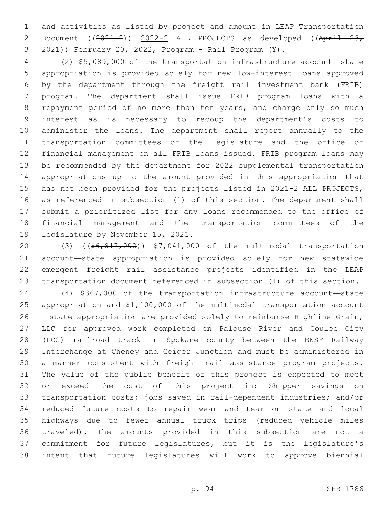and activities as listed by project and amount in LEAP Transportation 2 Document ((2021-2)) 2022-2 ALL PROJECTS as developed ((April 23, 2021)) February 20, 2022, Program - Rail Program (Y).

 (2) \$5,089,000 of the transportation infrastructure account—state appropriation is provided solely for new low-interest loans approved by the department through the freight rail investment bank (FRIB) program. The department shall issue FRIB program loans with a repayment period of no more than ten years, and charge only so much interest as is necessary to recoup the department's costs to administer the loans. The department shall report annually to the transportation committees of the legislature and the office of financial management on all FRIB loans issued. FRIB program loans may be recommended by the department for 2022 supplemental transportation appropriations up to the amount provided in this appropriation that has not been provided for the projects listed in 2021-2 ALL PROJECTS, as referenced in subsection (1) of this section. The department shall submit a prioritized list for any loans recommended to the office of financial management and the transportation committees of the 19 legislature by November 15, 2021.

20 (3) ((\$6,817,000)) \$7,041,000 of the multimodal transportation account—state appropriation is provided solely for new statewide emergent freight rail assistance projects identified in the LEAP transportation document referenced in subsection (1) of this section.

 (4) \$367,000 of the transportation infrastructure account—state appropriation and \$1,100,000 of the multimodal transportation account —state appropriation are provided solely to reimburse Highline Grain, LLC for approved work completed on Palouse River and Coulee City (PCC) railroad track in Spokane county between the BNSF Railway Interchange at Cheney and Geiger Junction and must be administered in a manner consistent with freight rail assistance program projects. The value of the public benefit of this project is expected to meet or exceed the cost of this project in: Shipper savings on transportation costs; jobs saved in rail-dependent industries; and/or reduced future costs to repair wear and tear on state and local highways due to fewer annual truck trips (reduced vehicle miles traveled). The amounts provided in this subsection are not a commitment for future legislatures, but it is the legislature's intent that future legislatures will work to approve biennial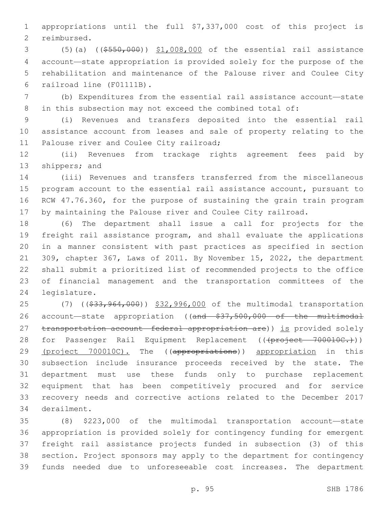appropriations until the full \$7,337,000 cost of this project is 2 reimbursed.

 (5)(a) ((\$550,000)) \$1,008,000 of the essential rail assistance account—state appropriation is provided solely for the purpose of the rehabilitation and maintenance of the Palouse river and Coulee City 6 railroad line (F01111B).

 (b) Expenditures from the essential rail assistance account—state in this subsection may not exceed the combined total of:

 (i) Revenues and transfers deposited into the essential rail assistance account from leases and sale of property relating to the 11 Palouse river and Coulee City railroad;

 (ii) Revenues from trackage rights agreement fees paid by 13 shippers; and

 (iii) Revenues and transfers transferred from the miscellaneous program account to the essential rail assistance account, pursuant to RCW 47.76.360, for the purpose of sustaining the grain train program by maintaining the Palouse river and Coulee City railroad.

 (6) The department shall issue a call for projects for the freight rail assistance program, and shall evaluate the applications in a manner consistent with past practices as specified in section 309, chapter 367, Laws of 2011. By November 15, 2022, the department shall submit a prioritized list of recommended projects to the office of financial management and the transportation committees of the 24 legislature.

25 (7) ((\$33,964,000)) \$32,996,000 of the multimodal transportation 26 account—state appropriation ((and \$37,500,000 of the multimodal 27 transportation account—federal appropriation are)) is provided solely 28 for Passenger Rail Equipment Replacement (((project 700010C.))) 29 (project 700010C). The ((appropriations)) appropriation in this subsection include insurance proceeds received by the state. The department must use these funds only to purchase replacement equipment that has been competitively procured and for service recovery needs and corrective actions related to the December 2017 34 derailment.

 (8) \$223,000 of the multimodal transportation account—state appropriation is provided solely for contingency funding for emergent freight rail assistance projects funded in subsection (3) of this section. Project sponsors may apply to the department for contingency funds needed due to unforeseeable cost increases. The department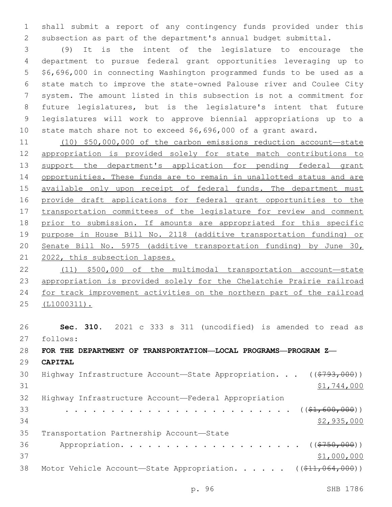shall submit a report of any contingency funds provided under this subsection as part of the department's annual budget submittal.

 (9) It is the intent of the legislature to encourage the department to pursue federal grant opportunities leveraging up to \$6,696,000 in connecting Washington programmed funds to be used as a state match to improve the state-owned Palouse river and Coulee City system. The amount listed in this subsection is not a commitment for future legislatures, but is the legislature's intent that future legislatures will work to approve biennial appropriations up to a state match share not to exceed \$6,696,000 of a grant award.

 (10) \$50,000,000 of the carbon emissions reduction account—state appropriation is provided solely for state match contributions to 13 support the department's application for pending federal grant opportunities. These funds are to remain in unallotted status and are 15 available only upon receipt of federal funds. The department must provide draft applications for federal grant opportunities to the transportation committees of the legislature for review and comment prior to submission. If amounts are appropriated for this specific purpose in House Bill No. 2118 (additive transportation funding) or Senate Bill No. 5975 (additive transportation funding) by June 30, 2022, this subsection lapses.

 (11) \$500,000 of the multimodal transportation account—state appropriation is provided solely for the Chelatchie Prairie railroad for track improvement activities on the northern part of the railroad (L1000311).

 **Sec. 310.** 2021 c 333 s 311 (uncodified) is amended to read as follows: 27 **FOR THE DEPARTMENT OF TRANSPORTATION—LOCAL PROGRAMS—PROGRAM Z— CAPITAL** 30 Highway Infrastructure Account—State Appropriation. . . ((\$793,000))  $\frac{$1,744,000}{2}$  Highway Infrastructure Account—Federal Appropriation . . . . . . . . . . . . . . . . . . . . . . . . . ((\$1,600,000)) \$2,935,000 35 Transportation Partnership Account-State 36 Appropriation. . . . . . . . . . . . . . . . . . (  $(\frac{2750,000}{1})$ 37 \$1,000,000 38 Motor Vehicle Account—State Appropriation. . . . . ((\$11,064,000))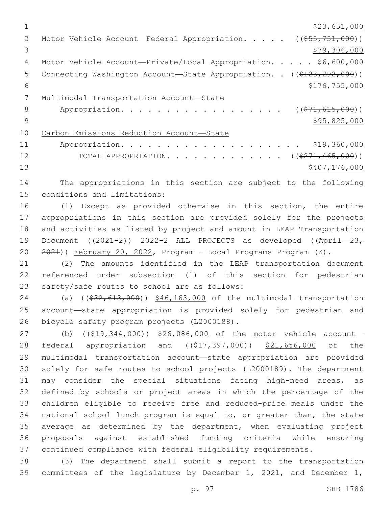|               | \$23,651,000                                                           |
|---------------|------------------------------------------------------------------------|
| $\mathcal{L}$ | Motor Vehicle Account-Federal Appropriation. ((\$55,751,000))          |
| 3             | \$79,306,000                                                           |
| 4             | Motor Vehicle Account-Private/Local Appropriation. \$6,600,000         |
| 5             | Connecting Washington Account-State Appropriation. . ((\$123,292,000)) |
| 6             | \$176, 755, 000                                                        |
|               | Multimodal Transportation Account-State                                |
| 8             | Appropriation.<br>$((\$71,615,000))$                                   |
| 9             | \$95,825,000                                                           |
| 10            | Carbon Emissions Reduction Account-State                               |
| 11            | \$19,360,000                                                           |
| 12            | TOTAL APPROPRIATION. ( $(\frac{271,465,000}{271,000})$ )               |
| 13            | \$407,176,000                                                          |
|               |                                                                        |

14 The appropriations in this section are subject to the following 15 conditions and limitations:

 (1) Except as provided otherwise in this section, the entire appropriations in this section are provided solely for the projects and activities as listed by project and amount in LEAP Transportation 19 Document  $((2021-2))$  2022-2 ALL PROJECTS as developed  $((Apri)$  23, 2021)) February 20, 2022, Program - Local Programs Program (Z).

21 (2) The amounts identified in the LEAP transportation document 22 referenced under subsection (1) of this section for pedestrian 23 safety/safe routes to school are as follows:

24 (a) ((\$32,613,000)) \$46,163,000 of the multimodal transportation 25 account—state appropriation is provided solely for pedestrian and 26 bicycle safety program projects (L2000188).

27 (b) ((\$19,344,000)) \$26,086,000 of the motor vehicle account-28 federal appropriation and ((\$17,397,000)) \$21,656,000 of the multimodal transportation account—state appropriation are provided solely for safe routes to school projects (L2000189). The department may consider the special situations facing high-need areas, as defined by schools or project areas in which the percentage of the children eligible to receive free and reduced-price meals under the national school lunch program is equal to, or greater than, the state average as determined by the department, when evaluating project proposals against established funding criteria while ensuring continued compliance with federal eligibility requirements.

38 (3) The department shall submit a report to the transportation 39 committees of the legislature by December 1, 2021, and December 1,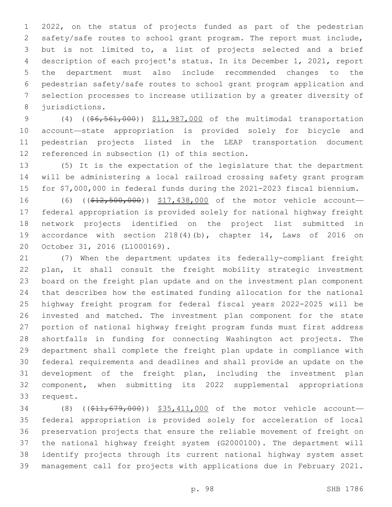2022, on the status of projects funded as part of the pedestrian safety/safe routes to school grant program. The report must include, but is not limited to, a list of projects selected and a brief description of each project's status. In its December 1, 2021, report the department must also include recommended changes to the pedestrian safety/safe routes to school grant program application and selection processes to increase utilization by a greater diversity of 8 jurisdictions.

9 (4) ((\$6,561,000)) \$11,987,000 of the multimodal transportation account—state appropriation is provided solely for bicycle and pedestrian projects listed in the LEAP transportation document 12 referenced in subsection (1) of this section.

 (5) It is the expectation of the legislature that the department will be administering a local railroad crossing safety grant program for \$7,000,000 in federal funds during the 2021-2023 fiscal biennium.

16 (6) ((\$12,500,000)) \$17,438,000 of the motor vehicle account- federal appropriation is provided solely for national highway freight network projects identified on the project list submitted in accordance with section 218(4)(b), chapter 14, Laws of 2016 on 20 October 31, 2016 (L1000169).

 (7) When the department updates its federally-compliant freight plan, it shall consult the freight mobility strategic investment board on the freight plan update and on the investment plan component that describes how the estimated funding allocation for the national highway freight program for federal fiscal years 2022-2025 will be invested and matched. The investment plan component for the state portion of national highway freight program funds must first address shortfalls in funding for connecting Washington act projects. The department shall complete the freight plan update in compliance with federal requirements and deadlines and shall provide an update on the development of the freight plan, including the investment plan component, when submitting its 2022 supplemental appropriations 33 request.

34 (8) ((\$11,679,000)) \$35,411,000 of the motor vehicle account- federal appropriation is provided solely for acceleration of local preservation projects that ensure the reliable movement of freight on the national highway freight system (G2000100). The department will identify projects through its current national highway system asset management call for projects with applications due in February 2021.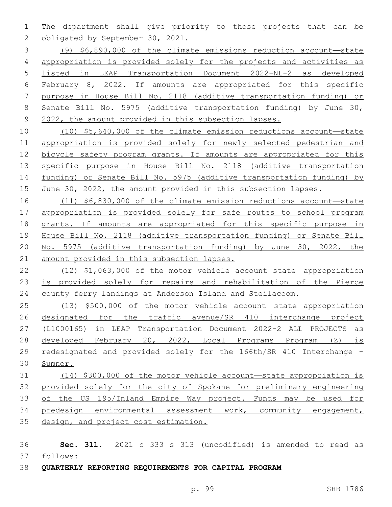The department shall give priority to those projects that can be 2 obligated by September 30, 2021.

 (9) \$6,890,000 of the climate emissions reduction account—state appropriation is provided solely for the projects and activities as listed in LEAP Transportation Document 2022-NL-2 as developed February 8, 2022. If amounts are appropriated for this specific purpose in House Bill No. 2118 (additive transportation funding) or Senate Bill No. 5975 (additive transportation funding) by June 30, 2022, the amount provided in this subsection lapses.

 (10) \$5,640,000 of the climate emission reductions account—state appropriation is provided solely for newly selected pedestrian and bicycle safety program grants. If amounts are appropriated for this 13 specific purpose in House Bill No. 2118 (additive transportation funding) or Senate Bill No. 5975 (additive transportation funding) by June 30, 2022, the amount provided in this subsection lapses.

 (11) \$6,830,000 of the climate emission reductions account—state appropriation is provided solely for safe routes to school program grants. If amounts are appropriated for this specific purpose in House Bill No. 2118 (additive transportation funding) or Senate Bill No. 5975 (additive transportation funding) by June 30, 2022, the amount provided in this subsection lapses.

 (12) \$1,063,000 of the motor vehicle account state—appropriation is provided solely for repairs and rehabilitation of the Pierce county ferry landings at Anderson Island and Steilacoom.

 (13) \$500,000 of the motor vehicle account—state appropriation designated for the traffic avenue/SR 410 interchange project (L1000165) in LEAP Transportation Document 2022-2 ALL PROJECTS as developed February 20, 2022, Local Programs Program (Z) is 29 redesignated and provided solely for the 166th/SR 410 Interchange -Sumner.

 (14) \$300,000 of the motor vehicle account—state appropriation is provided solely for the city of Spokane for preliminary engineering of the US 195/Inland Empire Way project. Funds may be used for predesign environmental assessment work, community engagement, design, and project cost estimation.

 **Sec. 311.** 2021 c 333 s 313 (uncodified) is amended to read as follows: 37

**QUARTERLY REPORTING REQUIREMENTS FOR CAPITAL PROGRAM**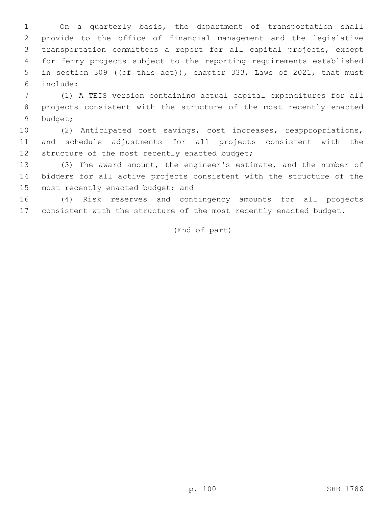On a quarterly basis, the department of transportation shall provide to the office of financial management and the legislative transportation committees a report for all capital projects, except for ferry projects subject to the reporting requirements established 5 in section 309 ((of this act)), chapter 333, Laws of 2021, that must include:6

7 (1) A TEIS version containing actual capital expenditures for all 8 projects consistent with the structure of the most recently enacted 9 budget;

10 (2) Anticipated cost savings, cost increases, reappropriations, 11 and schedule adjustments for all projects consistent with the 12 structure of the most recently enacted budget;

13 (3) The award amount, the engineer's estimate, and the number of 14 bidders for all active projects consistent with the structure of the 15 most recently enacted budget; and

16 (4) Risk reserves and contingency amounts for all projects 17 consistent with the structure of the most recently enacted budget.

(End of part)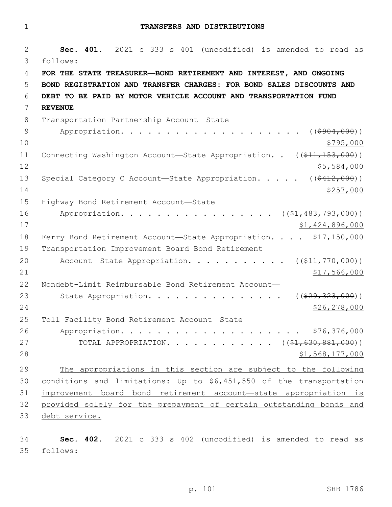1 **TRANSFERS AND DISTRIBUTIONS**

2 **Sec. 401.** 2021 c 333 s 401 (uncodified) is amended to read as follows: 3 4 **FOR THE STATE TREASURER—BOND RETIREMENT AND INTEREST, AND ONGOING**  5 **BOND REGISTRATION AND TRANSFER CHARGES: FOR BOND SALES DISCOUNTS AND**  6 **DEBT TO BE PAID BY MOTOR VEHICLE ACCOUNT AND TRANSPORTATION FUND**  7 **REVENUE** 8 Transportation Partnership Account-State 9 Appropriation. . . . . . . . . . . . . . . . . . ((\$904,000))  $10 \frac{\$795,000}{}$ 11 Connecting Washington Account—State Appropriation. . ((\$11,153,000))  $12$  \$5,584,000 13 Special Category C Account—State Appropriation. . . . ((\$412,000))  $14$   $\frac{$257,000}{}$ 15 Highway Bond Retirement Account-State 16 Appropriation. . . . . . . . . . . . . . . . ((\$1,483,793,000)) 17 \$1,424,896,000 18 Ferry Bond Retirement Account-State Appropriation. . . . \$17,150,000 19 Transportation Improvement Board Bond Retirement 20 Account—State Appropriation. . . . . . . . . .  $($   $($ \$11,770,000))  $21$   $$17,566,000$ 22 Nondebt-Limit Reimbursable Bond Retirement Account— 23 State Appropriation. . . . . . . . . . . . . . . ((\$29,323,000)) 24 \$26,278,000 25 Toll Facility Bond Retirement Account-State 26 Appropriation. . . . . . . . . . . . . . . . . . . . \$76,376,000 27 TOTAL APPROPRIATION. . . . . . . . . . . ((\$1,630,881,000))  $28$   $51,568,177,000$ 29 The appropriations in this section are subject to the following 30 conditions and limitations: Up to \$6,451,550 of the transportation 31 improvement board bond retirement account—state appropriation is 32 provided solely for the prepayment of certain outstanding bonds and 33 debt service.

34 **Sec. 402.** 2021 c 333 s 402 (uncodified) is amended to read as follows: 35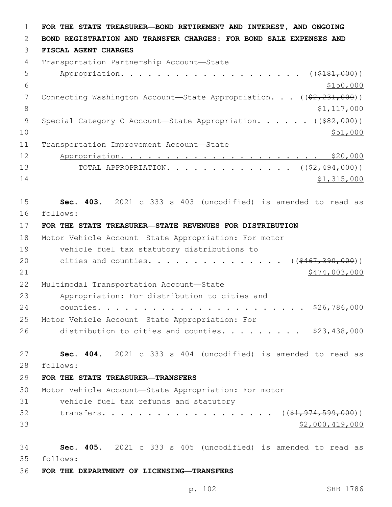1 **FOR THE STATE TREASURER—BOND RETIREMENT AND INTEREST, AND ONGOING**  2 **BOND REGISTRATION AND TRANSFER CHARGES: FOR BOND SALE EXPENSES AND**  3 **FISCAL AGENT CHARGES** 4 Transportation Partnership Account-State 5 Appropriation. . . . . . . . . . . . . . . . . . (  $(\frac{2181,000}{100})$  $\frac{$150,000}{ }$ 7 Connecting Washington Account—State Appropriation. . . ((\$2,231,000)) 8 \$1,117,000 9 Special Category C Account—State Appropriation. . . . . ((\$82,000))  $10 \frac{\$51,000}{\$}$ 11 Transportation Improvement Account—State 12 Appropriation. . . . . . . . . . . . . . . . . . . . . . \$20,000 13 TOTAL APPROPRIATION. . . . . . . . . . . . . ((<del>\$2,494,000</del>))  $14$  \$1,315,000 15 **Sec. 403.** 2021 c 333 s 403 (uncodified) is amended to read as follows: 16 17 **FOR THE STATE TREASURER—STATE REVENUES FOR DISTRIBUTION** 18 Motor Vehicle Account—State Appropriation: For motor 19 vehicle fuel tax statutory distributions to 20 cities and counties. . . . . . . . . . . . . . ((\$467,390,000)) 21 \$474,003,000 \$474,003,000 \$474,003,000 \$474,003,000 \$474,003,000 \$474,003,000 \$474,003,000 \$474,003,000 \$17 22 Multimodal Transportation Account-State 23 Appropriation: For distribution to cities and 24 counties. . . . . . . . . . . . . . . . . . . . . . . \$26,786,000 25 Motor Vehicle Account—State Appropriation: For 26 distribution to cities and counties.  $\ldots$  . . . . . \$23,438,000 27 **Sec. 404.** 2021 c 333 s 404 (uncodified) is amended to read as follows: 28 29 **FOR THE STATE TREASURER—TRANSFERS** 30 Motor Vehicle Account—State Appropriation: For motor 31 vehicle fuel tax refunds and statutory 32 transfers. . . . . . . . . . . . . . . . . ((\$1,974,599,000))  $33$   $$2,000,419,000$ 34 **Sec. 405.** 2021 c 333 s 405 (uncodified) is amended to read as follows: 35 36 **FOR THE DEPARTMENT OF LICENSING—TRANSFERS**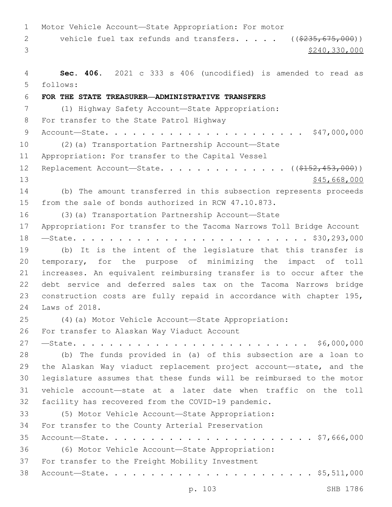Motor Vehicle Account—State Appropriation: For motor 2 vehicle fuel tax refunds and transfers. . . . . ((\$235,675,000))  $3<sup>3</sup>$  \$240,330,000 **Sec. 406.** 2021 c 333 s 406 (uncodified) is amended to read as follows: 5 **FOR THE STATE TREASURER—ADMINISTRATIVE TRANSFERS** (1) Highway Safety Account—State Appropriation: 8 For transfer to the State Patrol Highway Account—State. . . . . . . . . . . . . . . . . . . . . . \$47,000,000 (2)(a) Transportation Partnership Account—State 11 Appropriation: For transfer to the Capital Vessel 12 Replacement Account—State. . . . . . . . . . . . . . ((\$152,453,000)) 13 \$45,668,000 (b) The amount transferred in this subsection represents proceeds from the sale of bonds authorized in RCW 47.10.873. (3)(a) Transportation Partnership Account—State Appropriation: For transfer to the Tacoma Narrows Toll Bridge Account —State. . . . . . . . . . . . . . . . . . . . . . . . . . \$30,293,000 (b) It is the intent of the legislature that this transfer is temporary, for the purpose of minimizing the impact of toll increases. An equivalent reimbursing transfer is to occur after the debt service and deferred sales tax on the Tacoma Narrows bridge construction costs are fully repaid in accordance with chapter 195, 24 Laws of 2018. (4)(a) Motor Vehicle Account—State Appropriation: 26 For transfer to Alaskan Way Viaduct Account —State. . . . . . . . . . . . . . . . . . . . . . . . . . \$6,000,000 (b) The funds provided in (a) of this subsection are a loan to the Alaskan Way viaduct replacement project account—state, and the legislature assumes that these funds will be reimbursed to the motor vehicle account—state at a later date when traffic on the toll facility has recovered from the COVID-19 pandemic. (5) Motor Vehicle Account—State Appropriation: 34 For transfer to the County Arterial Preservation Account—State. . . . . . . . . . . . . . . . . . . . . . . \$7,666,000 (6) Motor Vehicle Account—State Appropriation: 37 For transfer to the Freight Mobility Investment Account—State. . . . . . . . . . . . . . . . . . . . . . . \$5,511,000

p. 103 SHB 1786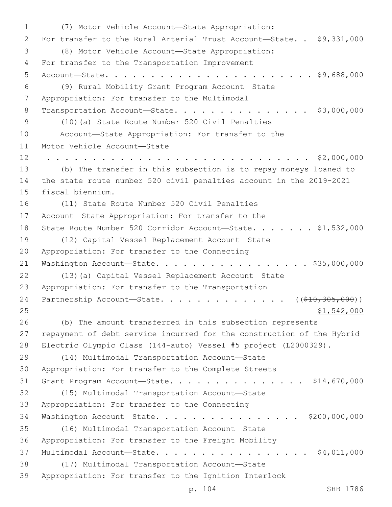(7) Motor Vehicle Account—State Appropriation:1 2 For transfer to the Rural Arterial Trust Account-State. . \$9,331,000 (8) Motor Vehicle Account—State Appropriation:3 4 For transfer to the Transportation Improvement 5 Account—State. . . . . . . . . . . . . . . . . . . . . . . \$9,688,000 (9) Rural Mobility Grant Program Account—State6 7 Appropriation: For transfer to the Multimodal 8 Transportation Account-State. . . . . . . . . . . . . . \$3,000,000 (10)(a) State Route Number 520 Civil Penalties9 10 Account—State Appropriation: For transfer to the 11 Motor Vehicle Account-State 12 . . . . . . . . . . . . . . . . . . . . . . . . . . . . . \$2,000,000 13 (b) The transfer in this subsection is to repay moneys loaned to 14 the state route number 520 civil penalties account in the 2019-2021 15 fiscal biennium. 16 (11) State Route Number 520 Civil Penalties 17 Account—State Appropriation: For transfer to the 18 State Route Number 520 Corridor Account-State. . . . . . \$1,532,000 19 (12) Capital Vessel Replacement Account—State 20 Appropriation: For transfer to the Connecting 21 Washington Account-State. . . . . . . . . . . . . . . . \$35,000,000 22 (13)(a) Capital Vessel Replacement Account—State 23 Appropriation: For transfer to the Transportation 24 Partnership Account—State. . . . . . . . . . . . . ((\$10,305,000)) 25 \$1,542,000 26 (b) The amount transferred in this subsection represents 27 repayment of debt service incurred for the construction of the Hybrid 28 Electric Olympic Class (144-auto) Vessel #5 project (L2000329). (14) Multimodal Transportation Account—State29 30 Appropriation: For transfer to the Complete Streets 31 Grant Program Account—State. . . . . . . . . . . . . . . \$14,670,000 (15) Multimodal Transportation Account—State32 33 Appropriation: For transfer to the Connecting 34 Washington Account—State. . . . . . . . . . . . . . . . \$200,000,000 (16) Multimodal Transportation Account—State35 36 Appropriation: For transfer to the Freight Mobility 37 Multimodal Account—State. . . . . . . . . . . . . . . . . \$4,011,000 (17) Multimodal Transportation Account—State38 39 Appropriation: For transfer to the Ignition Interlock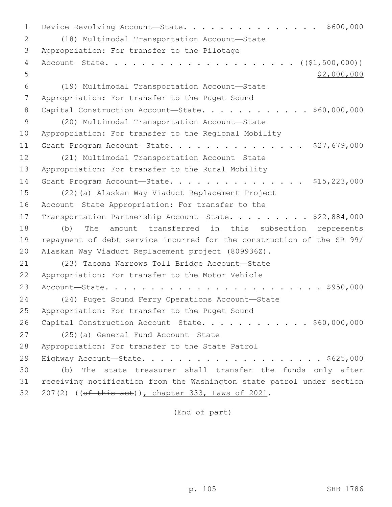1 Device Revolving Account—State. . . . . . . . . . . . . . \$600,000 (18) Multimodal Transportation Account—State2 3 Appropriation: For transfer to the Pilotage 4 Account—State. . . . . . . . . . . . . . . . . . . . . ((\$1,500,000))  $5$  \$2,000,000 (19) Multimodal Transportation Account—State6 7 Appropriation: For transfer to the Puget Sound 8 Capital Construction Account-State. . . . . . . . . . . \$60,000,000 (20) Multimodal Transportation Account—State9 10 Appropriation: For transfer to the Regional Mobility 11 Grant Program Account-State. . . . . . . . . . . . . . \$27,679,000 12 (21) Multimodal Transportation Account-State 13 Appropriation: For transfer to the Rural Mobility 14 Grant Program Account-State. . . . . . . . . . . . . . . \$15,223,000 15 (22)(a) Alaskan Way Viaduct Replacement Project 16 Account-State Appropriation: For transfer to the 17 Transportation Partnership Account-State. . . . . . . . \$22,884,000 18 (b) The amount transferred in this subsection represents 19 repayment of debt service incurred for the construction of the SR 99/ 20 Alaskan Way Viaduct Replacement project (809936Z). 21 (23) Tacoma Narrows Toll Bridge Account-State 22 Appropriation: For transfer to the Motor Vehicle 23 Account—State. . . . . . . . . . . . . . . . . . . . . . . . \$950,000 24 (24) Puget Sound Ferry Operations Account—State 25 Appropriation: For transfer to the Puget Sound 26 Capital Construction Account-State. . . . . . . . . . . \$60,000,000 27 (25)(a) General Fund Account—State 28 Appropriation: For transfer to the State Patrol 29 Highway Account—State. . . . . . . . . . . . . . . . . . . . \$625,000 30 (b) The state treasurer shall transfer the funds only after 31 receiving notification from the Washington state patrol under section 32 207(2) ((of this act)), chapter 333, Laws of 2021.

(End of part)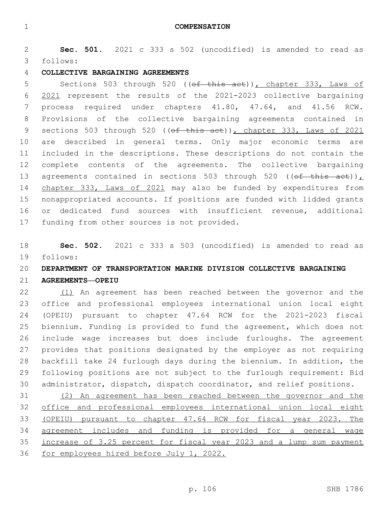**Sec. 501.** 2021 c 333 s 502 (uncodified) is amended to read as follows: 3

## **COLLECTIVE BARGAINING AGREEMENTS**

5 Sections 503 through 520 ((of this act)), chapter 333, Laws of 2021 represent the results of the 2021-2023 collective bargaining process required under chapters 41.80, 47.64, and 41.56 RCW. Provisions of the collective bargaining agreements contained in 9 sections 503 through 520 (( $ef$  this act)), chapter 333, Laws of 2021 are described in general terms. Only major economic terms are included in the descriptions. These descriptions do not contain the complete contents of the agreements. The collective bargaining 13 agreements contained in sections 503 through 520 (( $\theta$ f this act)), 14 chapter 333, Laws of 2021 may also be funded by expenditures from nonappropriated accounts. If positions are funded with lidded grants or dedicated fund sources with insufficient revenue, additional 17 funding from other sources is not provided.

 **Sec. 502.** 2021 c 333 s 503 (uncodified) is amended to read as follows: 19

# **DEPARTMENT OF TRANSPORTATION MARINE DIVISION COLLECTIVE BARGAINING**

## **AGREEMENTS—OPEIU**

 (1) An agreement has been reached between the governor and the office and professional employees international union local eight (OPEIU) pursuant to chapter 47.64 RCW for the 2021-2023 fiscal biennium. Funding is provided to fund the agreement, which does not include wage increases but does include furloughs. The agreement provides that positions designated by the employer as not requiring backfill take 24 furlough days during the biennium. In addition, the following positions are not subject to the furlough requirement: Bid administrator, dispatch, dispatch coordinator, and relief positions.

 (2) An agreement has been reached between the governor and the office and professional employees international union local eight (OPEIU) pursuant to chapter 47.64 RCW for fiscal year 2023. The agreement includes and funding is provided for a general wage increase of 3.25 percent for fiscal year 2023 and a lump sum payment for employees hired before July 1, 2022.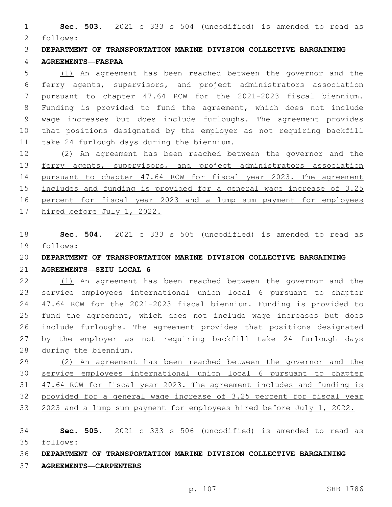**Sec. 503.** 2021 c 333 s 504 (uncodified) is amended to read as follows: 2

 **DEPARTMENT OF TRANSPORTATION MARINE DIVISION COLLECTIVE BARGAINING AGREEMENTS—FASPAA**

 (1) An agreement has been reached between the governor and the ferry agents, supervisors, and project administrators association pursuant to chapter 47.64 RCW for the 2021-2023 fiscal biennium. Funding is provided to fund the agreement, which does not include wage increases but does include furloughs. The agreement provides that positions designated by the employer as not requiring backfill 11 take 24 furlough days during the biennium.

 (2) An agreement has been reached between the governor and the 13 ferry agents, supervisors, and project administrators association pursuant to chapter 47.64 RCW for fiscal year 2023. The agreement includes and funding is provided for a general wage increase of 3.25 percent for fiscal year 2023 and a lump sum payment for employees hired before July 1, 2022.

 **Sec. 504.** 2021 c 333 s 505 (uncodified) is amended to read as 19 follows:

**DEPARTMENT OF TRANSPORTATION MARINE DIVISION COLLECTIVE BARGAINING** 

#### **AGREEMENTS—SEIU LOCAL 6**

 (1) An agreement has been reached between the governor and the service employees international union local 6 pursuant to chapter 47.64 RCW for the 2021-2023 fiscal biennium. Funding is provided to fund the agreement, which does not include wage increases but does include furloughs. The agreement provides that positions designated by the employer as not requiring backfill take 24 furlough days 28 during the biennium.

 (2) An agreement has been reached between the governor and the service employees international union local 6 pursuant to chapter 47.64 RCW for fiscal year 2023. The agreement includes and funding is provided for a general wage increase of 3.25 percent for fiscal year 33 2023 and a lump sum payment for employees hired before July 1, 2022.

 **Sec. 505.** 2021 c 333 s 506 (uncodified) is amended to read as follows: 35

# **DEPARTMENT OF TRANSPORTATION MARINE DIVISION COLLECTIVE BARGAINING**

**AGREEMENTS—CARPENTERS**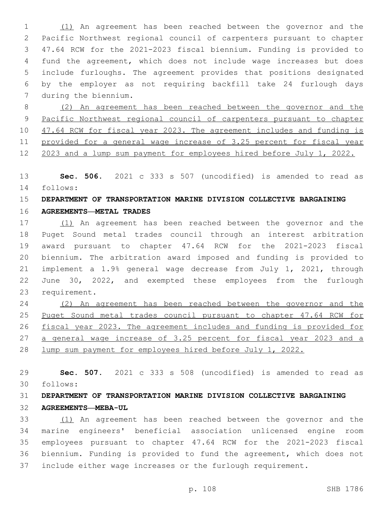(1) An agreement has been reached between the governor and the Pacific Northwest regional council of carpenters pursuant to chapter 47.64 RCW for the 2021-2023 fiscal biennium. Funding is provided to fund the agreement, which does not include wage increases but does include furloughs. The agreement provides that positions designated by the employer as not requiring backfill take 24 furlough days 7 during the biennium.

 (2) An agreement has been reached between the governor and the Pacific Northwest regional council of carpenters pursuant to chapter 10 47.64 RCW for fiscal year 2023. The agreement includes and funding is provided for a general wage increase of 3.25 percent for fiscal year 2023 and a lump sum payment for employees hired before July 1, 2022.

 **Sec. 506.** 2021 c 333 s 507 (uncodified) is amended to read as 14 follows:

# **DEPARTMENT OF TRANSPORTATION MARINE DIVISION COLLECTIVE BARGAINING**

**AGREEMENTS—METAL TRADES**

 (1) An agreement has been reached between the governor and the Puget Sound metal trades council through an interest arbitration award pursuant to chapter 47.64 RCW for the 2021-2023 fiscal biennium. The arbitration award imposed and funding is provided to implement a 1.9% general wage decrease from July 1, 2021, through June 30, 2022, and exempted these employees from the furlough 23 requirement.

 (2) An agreement has been reached between the governor and the Puget Sound metal trades council pursuant to chapter 47.64 RCW for fiscal year 2023. The agreement includes and funding is provided for a general wage increase of 3.25 percent for fiscal year 2023 and a lump sum payment for employees hired before July 1, 2022.

 **Sec. 507.** 2021 c 333 s 508 (uncodified) is amended to read as follows: 30

# **DEPARTMENT OF TRANSPORTATION MARINE DIVISION COLLECTIVE BARGAINING AGREEMENTS—MEBA-UL**

 (1) An agreement has been reached between the governor and the marine engineers' beneficial association unlicensed engine room employees pursuant to chapter 47.64 RCW for the 2021-2023 fiscal biennium. Funding is provided to fund the agreement, which does not include either wage increases or the furlough requirement.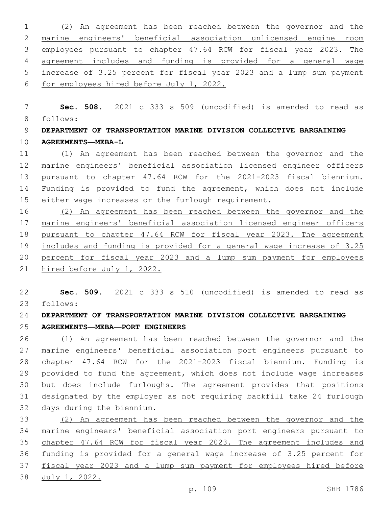(2) An agreement has been reached between the governor and the marine engineers' beneficial association unlicensed engine room employees pursuant to chapter 47.64 RCW for fiscal year 2023. The agreement includes and funding is provided for a general wage increase of 3.25 percent for fiscal year 2023 and a lump sum payment for employees hired before July 1, 2022.

 **Sec. 508.** 2021 c 333 s 509 (uncodified) is amended to read as follows: 8

 **DEPARTMENT OF TRANSPORTATION MARINE DIVISION COLLECTIVE BARGAINING AGREEMENTS—MEBA-L**

 (1) An agreement has been reached between the governor and the marine engineers' beneficial association licensed engineer officers pursuant to chapter 47.64 RCW for the 2021-2023 fiscal biennium. Funding is provided to fund the agreement, which does not include either wage increases or the furlough requirement.

 (2) An agreement has been reached between the governor and the marine engineers' beneficial association licensed engineer officers pursuant to chapter 47.64 RCW for fiscal year 2023. The agreement includes and funding is provided for a general wage increase of 3.25 percent for fiscal year 2023 and a lump sum payment for employees hired before July 1, 2022.

 **Sec. 509.** 2021 c 333 s 510 (uncodified) is amended to read as follows: 23

**DEPARTMENT OF TRANSPORTATION MARINE DIVISION COLLECTIVE BARGAINING** 

**AGREEMENTS—MEBA—PORT ENGINEERS**

 (1) An agreement has been reached between the governor and the marine engineers' beneficial association port engineers pursuant to chapter 47.64 RCW for the 2021-2023 fiscal biennium. Funding is provided to fund the agreement, which does not include wage increases but does include furloughs. The agreement provides that positions designated by the employer as not requiring backfill take 24 furlough 32 days during the biennium.

 (2) An agreement has been reached between the governor and the marine engineers' beneficial association port engineers pursuant to chapter 47.64 RCW for fiscal year 2023. The agreement includes and funding is provided for a general wage increase of 3.25 percent for fiscal year 2023 and a lump sum payment for employees hired before July 1, 2022.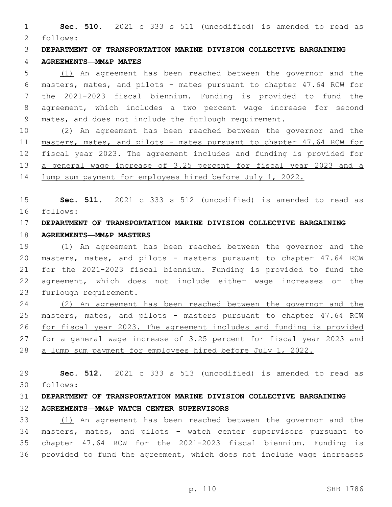**Sec. 510.** 2021 c 333 s 511 (uncodified) is amended to read as follows: 2

**DEPARTMENT OF TRANSPORTATION MARINE DIVISION COLLECTIVE BARGAINING** 

#### **AGREEMENTS—MM&P MATES**

 (1) An agreement has been reached between the governor and the masters, mates, and pilots - mates pursuant to chapter 47.64 RCW for the 2021-2023 fiscal biennium. Funding is provided to fund the agreement, which includes a two percent wage increase for second mates, and does not include the furlough requirement.

 (2) An agreement has been reached between the governor and the masters, mates, and pilots - mates pursuant to chapter 47.64 RCW for fiscal year 2023. The agreement includes and funding is provided for a general wage increase of 3.25 percent for fiscal year 2023 and a lump sum payment for employees hired before July 1, 2022.

 **Sec. 511.** 2021 c 333 s 512 (uncodified) is amended to read as follows: 16

# **DEPARTMENT OF TRANSPORTATION MARINE DIVISION COLLECTIVE BARGAINING**

### **AGREEMENTS—MM&P MASTERS**

 (1) An agreement has been reached between the governor and the masters, mates, and pilots - masters pursuant to chapter 47.64 RCW for the 2021-2023 fiscal biennium. Funding is provided to fund the agreement, which does not include either wage increases or the 23 furlough requirement.

 (2) An agreement has been reached between the governor and the masters, mates, and pilots - masters pursuant to chapter 47.64 RCW for fiscal year 2023. The agreement includes and funding is provided for a general wage increase of 3.25 percent for fiscal year 2023 and a lump sum payment for employees hired before July 1, 2022.

 **Sec. 512.** 2021 c 333 s 513 (uncodified) is amended to read as follows: 30

## **DEPARTMENT OF TRANSPORTATION MARINE DIVISION COLLECTIVE BARGAINING AGREEMENTS—MM&P WATCH CENTER SUPERVISORS**

 (1) An agreement has been reached between the governor and the masters, mates, and pilots - watch center supervisors pursuant to chapter 47.64 RCW for the 2021-2023 fiscal biennium. Funding is provided to fund the agreement, which does not include wage increases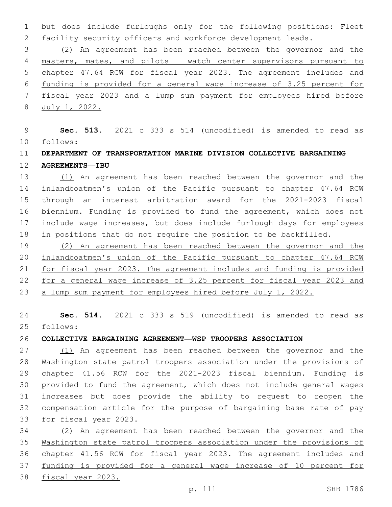but does include furloughs only for the following positions: Fleet facility security officers and workforce development leads.

 (2) An agreement has been reached between the governor and the masters, mates, and pilots – watch center supervisors pursuant to chapter 47.64 RCW for fiscal year 2023. The agreement includes and funding is provided for a general wage increase of 3.25 percent for fiscal year 2023 and a lump sum payment for employees hired before July 1, 2022.

 **Sec. 513.** 2021 c 333 s 514 (uncodified) is amended to read as follows: 10

## **DEPARTMENT OF TRANSPORTATION MARINE DIVISION COLLECTIVE BARGAINING AGREEMENTS—IBU**

 (1) An agreement has been reached between the governor and the inlandboatmen's union of the Pacific pursuant to chapter 47.64 RCW through an interest arbitration award for the 2021-2023 fiscal biennium. Funding is provided to fund the agreement, which does not include wage increases, but does include furlough days for employees in positions that do not require the position to be backfilled.

 (2) An agreement has been reached between the governor and the inlandboatmen's union of the Pacific pursuant to chapter 47.64 RCW for fiscal year 2023. The agreement includes and funding is provided for a general wage increase of 3.25 percent for fiscal year 2023 and a lump sum payment for employees hired before July 1, 2022.

 **Sec. 514.** 2021 c 333 s 519 (uncodified) is amended to read as follows: 25

**COLLECTIVE BARGAINING AGREEMENT—WSP TROOPERS ASSOCIATION**

 (1) An agreement has been reached between the governor and the Washington state patrol troopers association under the provisions of chapter 41.56 RCW for the 2021-2023 fiscal biennium. Funding is provided to fund the agreement, which does not include general wages increases but does provide the ability to request to reopen the compensation article for the purpose of bargaining base rate of pay 33 for fiscal year 2023.

 (2) An agreement has been reached between the governor and the Washington state patrol troopers association under the provisions of chapter 41.56 RCW for fiscal year 2023. The agreement includes and funding is provided for a general wage increase of 10 percent for fiscal year 2023.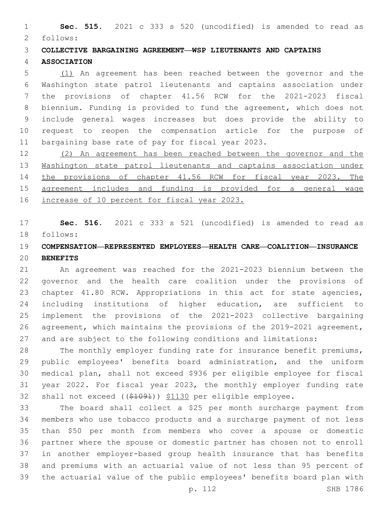**Sec. 515.** 2021 c 333 s 520 (uncodified) is amended to read as 2 follows:

**COLLECTIVE BARGAINING AGREEMENT—WSP LIEUTENANTS AND CAPTAINS** 

#### **ASSOCIATION**

 (1) An agreement has been reached between the governor and the Washington state patrol lieutenants and captains association under the provisions of chapter 41.56 RCW for the 2021-2023 fiscal biennium. Funding is provided to fund the agreement, which does not include general wages increases but does provide the ability to request to reopen the compensation article for the purpose of 11 bargaining base rate of pay for fiscal year 2023.

 (2) An agreement has been reached between the governor and the Washington state patrol lieutenants and captains association under the provisions of chapter 41.56 RCW for fiscal year 2023. The agreement includes and funding is provided for a general wage increase of 10 percent for fiscal year 2023.

 **Sec. 516.** 2021 c 333 s 521 (uncodified) is amended to read as follows: 18

## **COMPENSATION—REPRESENTED EMPLOYEES—HEALTH CARE—COALITION—INSURANCE BENEFITS**

 An agreement was reached for the 2021-2023 biennium between the governor and the health care coalition under the provisions of chapter 41.80 RCW. Appropriations in this act for state agencies, including institutions of higher education, are sufficient to implement the provisions of the 2021-2023 collective bargaining agreement, which maintains the provisions of the 2019-2021 agreement, and are subject to the following conditions and limitations:

 The monthly employer funding rate for insurance benefit premiums, public employees' benefits board administration, and the uniform medical plan, shall not exceed \$936 per eligible employee for fiscal year 2022. For fiscal year 2023, the monthly employer funding rate shall not exceed ((\$1091)) \$1130 per eligible employee.

 The board shall collect a \$25 per month surcharge payment from members who use tobacco products and a surcharge payment of not less than \$50 per month from members who cover a spouse or domestic partner where the spouse or domestic partner has chosen not to enroll in another employer-based group health insurance that has benefits and premiums with an actuarial value of not less than 95 percent of the actuarial value of the public employees' benefits board plan with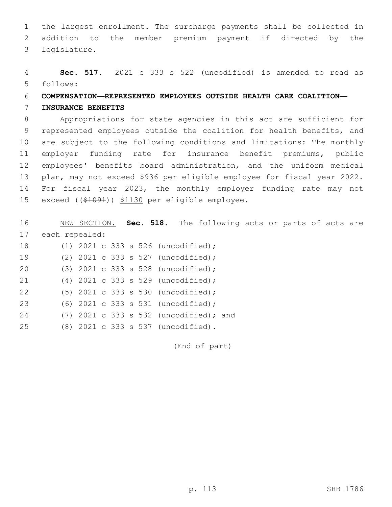1 the largest enrollment. The surcharge payments shall be collected in 2 addition to the member premium payment if directed by the legislature.3

4 **Sec. 517.** 2021 c 333 s 522 (uncodified) is amended to read as follows: 5

#### 6 **COMPENSATION—REPRESENTED EMPLOYEES OUTSIDE HEALTH CARE COALITION—**

#### 7 **INSURANCE BENEFITS**

 Appropriations for state agencies in this act are sufficient for represented employees outside the coalition for health benefits, and are subject to the following conditions and limitations: The monthly employer funding rate for insurance benefit premiums, public employees' benefits board administration, and the uniform medical plan, may not exceed \$936 per eligible employee for fiscal year 2022. For fiscal year 2023, the monthly employer funding rate may not 15 exceed ((\$1091)) \$1130 per eligible employee.

16 NEW SECTION. **Sec. 518.** The following acts or parts of acts are 17 each repealed: (1) 2021 c 333 s 526 (uncodified);18

|  |  | $(1)$ 2021 c 333 s 526 (uncodified);     |  |
|--|--|------------------------------------------|--|
|  |  | (2) $2021$ c 333 s 527 (uncodified);     |  |
|  |  | (3) 2021 c 333 s 528 (uncodified);       |  |
|  |  | (4) 2021 c 333 s 529 (uncodified);       |  |
|  |  | $(5)$ 2021 c 333 s 530 (uncodified);     |  |
|  |  | (6) 2021 c 333 s 531 (uncodified);       |  |
|  |  | $(7)$ 2021 c 333 s 532 (uncodified); and |  |
|  |  | (8) 2021 c 333 s 537 (uncodified).       |  |

(End of part)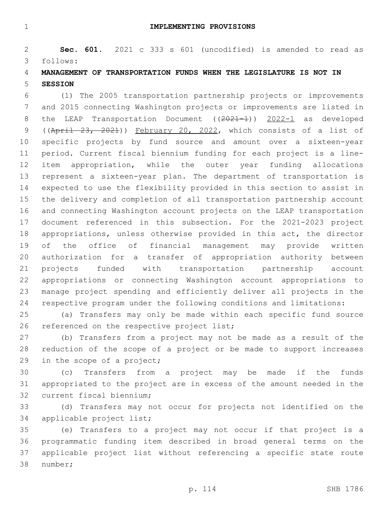**IMPLEMENTING PROVISIONS**

 **Sec. 601.** 2021 c 333 s 601 (uncodified) is amended to read as follows: 3

## **MANAGEMENT OF TRANSPORTATION FUNDS WHEN THE LEGISLATURE IS NOT IN SESSION**

 (1) The 2005 transportation partnership projects or improvements and 2015 connecting Washington projects or improvements are listed in 8 the LEAP Transportation Document ((2021-1)) 2022-1 as developed ((April 23, 2021)) February 20, 2022, which consists of a list of specific projects by fund source and amount over a sixteen-year period. Current fiscal biennium funding for each project is a line- item appropriation, while the outer year funding allocations represent a sixteen-year plan. The department of transportation is expected to use the flexibility provided in this section to assist in the delivery and completion of all transportation partnership account and connecting Washington account projects on the LEAP transportation document referenced in this subsection. For the 2021-2023 project appropriations, unless otherwise provided in this act, the director of the office of financial management may provide written authorization for a transfer of appropriation authority between projects funded with transportation partnership account appropriations or connecting Washington account appropriations to manage project spending and efficiently deliver all projects in the respective program under the following conditions and limitations:

 (a) Transfers may only be made within each specific fund source 26 referenced on the respective project list;

 (b) Transfers from a project may not be made as a result of the reduction of the scope of a project or be made to support increases 29 in the scope of a project;

 (c) Transfers from a project may be made if the funds appropriated to the project are in excess of the amount needed in the 32 current fiscal biennium;

 (d) Transfers may not occur for projects not identified on the 34 applicable project list;

 (e) Transfers to a project may not occur if that project is a programmatic funding item described in broad general terms on the applicable project list without referencing a specific state route 38 number;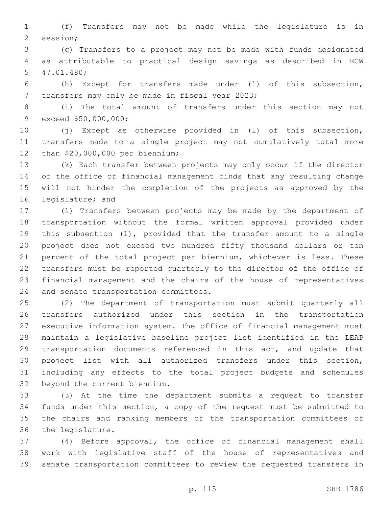(f) Transfers may not be made while the legislature is in 2 session;

 (g) Transfers to a project may not be made with funds designated as attributable to practical design savings as described in RCW 47.01.480;5

 (h) Except for transfers made under (l) of this subsection, 7 transfers may only be made in fiscal year 2023;

 (i) The total amount of transfers under this section may not 9 exceed \$50,000,000;

 (j) Except as otherwise provided in (l) of this subsection, transfers made to a single project may not cumulatively total more 12 than \$20,000,000 per biennium;

 (k) Each transfer between projects may only occur if the director of the office of financial management finds that any resulting change will not hinder the completion of the projects as approved by the 16 legislature; and

 (l) Transfers between projects may be made by the department of transportation without the formal written approval provided under this subsection (1), provided that the transfer amount to a single project does not exceed two hundred fifty thousand dollars or ten percent of the total project per biennium, whichever is less. These transfers must be reported quarterly to the director of the office of financial management and the chairs of the house of representatives 24 and senate transportation committees.

 (2) The department of transportation must submit quarterly all transfers authorized under this section in the transportation executive information system. The office of financial management must maintain a legislative baseline project list identified in the LEAP transportation documents referenced in this act, and update that project list with all authorized transfers under this section, including any effects to the total project budgets and schedules 32 beyond the current biennium.

 (3) At the time the department submits a request to transfer funds under this section, a copy of the request must be submitted to the chairs and ranking members of the transportation committees of 36 the legislature.

 (4) Before approval, the office of financial management shall work with legislative staff of the house of representatives and senate transportation committees to review the requested transfers in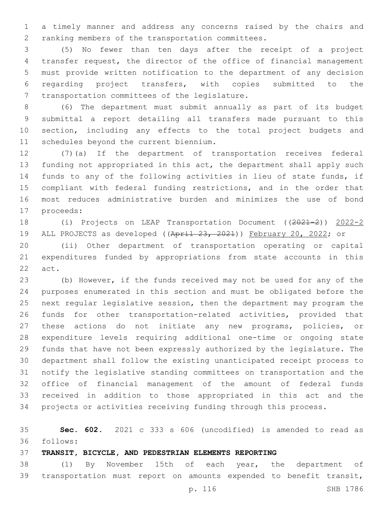a timely manner and address any concerns raised by the chairs and 2 ranking members of the transportation committees.

 (5) No fewer than ten days after the receipt of a project transfer request, the director of the office of financial management must provide written notification to the department of any decision regarding project transfers, with copies submitted to the 7 transportation committees of the legislature.

 (6) The department must submit annually as part of its budget submittal a report detailing all transfers made pursuant to this section, including any effects to the total project budgets and 11 schedules beyond the current biennium.

 (7)(a) If the department of transportation receives federal funding not appropriated in this act, the department shall apply such funds to any of the following activities in lieu of state funds, if compliant with federal funding restrictions, and in the order that most reduces administrative burden and minimizes the use of bond 17 proceeds:

 (i) Projects on LEAP Transportation Document ((2021-2)) 2022-2 19 ALL PROJECTS as developed ((April 23, 2021)) February 20, 2022; or

 (ii) Other department of transportation operating or capital expenditures funded by appropriations from state accounts in this 22 act.

 (b) However, if the funds received may not be used for any of the purposes enumerated in this section and must be obligated before the next regular legislative session, then the department may program the funds for other transportation-related activities, provided that these actions do not initiate any new programs, policies, or expenditure levels requiring additional one-time or ongoing state funds that have not been expressly authorized by the legislature. The department shall follow the existing unanticipated receipt process to notify the legislative standing committees on transportation and the office of financial management of the amount of federal funds received in addition to those appropriated in this act and the projects or activities receiving funding through this process.

 **Sec. 602.** 2021 c 333 s 606 (uncodified) is amended to read as follows: 36

**TRANSIT, BICYCLE, AND PEDESTRIAN ELEMENTS REPORTING**

 (1) By November 15th of each year, the department of transportation must report on amounts expended to benefit transit,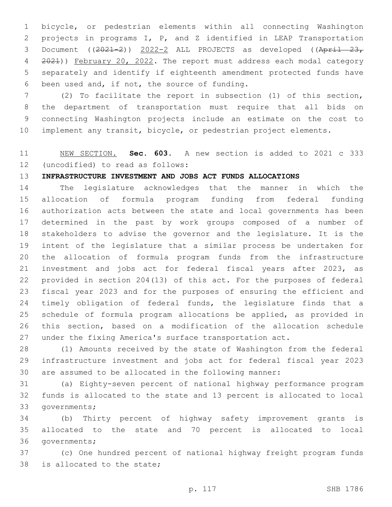bicycle, or pedestrian elements within all connecting Washington projects in programs I, P, and Z identified in LEAP Transportation 3 Document  $((2021-2))$   $2022-2$  ALL PROJECTS as developed  $((April - 23, 23)$  2021)) February 20, 2022. The report must address each modal category separately and identify if eighteenth amendment protected funds have 6 been used and, if not, the source of funding.

 (2) To facilitate the report in subsection (1) of this section, the department of transportation must require that all bids on connecting Washington projects include an estimate on the cost to implement any transit, bicycle, or pedestrian project elements.

## NEW SECTION. **Sec. 603.** A new section is added to 2021 c 333 12 (uncodified) to read as follows:

#### **INFRASTRUCTURE INVESTMENT AND JOBS ACT FUNDS ALLOCATIONS**

 The legislature acknowledges that the manner in which the allocation of formula program funding from federal funding authorization acts between the state and local governments has been determined in the past by work groups composed of a number of stakeholders to advise the governor and the legislature. It is the intent of the legislature that a similar process be undertaken for the allocation of formula program funds from the infrastructure investment and jobs act for federal fiscal years after 2023, as provided in section 204(13) of this act. For the purposes of federal fiscal year 2023 and for the purposes of ensuring the efficient and 24 timely obligation of federal funds, the legislature finds that a schedule of formula program allocations be applied, as provided in this section, based on a modification of the allocation schedule under the fixing America's surface transportation act.

 (1) Amounts received by the state of Washington from the federal infrastructure investment and jobs act for federal fiscal year 2023 are assumed to be allocated in the following manner:

 (a) Eighty-seven percent of national highway performance program funds is allocated to the state and 13 percent is allocated to local 33 governments;

 (b) Thirty percent of highway safety improvement grants is allocated to the state and 70 percent is allocated to local 36 governments;

 (c) One hundred percent of national highway freight program funds 38 is allocated to the state;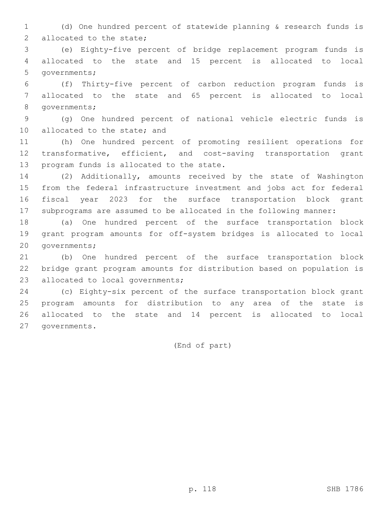(d) One hundred percent of statewide planning & research funds is 2 allocated to the state;

 (e) Eighty-five percent of bridge replacement program funds is allocated to the state and 15 percent is allocated to local 5 governments;

 (f) Thirty-five percent of carbon reduction program funds is allocated to the state and 65 percent is allocated to local 8 governments;

 (g) One hundred percent of national vehicle electric funds is 10 allocated to the state; and

 (h) One hundred percent of promoting resilient operations for transformative, efficient, and cost-saving transportation grant 13 program funds is allocated to the state.

 (2) Additionally, amounts received by the state of Washington from the federal infrastructure investment and jobs act for federal fiscal year 2023 for the surface transportation block grant subprograms are assumed to be allocated in the following manner:

 (a) One hundred percent of the surface transportation block grant program amounts for off-system bridges is allocated to local 20 governments;

 (b) One hundred percent of the surface transportation block bridge grant program amounts for distribution based on population is 23 allocated to local governments;

 (c) Eighty-six percent of the surface transportation block grant program amounts for distribution to any area of the state is allocated to the state and 14 percent is allocated to local 27 governments.

(End of part)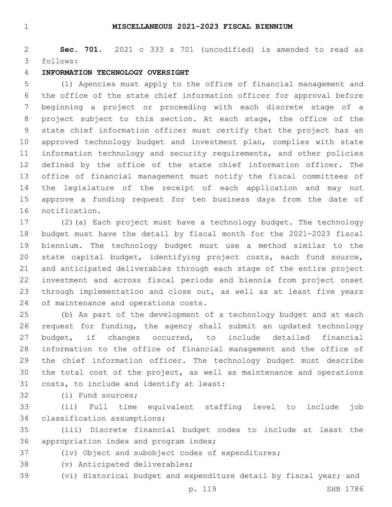#### **MISCELLANEOUS 2021-2023 FISCAL BIENNIUM**

 **Sec. 701.** 2021 c 333 s 701 (uncodified) is amended to read as follows: 3

#### **INFORMATION TECHNOLOGY OVERSIGHT**

 (1) Agencies must apply to the office of financial management and the office of the state chief information officer for approval before beginning a project or proceeding with each discrete stage of a project subject to this section. At each stage, the office of the state chief information officer must certify that the project has an approved technology budget and investment plan, complies with state information technology and security requirements, and other policies defined by the office of the state chief information officer. The office of financial management must notify the fiscal committees of the legislature of the receipt of each application and may not approve a funding request for ten business days from the date of 16 notification.

 (2)(a) Each project must have a technology budget. The technology budget must have the detail by fiscal month for the 2021-2023 fiscal biennium. The technology budget must use a method similar to the state capital budget, identifying project costs, each fund source, and anticipated deliverables through each stage of the entire project investment and across fiscal periods and biennia from project onset through implementation and close out, as well as at least five years 24 of maintenance and operations costs.

 (b) As part of the development of a technology budget and at each request for funding, the agency shall submit an updated technology budget, if changes occurred, to include detailed financial information to the office of financial management and the office of the chief information officer. The technology budget must describe the total cost of the project, as well as maintenance and operations 31 costs, to include and identify at least:

32 (i) Fund sources:

 (ii) Full time equivalent staffing level to include job 34 classification assumptions;

 (iii) Discrete financial budget codes to include at least the 36 appropriation index and program index;

(iv) Object and subobject codes of expenditures;

38 (v) Anticipated deliverables;

(vi) Historical budget and expenditure detail by fiscal year; and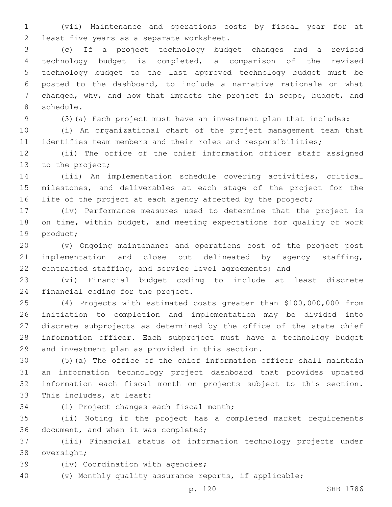(vii) Maintenance and operations costs by fiscal year for at 2 least five years as a separate worksheet.

 (c) If a project technology budget changes and a revised technology budget is completed, a comparison of the revised technology budget to the last approved technology budget must be posted to the dashboard, to include a narrative rationale on what changed, why, and how that impacts the project in scope, budget, and 8 schedule.

(3)(a) Each project must have an investment plan that includes:

 (i) An organizational chart of the project management team that identifies team members and their roles and responsibilities;

 (ii) The office of the chief information officer staff assigned 13 to the project;

 (iii) An implementation schedule covering activities, critical milestones, and deliverables at each stage of the project for the 16 life of the project at each agency affected by the project;

 (iv) Performance measures used to determine that the project is on time, within budget, and meeting expectations for quality of work 19 product;

 (v) Ongoing maintenance and operations cost of the project post implementation and close out delineated by agency staffing, contracted staffing, and service level agreements; and

 (vi) Financial budget coding to include at least discrete 24 financial coding for the project.

 (4) Projects with estimated costs greater than \$100,000,000 from initiation to completion and implementation may be divided into discrete subprojects as determined by the office of the state chief information officer. Each subproject must have a technology budget 29 and investment plan as provided in this section.

 (5)(a) The office of the chief information officer shall maintain an information technology project dashboard that provides updated information each fiscal month on projects subject to this section. 33 This includes, at least:

34 (i) Project changes each fiscal month;

 (ii) Noting if the project has a completed market requirements 36 document, and when it was completed;

 (iii) Financial status of information technology projects under 38 oversight;

39 (iv) Coordination with agencies;

(v) Monthly quality assurance reports, if applicable;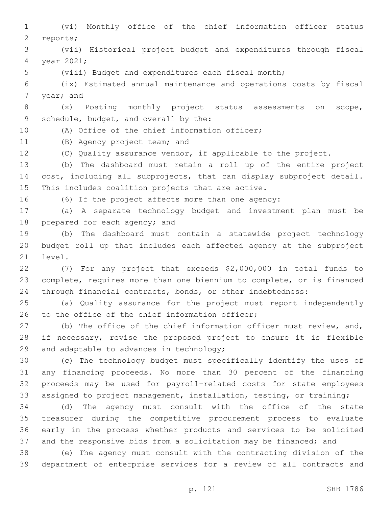(vi) Monthly office of the chief information officer status 2 reports; (vii) Historical project budget and expenditures through fiscal 4 year 2021; (viii) Budget and expenditures each fiscal month; (ix) Estimated annual maintenance and operations costs by fiscal 7 year; and (x) Posting monthly project status assessments on scope, 9 schedule, budget, and overall by the: 10 (A) Office of the chief information officer; 11 (B) Agency project team; and (C) Quality assurance vendor, if applicable to the project. (b) The dashboard must retain a roll up of the entire project cost, including all subprojects, that can display subproject detail. 15 This includes coalition projects that are active. (6) If the project affects more than one agency: (a) A separate technology budget and investment plan must be 18 prepared for each agency; and (b) The dashboard must contain a statewide project technology budget roll up that includes each affected agency at the subproject 21 level. (7) For any project that exceeds \$2,000,000 in total funds to complete, requires more than one biennium to complete, or is financed through financial contracts, bonds, or other indebtedness: (a) Quality assurance for the project must report independently 26 to the office of the chief information officer; (b) The office of the chief information officer must review, and, if necessary, revise the proposed project to ensure it is flexible 29 and adaptable to advances in technology; (c) The technology budget must specifically identify the uses of any financing proceeds. No more than 30 percent of the financing proceeds may be used for payroll-related costs for state employees assigned to project management, installation, testing, or training; (d) The agency must consult with the office of the state treasurer during the competitive procurement process to evaluate early in the process whether products and services to be solicited and the responsive bids from a solicitation may be financed; and (e) The agency must consult with the contracting division of the department of enterprise services for a review of all contracts and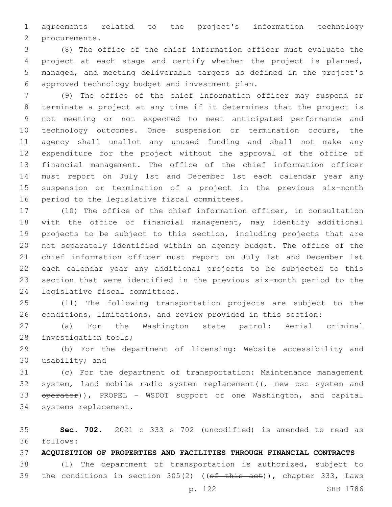agreements related to the project's information technology 2 procurements.

 (8) The office of the chief information officer must evaluate the project at each stage and certify whether the project is planned, managed, and meeting deliverable targets as defined in the project's approved technology budget and investment plan.6

 (9) The office of the chief information officer may suspend or terminate a project at any time if it determines that the project is not meeting or not expected to meet anticipated performance and technology outcomes. Once suspension or termination occurs, the agency shall unallot any unused funding and shall not make any expenditure for the project without the approval of the office of financial management. The office of the chief information officer must report on July 1st and December 1st each calendar year any suspension or termination of a project in the previous six-month 16 period to the legislative fiscal committees.

 (10) The office of the chief information officer, in consultation with the office of financial management, may identify additional projects to be subject to this section, including projects that are not separately identified within an agency budget. The office of the chief information officer must report on July 1st and December 1st each calendar year any additional projects to be subjected to this section that were identified in the previous six-month period to the 24 legislative fiscal committees.

 (11) The following transportation projects are subject to the conditions, limitations, and review provided in this section:

 (a) For the Washington state patrol: Aerial criminal 28 investigation tools;

 (b) For the department of licensing: Website accessibility and 30 usability; and

 (c) For the department of transportation: Maintenance management 32 system, land mobile radio system replacement  $(\tau$  new csc system and 33 operator)), PROPEL - WSDOT support of one Washington, and capital 34 systems replacement.

 **Sec. 702.** 2021 c 333 s 702 (uncodified) is amended to read as follows: 36

**ACQUISITION OF PROPERTIES AND FACILITIES THROUGH FINANCIAL CONTRACTS**

 (1) The department of transportation is authorized, subject to 39 the conditions in section 305(2) ((of this act)), chapter 333, Laws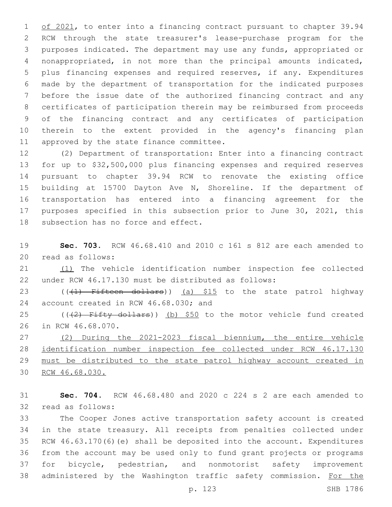1 of 2021, to enter into a financing contract pursuant to chapter 39.94 RCW through the state treasurer's lease-purchase program for the purposes indicated. The department may use any funds, appropriated or nonappropriated, in not more than the principal amounts indicated, plus financing expenses and required reserves, if any. Expenditures made by the department of transportation for the indicated purposes before the issue date of the authorized financing contract and any certificates of participation therein may be reimbursed from proceeds of the financing contract and any certificates of participation therein to the extent provided in the agency's financing plan 11 approved by the state finance committee.

 (2) Department of transportation: Enter into a financing contract for up to \$32,500,000 plus financing expenses and required reserves pursuant to chapter 39.94 RCW to renovate the existing office building at 15700 Dayton Ave N, Shoreline. If the department of transportation has entered into a financing agreement for the purposes specified in this subsection prior to June 30, 2021, this 18 subsection has no force and effect.

 **Sec. 703.** RCW 46.68.410 and 2010 c 161 s 812 are each amended to 20 read as follows:

 (1) The vehicle identification number inspection fee collected under RCW 46.17.130 must be distributed as follows:

23 (((1) Fifteen dollars)) (a) \$15 to the state patrol highway 24 account created in RCW 46.68.030; and

25 ( $(42)$  Fifty dollars)) (b) \$50 to the motor vehicle fund created 26 in RCW 46.68.070.

 (2) During the 2021-2023 fiscal biennium, the entire vehicle identification number inspection fee collected under RCW 46.17.130 must be distributed to the state patrol highway account created in RCW 46.68.030.

 **Sec. 704.** RCW 46.68.480 and 2020 c 224 s 2 are each amended to 32 read as follows:

 The Cooper Jones active transportation safety account is created in the state treasury. All receipts from penalties collected under RCW 46.63.170(6)(e) shall be deposited into the account. Expenditures from the account may be used only to fund grant projects or programs for bicycle, pedestrian, and nonmotorist safety improvement 38 administered by the Washington traffic safety commission. For the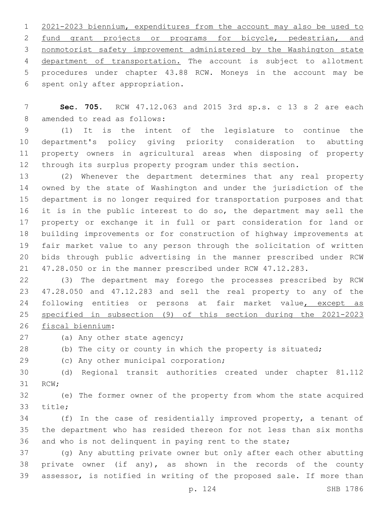2021-2023 biennium, expenditures from the account may also be used to 2 fund grant projects or programs for bicycle, pedestrian, and nonmotorist safety improvement administered by the Washington state department of transportation. The account is subject to allotment procedures under chapter 43.88 RCW. Moneys in the account may be 6 spent only after appropriation.

 **Sec. 705.** RCW 47.12.063 and 2015 3rd sp.s. c 13 s 2 are each 8 amended to read as follows:

 (1) It is the intent of the legislature to continue the department's policy giving priority consideration to abutting property owners in agricultural areas when disposing of property through its surplus property program under this section.

 (2) Whenever the department determines that any real property owned by the state of Washington and under the jurisdiction of the department is no longer required for transportation purposes and that 16 it is in the public interest to do so, the department may sell the property or exchange it in full or part consideration for land or building improvements or for construction of highway improvements at fair market value to any person through the solicitation of written bids through public advertising in the manner prescribed under RCW 47.28.050 or in the manner prescribed under RCW 47.12.283.

 (3) The department may forego the processes prescribed by RCW 47.28.050 and 47.12.283 and sell the real property to any of the 24 following entities or persons at fair market value, except as specified in subsection (9) of this section during the 2021-2023

26 fiscal biennium:

27 (a) Any other state agency;

(b) The city or county in which the property is situated;

29 (c) Any other municipal corporation;

 (d) Regional transit authorities created under chapter 81.112 31 RCW;

 (e) The former owner of the property from whom the state acquired 33 title;

 (f) In the case of residentially improved property, a tenant of the department who has resided thereon for not less than six months and who is not delinquent in paying rent to the state;

 (g) Any abutting private owner but only after each other abutting private owner (if any), as shown in the records of the county assessor, is notified in writing of the proposed sale. If more than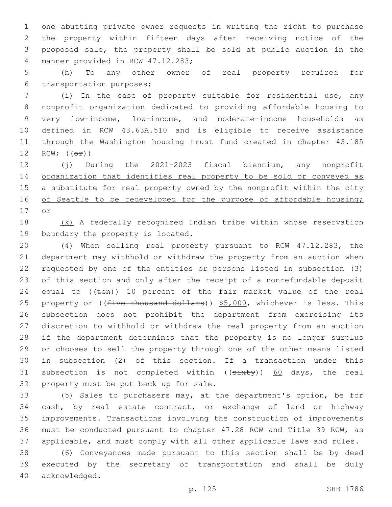one abutting private owner requests in writing the right to purchase the property within fifteen days after receiving notice of the proposed sale, the property shall be sold at public auction in the 4 manner provided in RCW 47.12.283;

 (h) To any other owner of real property required for 6 transportation purposes;

 (i) In the case of property suitable for residential use, any nonprofit organization dedicated to providing affordable housing to very low-income, low-income, and moderate-income households as defined in RCW 43.63A.510 and is eligible to receive assistance through the Washington housing trust fund created in chapter 43.185 12 RCW;  $((\theta \pm))$ 

 (j) During the 2021-2023 fiscal biennium, any nonprofit organization that identifies real property to be sold or conveyed as 15 a substitute for real property owned by the nonprofit within the city 16 of Seattle to be redeveloped for the purpose of affordable housing; or

18 (k) A federally recognized Indian tribe within whose reservation 19 boundary the property is located.

 (4) When selling real property pursuant to RCW 47.12.283, the department may withhold or withdraw the property from an auction when requested by one of the entities or persons listed in subsection (3) of this section and only after the receipt of a nonrefundable deposit 24 equal to  $((\text{ten}))$  10 percent of the fair market value of the real 25 property or ((five thousand dollars)) \$5,000, whichever is less. This subsection does not prohibit the department from exercising its discretion to withhold or withdraw the real property from an auction if the department determines that the property is no longer surplus or chooses to sell the property through one of the other means listed in subsection (2) of this section. If a transaction under this 31 subsection is not completed within ((sixty)) 60 days, the real 32 property must be put back up for sale.

 (5) Sales to purchasers may, at the department's option, be for cash, by real estate contract, or exchange of land or highway improvements. Transactions involving the construction of improvements must be conducted pursuant to chapter 47.28 RCW and Title 39 RCW, as applicable, and must comply with all other applicable laws and rules.

 (6) Conveyances made pursuant to this section shall be by deed executed by the secretary of transportation and shall be duly 40 acknowledged.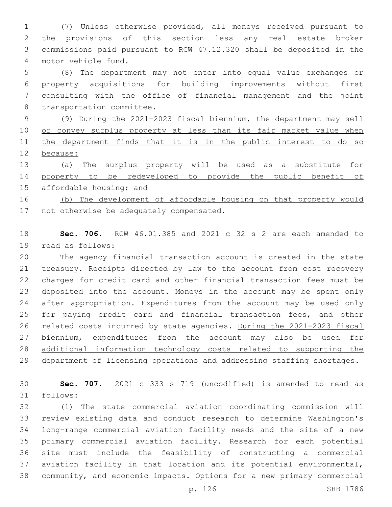(7) Unless otherwise provided, all moneys received pursuant to the provisions of this section less any real estate broker commissions paid pursuant to RCW 47.12.320 shall be deposited in the motor vehicle fund.4

 (8) The department may not enter into equal value exchanges or property acquisitions for building improvements without first consulting with the office of financial management and the joint 8 transportation committee.

 (9) During the 2021-2023 fiscal biennium, the department may sell 10 or convey surplus property at less than its fair market value when 11 the department finds that it is in the public interest to do so because:

 (a) The surplus property will be used as a substitute for property to be redeveloped to provide the public benefit of 15 affordable housing; and

 (b) The development of affordable housing on that property would 17 not otherwise be adequately compensated.

 **Sec. 706.** RCW 46.01.385 and 2021 c 32 s 2 are each amended to 19 read as follows:

 The agency financial transaction account is created in the state treasury. Receipts directed by law to the account from cost recovery charges for credit card and other financial transaction fees must be deposited into the account. Moneys in the account may be spent only after appropriation. Expenditures from the account may be used only for paying credit card and financial transaction fees, and other related costs incurred by state agencies. During the 2021-2023 fiscal 27 biennium, expenditures from the account may also be used for additional information technology costs related to supporting the 29 department of licensing operations and addressing staffing shortages.

 **Sec. 707.** 2021 c 333 s 719 (uncodified) is amended to read as follows:31

 (1) The state commercial aviation coordinating commission will review existing data and conduct research to determine Washington's long-range commercial aviation facility needs and the site of a new primary commercial aviation facility. Research for each potential site must include the feasibility of constructing a commercial aviation facility in that location and its potential environmental, community, and economic impacts. Options for a new primary commercial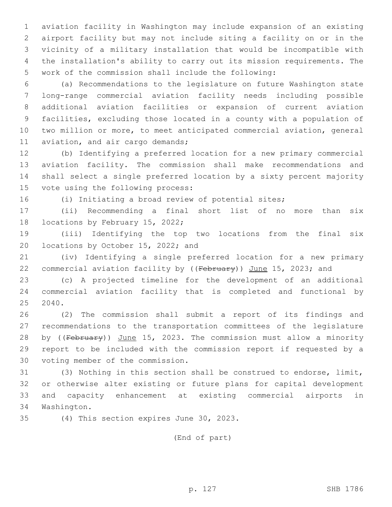aviation facility in Washington may include expansion of an existing airport facility but may not include siting a facility on or in the vicinity of a military installation that would be incompatible with the installation's ability to carry out its mission requirements. The work of the commission shall include the following:

 (a) Recommendations to the legislature on future Washington state long-range commercial aviation facility needs including possible additional aviation facilities or expansion of current aviation facilities, excluding those located in a county with a population of two million or more, to meet anticipated commercial aviation, general 11 aviation, and air cargo demands;

 (b) Identifying a preferred location for a new primary commercial aviation facility. The commission shall make recommendations and shall select a single preferred location by a sixty percent majority 15 vote using the following process:

(i) Initiating a broad review of potential sites;

 (ii) Recommending a final short list of no more than six 18 locations by February 15, 2022;

 (iii) Identifying the top two locations from the final six 20 locations by October 15, 2022; and

 (iv) Identifying a single preferred location for a new primary 22 commercial aviation facility by ((February)) June 15, 2023; and

 (c) A projected timeline for the development of an additional commercial aviation facility that is completed and functional by 2040.

 (2) The commission shall submit a report of its findings and recommendations to the transportation committees of the legislature 28 by ((February)) June 15, 2023. The commission must allow a minority report to be included with the commission report if requested by a 30 voting member of the commission.

 (3) Nothing in this section shall be construed to endorse, limit, or otherwise alter existing or future plans for capital development and capacity enhancement at existing commercial airports in 34 Washington.

35 (4) This section expires June 30, 2023.

(End of part)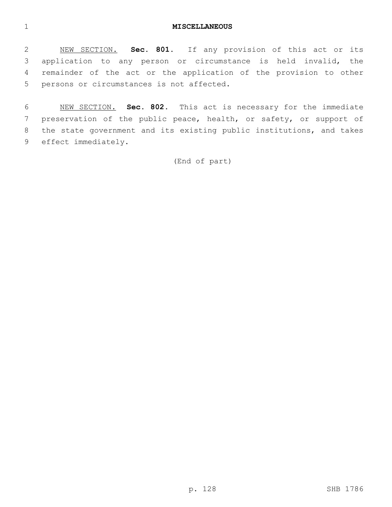#### **MISCELLANEOUS**

 NEW SECTION. **Sec. 801.** If any provision of this act or its application to any person or circumstance is held invalid, the remainder of the act or the application of the provision to other persons or circumstances is not affected.

 NEW SECTION. **Sec. 802.** This act is necessary for the immediate preservation of the public peace, health, or safety, or support of the state government and its existing public institutions, and takes effect immediately.

(End of part)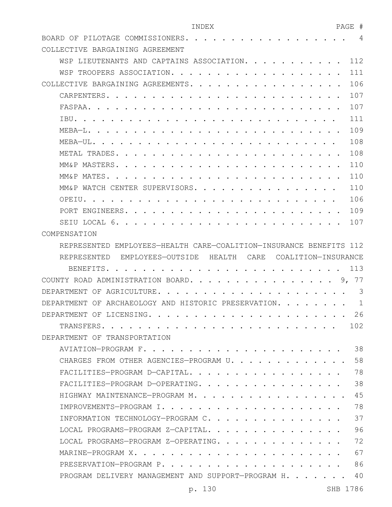## INDEX PAGE # BOARD OF PILOTAGE COMMISSIONERS. . . . . . . . . . . . . . . . . . 4

| COLLECTIVE BARGAINING AGREEMENT                                    |     |
|--------------------------------------------------------------------|-----|
| WSP LIEUTENANTS AND CAPTAINS ASSOCIATION.                          | 112 |
| WSP TROOPERS ASSOCIATION.                                          | 111 |
| COLLECTIVE BARGAINING AGREEMENTS.                                  | 106 |
| CARPENTERS.<br>$\ddot{\phantom{1}}$<br>$\sim$ $\sim$ $\sim$        | 107 |
| FASPAA.                                                            | 107 |
| TRU.                                                               | 111 |
| $MEBA-L$ . .                                                       | 109 |
| MEBA-UL. .                                                         | 108 |
| METAL TRADES. .                                                    | 108 |
| MM&P MASTERS. .                                                    | 110 |
| MM&P MATES.                                                        | 110 |
| MM&P WATCH CENTER SUPERVISORS                                      | 110 |
| $OPETU.$                                                           | 106 |
| PORT ENGINEERS                                                     | 109 |
| SEIU LOCAL 6.                                                      | 107 |
| COMPENSATION                                                       |     |
| REPRESENTED EMPLOYEES-HEALTH CARE-COALITION-INSURANCE BENEFITS 112 |     |
| REPRESENTED EMPLOYEES-OUTSIDE HEALTH CARE<br>COALITION—INSURANCE   |     |
|                                                                    |     |
|                                                                    |     |
| COUNTY ROAD ADMINISTRATION BOARD.<br>9.                            | 77  |
| DEPARTMENT OF AGRICULTURE.                                         | 3   |
| DEPARTMENT OF ARCHAEOLOGY AND HISTORIC PRESERVATION                | 1   |
| DEPARTMENT OF LICENSING.                                           | 26  |
| TRANSFERS.                                                         | 102 |
| DEPARTMENT OF TRANSPORTATION                                       |     |
| AVIATION-PROGRAM F.                                                | 38  |
| CHARGES FROM OTHER AGENCIES-PROGRAM U.                             | 58  |
| FACILITIES-PROGRAM D-CAPITAL.                                      | 78  |
| FACILITIES-PROGRAM D-OPERATING.                                    | 38  |
| HIGHWAY MAINTENANCE-PROGRAM M.                                     | 45  |
| IMPROVEMENTS-PROGRAM I.                                            | 78  |
| INFORMATION TECHNOLOGY-PROGRAM C.                                  | 37  |
| LOCAL PROGRAMS-PROGRAM Z-CAPITAL.                                  | 96  |
| LOCAL PROGRAMS-PROGRAM Z-OPERATING.                                | 72  |
| MARINE-PROGRAM X.                                                  | 67  |
| PRESERVATION-PROGRAM P.                                            | 86  |